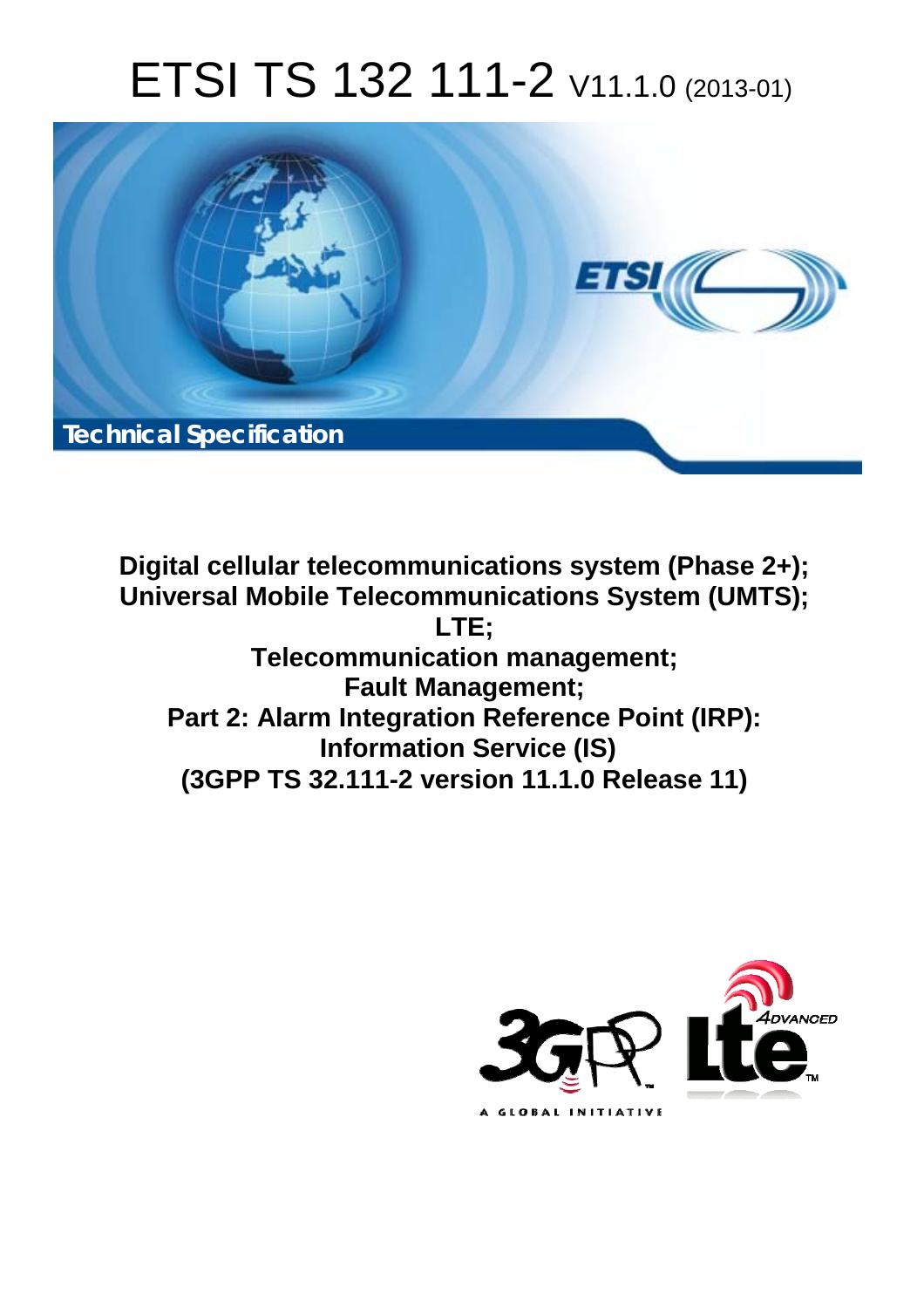# ETSI TS 132 111-2 V11.1.0 (2013-01)



**Digital cellular telecommunications system (Phase 2+); Universal Mobile Telecommunications System (UMTS); LTE; Telecommunication management; Fault Management; Part 2: Alarm Integration Reference Point (IRP): Information Service (IS) (3GPP TS 32.111-2 version 11.1.0 Release 11)** 

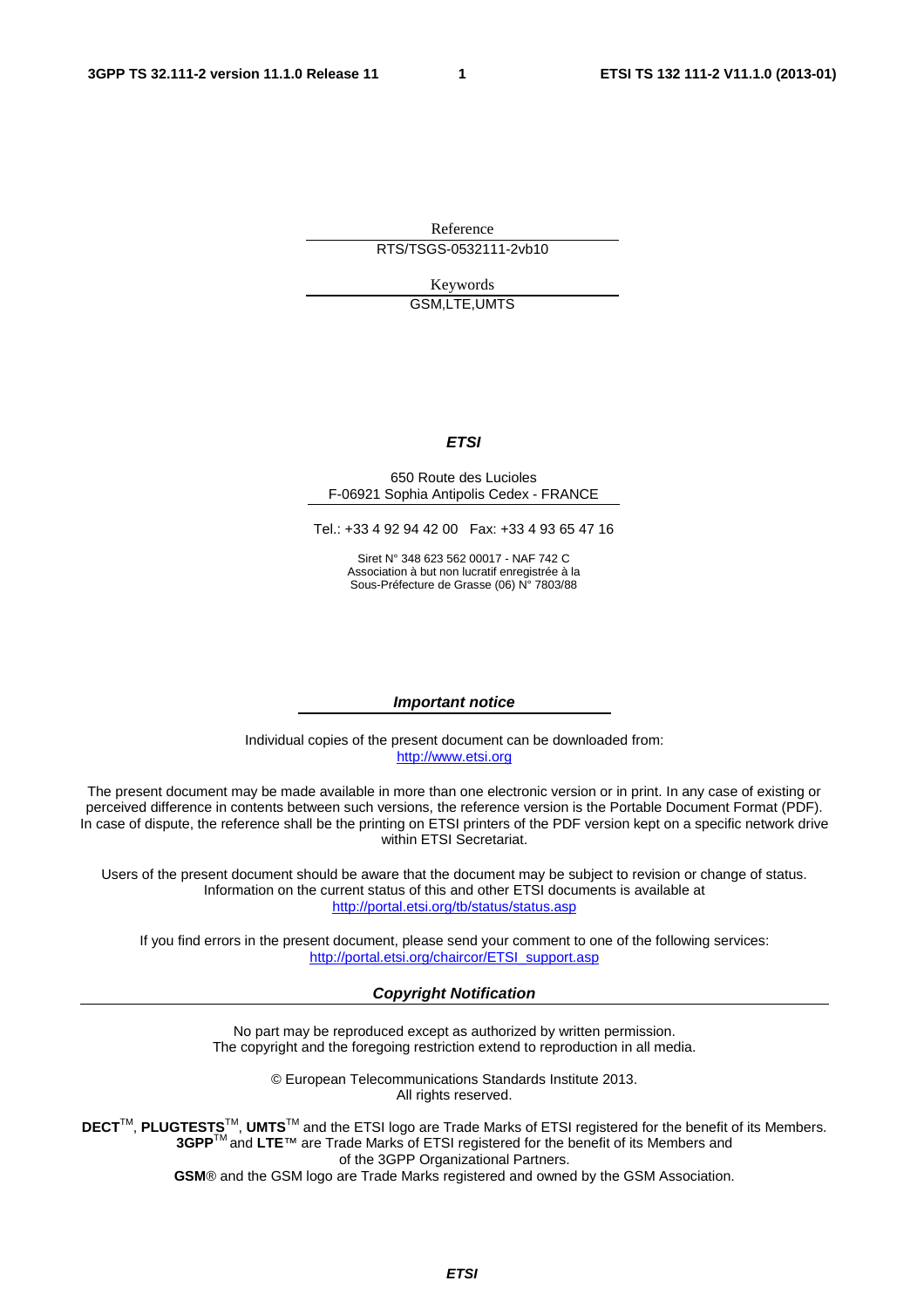Reference

RTS/TSGS-0532111-2vb10

Keywords GSM,LTE,UMTS

#### *ETSI*

#### 650 Route des Lucioles F-06921 Sophia Antipolis Cedex - FRANCE

Tel.: +33 4 92 94 42 00 Fax: +33 4 93 65 47 16

Siret N° 348 623 562 00017 - NAF 742 C Association à but non lucratif enregistrée à la Sous-Préfecture de Grasse (06) N° 7803/88

#### *Important notice*

Individual copies of the present document can be downloaded from: [http://www.etsi.org](http://www.etsi.org/)

The present document may be made available in more than one electronic version or in print. In any case of existing or perceived difference in contents between such versions, the reference version is the Portable Document Format (PDF). In case of dispute, the reference shall be the printing on ETSI printers of the PDF version kept on a specific network drive within ETSI Secretariat.

Users of the present document should be aware that the document may be subject to revision or change of status. Information on the current status of this and other ETSI documents is available at <http://portal.etsi.org/tb/status/status.asp>

If you find errors in the present document, please send your comment to one of the following services: [http://portal.etsi.org/chaircor/ETSI\\_support.asp](http://portal.etsi.org/chaircor/ETSI_support.asp)

#### *Copyright Notification*

No part may be reproduced except as authorized by written permission. The copyright and the foregoing restriction extend to reproduction in all media.

> © European Telecommunications Standards Institute 2013. All rights reserved.

**DECT**TM, **PLUGTESTS**TM, **UMTS**TM and the ETSI logo are Trade Marks of ETSI registered for the benefit of its Members. **3GPP**TM and **LTE**™ are Trade Marks of ETSI registered for the benefit of its Members and of the 3GPP Organizational Partners.

**GSM**® and the GSM logo are Trade Marks registered and owned by the GSM Association.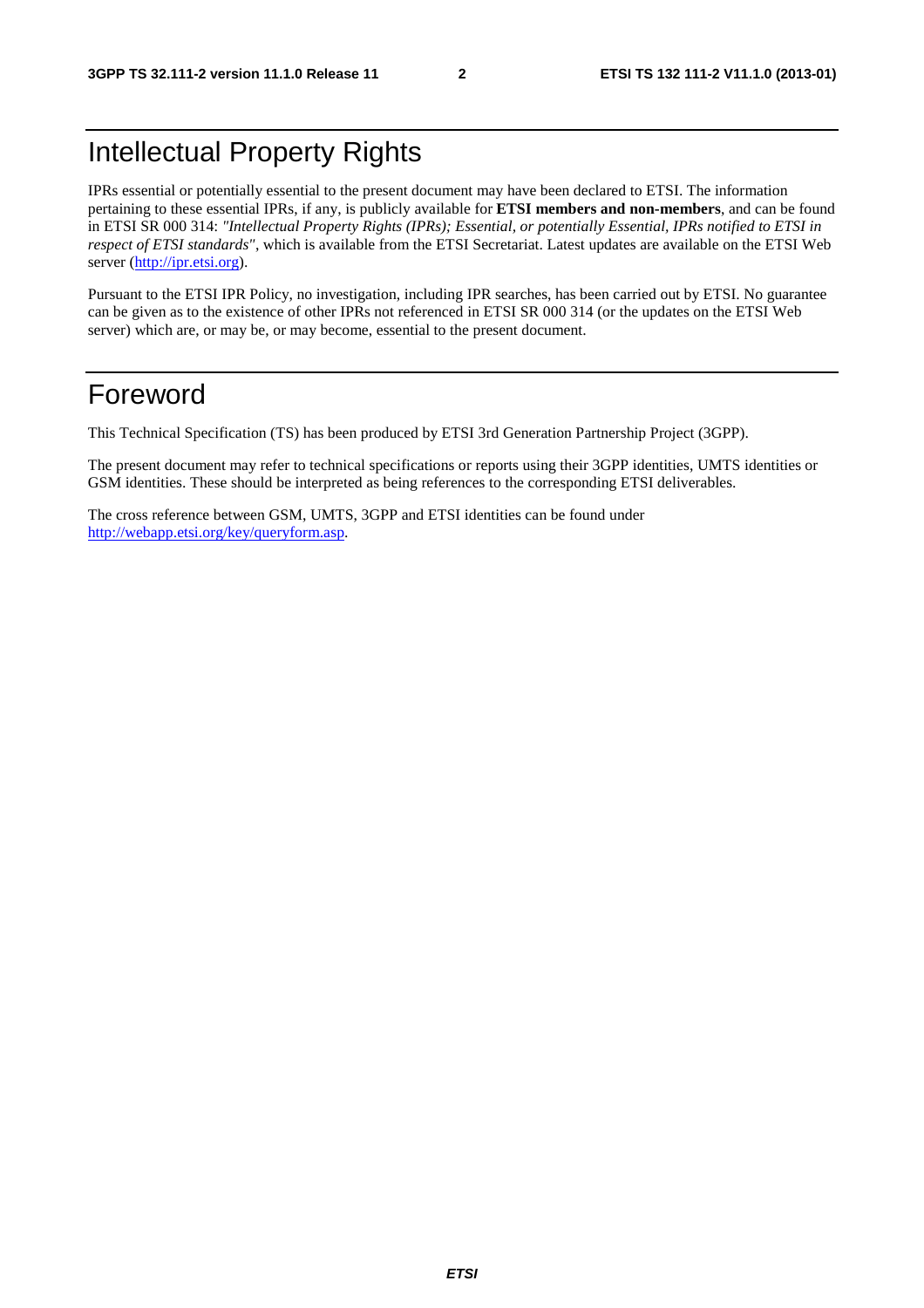# Intellectual Property Rights

IPRs essential or potentially essential to the present document may have been declared to ETSI. The information pertaining to these essential IPRs, if any, is publicly available for **ETSI members and non-members**, and can be found in ETSI SR 000 314: *"Intellectual Property Rights (IPRs); Essential, or potentially Essential, IPRs notified to ETSI in respect of ETSI standards"*, which is available from the ETSI Secretariat. Latest updates are available on the ETSI Web server [\(http://ipr.etsi.org](http://webapp.etsi.org/IPR/home.asp)).

Pursuant to the ETSI IPR Policy, no investigation, including IPR searches, has been carried out by ETSI. No guarantee can be given as to the existence of other IPRs not referenced in ETSI SR 000 314 (or the updates on the ETSI Web server) which are, or may be, or may become, essential to the present document.

# Foreword

This Technical Specification (TS) has been produced by ETSI 3rd Generation Partnership Project (3GPP).

The present document may refer to technical specifications or reports using their 3GPP identities, UMTS identities or GSM identities. These should be interpreted as being references to the corresponding ETSI deliverables.

The cross reference between GSM, UMTS, 3GPP and ETSI identities can be found under [http://webapp.etsi.org/key/queryform.asp.](http://webapp.etsi.org/key/queryform.asp)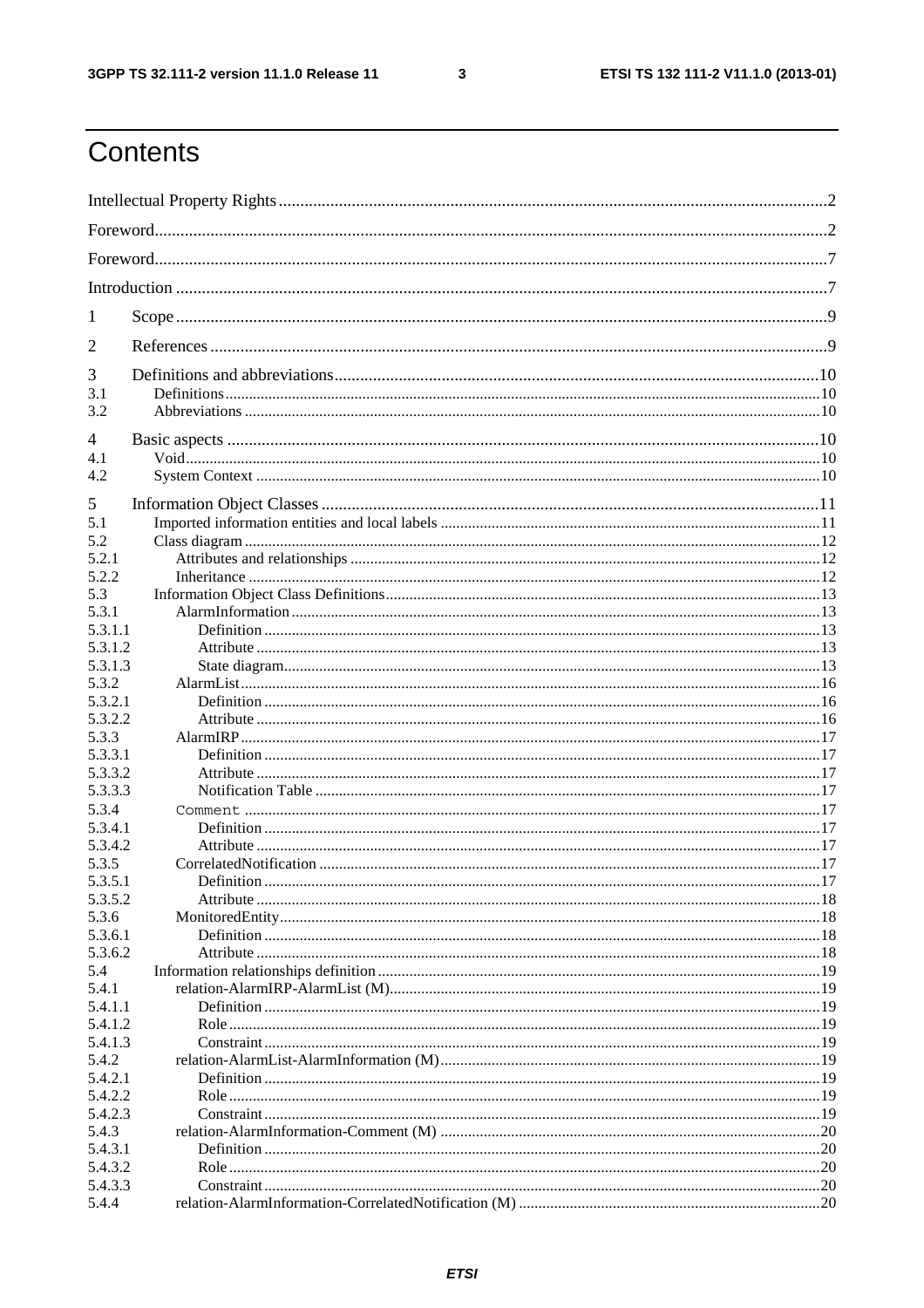$\mathbf{3}$ 

# Contents

| $\perp$          |  |  |
|------------------|--|--|
| 2                |  |  |
| 3                |  |  |
| 3.1<br>3.2       |  |  |
| 4                |  |  |
| 4.1              |  |  |
| 4.2              |  |  |
|                  |  |  |
| 5<br>5.1         |  |  |
| 5.2              |  |  |
| 5.2.1            |  |  |
| 5.2.2            |  |  |
| 5.3              |  |  |
| 5.3.1            |  |  |
| 5.3.1.1          |  |  |
| 5.3.1.2          |  |  |
| 5.3.1.3          |  |  |
| 5.3.2            |  |  |
| 5.3.2.1          |  |  |
| 5.3.2.2          |  |  |
| 5.3.3            |  |  |
| 5.3.3.1          |  |  |
| 5.3.3.2          |  |  |
| 5.3.3.3          |  |  |
| 5.3.4            |  |  |
| 5.3.4.1          |  |  |
| 5.3.4.2          |  |  |
| 5.3.5            |  |  |
| 5.3.5.1          |  |  |
| 5.3.5.2          |  |  |
| 5.3.6<br>5.3.6.1 |  |  |
| 5.3.6.2          |  |  |
| 5.4              |  |  |
| 5.4.1            |  |  |
| 5.4.1.1          |  |  |
| 5.4.1.2          |  |  |
| 5.4.1.3          |  |  |
| 5.4.2            |  |  |
| 5.4.2.1          |  |  |
| 5.4.2.2          |  |  |
| 5.4.2.3          |  |  |
| 5.4.3            |  |  |
| 5.4.3.1          |  |  |
| 5.4.3.2          |  |  |
| 5.4.3.3          |  |  |
| 5.4.4            |  |  |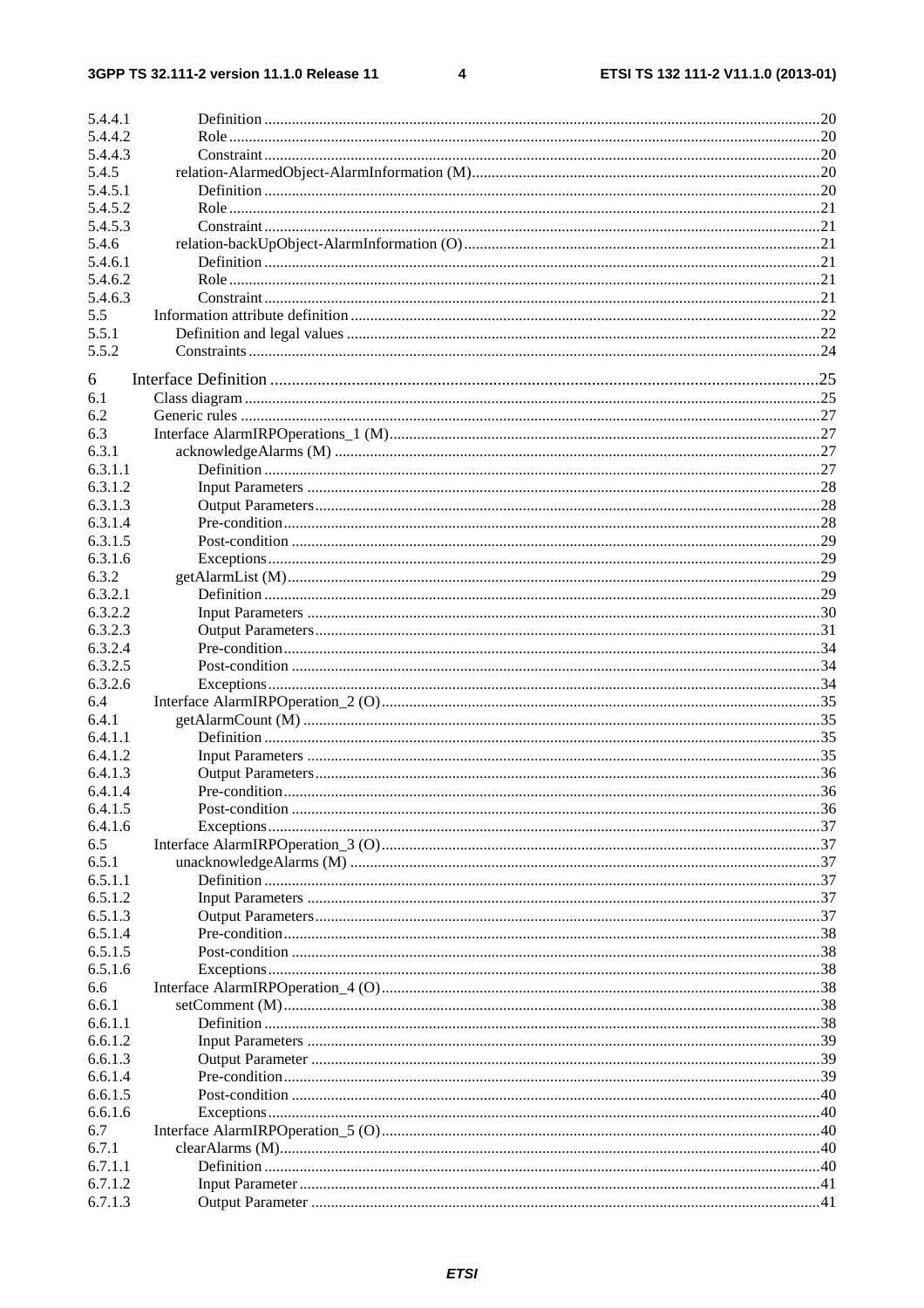#### $\overline{\mathbf{4}}$

| 5.4.4.1 |  |
|---------|--|
|         |  |
| 5.4.4.2 |  |
| 5.4.4.3 |  |
| 5.4.5   |  |
| 5.4.5.1 |  |
| 5.4.5.2 |  |
| 5.4.5.3 |  |
| 5.4.6   |  |
| 5.4.6.1 |  |
| 5.4.6.2 |  |
| 5.4.6.3 |  |
| 5.5     |  |
| 5.5.1   |  |
| 5.5.2   |  |
|         |  |
| 6       |  |
| 6.1     |  |
| 6.2     |  |
| 6.3     |  |
| 6.3.1   |  |
| 6.3.1.1 |  |
| 6.3.1.2 |  |
| 6.3.1.3 |  |
| 6.3.1.4 |  |
| 6.3.1.5 |  |
| 6.3.1.6 |  |
|         |  |
| 6.3.2   |  |
| 6.3.2.1 |  |
| 6.3.2.2 |  |
| 6.3.2.3 |  |
| 6.3.2.4 |  |
| 6.3.2.5 |  |
| 6.3.2.6 |  |
| 6.4     |  |
| 6.4.1   |  |
| 6.4.1.1 |  |
| 6.4.1.2 |  |
| 6.4.1.3 |  |
| 6.4.1.4 |  |
| 6.4.1.5 |  |
| 6.4.1.6 |  |
| 6.5     |  |
| 6.5.1   |  |
| 6.5.1.1 |  |
| 6.5.1.2 |  |
|         |  |
| 6.5.1.3 |  |
| 6.5.1.4 |  |
| 6.5.1.5 |  |
| 6.5.1.6 |  |
| 6.6     |  |
| 6.6.1   |  |
| 6.6.1.1 |  |
| 6.6.1.2 |  |
| 6.6.1.3 |  |
| 6.6.1.4 |  |
| 6.6.1.5 |  |
| 6.6.1.6 |  |
| 6.7     |  |
| 6.7.1   |  |
| 6.7.1.1 |  |
| 6.7.1.2 |  |
| 6.7.1.3 |  |
|         |  |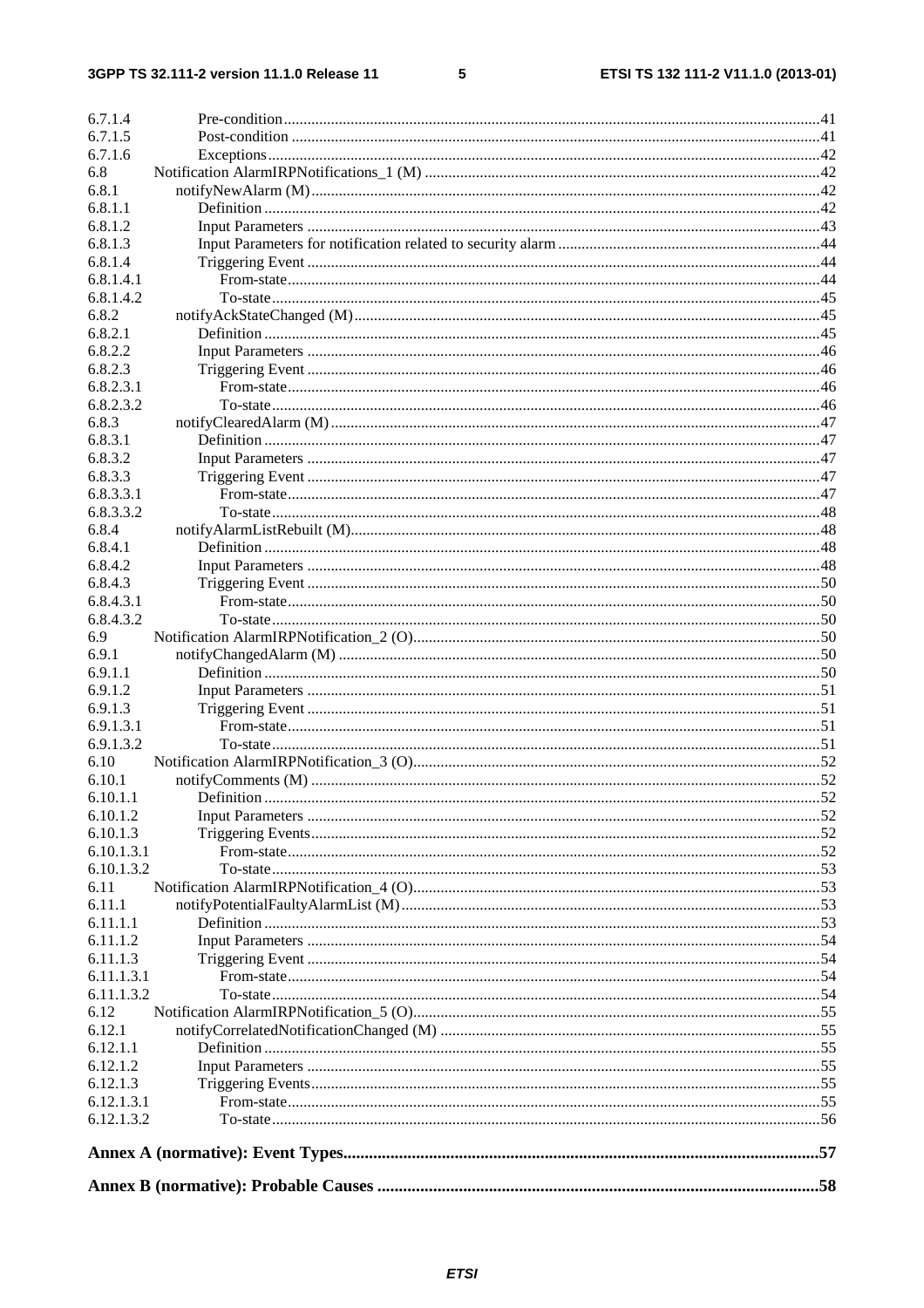$5\phantom{a}$ 

| 6.7.1.4          |            |  |
|------------------|------------|--|
| 6.7.1.5          |            |  |
| 6.7.1.6          |            |  |
| 6.8              |            |  |
| 6.8.1            |            |  |
| 6.8.1.1          |            |  |
| 6.8.1.2          |            |  |
| 6.8.1.3          |            |  |
| 6.8.1.4          |            |  |
| 6.8.1.4.1        |            |  |
| 6.8.1.4.2        |            |  |
| 6.8.2            |            |  |
| 6.8.2.1          |            |  |
| 6.8.2.2          |            |  |
| 6.8.2.3          |            |  |
| 6.8.2.3.1        |            |  |
| 6.8.2.3.2        |            |  |
| 6.8.3            |            |  |
| 6.8.3.1          |            |  |
| 6.8.3.2          |            |  |
| 6.8.3.3          |            |  |
| 6.8.3.3.1        |            |  |
| 6.8.3.3.2        |            |  |
| 6.8.4            |            |  |
| 6.8.4.1          |            |  |
| 6.8.4.2          |            |  |
| 6.8.4.3          |            |  |
| 6.8.4.3.1        |            |  |
| 6.8.4.3.2        |            |  |
| 6.9              |            |  |
| 6.9.1<br>6.9.1.1 |            |  |
| 6.9.1.2          |            |  |
| 6.9.1.3          |            |  |
| 6.9.1.3.1        |            |  |
| 6.9.1.3.2        |            |  |
| 6.10             |            |  |
| 6.10.1           |            |  |
| 6.10.1.1         | Definition |  |
| 6.10.1.2         |            |  |
| 6.10.1.3         |            |  |
| 6.10.1.3.1       |            |  |
| 6.10.1.3.2       |            |  |
| 6.11             |            |  |
| 6.11.1           |            |  |
| 6.11.1.1         |            |  |
| 6.11.1.2         |            |  |
| 6.11.1.3         |            |  |
| 6.11.1.3.1       |            |  |
| 6.11.1.3.2       |            |  |
| 6.12             |            |  |
| 6.12.1           |            |  |
| 6.12.1.1         |            |  |
| 6.12.1.2         |            |  |
| 6.12.1.3         |            |  |
| 6.12.1.3.1       |            |  |
| 6.12.1.3.2       |            |  |
|                  |            |  |
|                  |            |  |
|                  |            |  |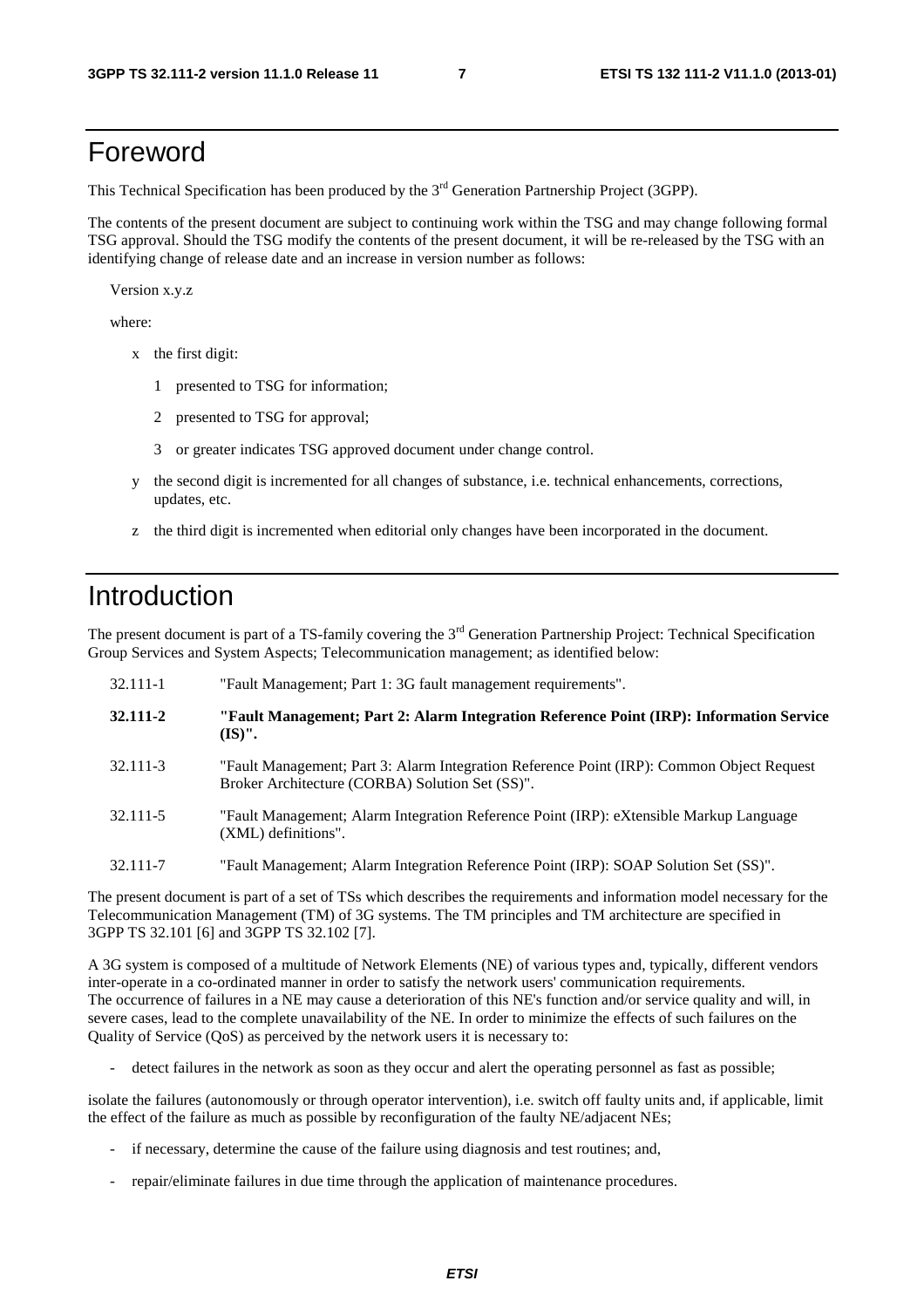# Foreword

This Technical Specification has been produced by the 3<sup>rd</sup> Generation Partnership Project (3GPP).

The contents of the present document are subject to continuing work within the TSG and may change following formal TSG approval. Should the TSG modify the contents of the present document, it will be re-released by the TSG with an identifying change of release date and an increase in version number as follows:

Version x.y.z

where:

- x the first digit:
	- 1 presented to TSG for information;
	- 2 presented to TSG for approval;
	- 3 or greater indicates TSG approved document under change control.
- y the second digit is incremented for all changes of substance, i.e. technical enhancements, corrections, updates, etc.
- z the third digit is incremented when editorial only changes have been incorporated in the document.

# Introduction

The present document is part of a TS-family covering the 3<sup>rd</sup> Generation Partnership Project: Technical Specification Group Services and System Aspects; Telecommunication management; as identified below:

| 32.111-1 | "Fault Management; Part 1: 3G fault management requirements".                                                                                |
|----------|----------------------------------------------------------------------------------------------------------------------------------------------|
| 32.111-2 | "Fault Management; Part 2: Alarm Integration Reference Point (IRP): Information Service<br>$(IS)$ ".                                         |
| 32.111-3 | "Fault Management; Part 3: Alarm Integration Reference Point (IRP): Common Object Request<br>Broker Architecture (CORBA) Solution Set (SS)". |
| 32.111-5 | "Fault Management; Alarm Integration Reference Point (IRP): eXtensible Markup Language<br>(XML) definitions".                                |
| 32.111-7 | "Fault Management; Alarm Integration Reference Point (IRP): SOAP Solution Set (SS)".                                                         |

The present document is part of a set of TSs which describes the requirements and information model necessary for the Telecommunication Management (TM) of 3G systems. The TM principles and TM architecture are specified in 3GPP TS 32.101 [6] and 3GPP TS 32.102 [7].

A 3G system is composed of a multitude of Network Elements (NE) of various types and, typically, different vendors inter-operate in a co-ordinated manner in order to satisfy the network users' communication requirements. The occurrence of failures in a NE may cause a deterioration of this NE's function and/or service quality and will, in severe cases, lead to the complete unavailability of the NE. In order to minimize the effects of such failures on the Quality of Service (QoS) as perceived by the network users it is necessary to:

detect failures in the network as soon as they occur and alert the operating personnel as fast as possible;

isolate the failures (autonomously or through operator intervention), i.e. switch off faulty units and, if applicable, limit the effect of the failure as much as possible by reconfiguration of the faulty NE/adjacent NEs;

- if necessary, determine the cause of the failure using diagnosis and test routines; and,
- repair/eliminate failures in due time through the application of maintenance procedures.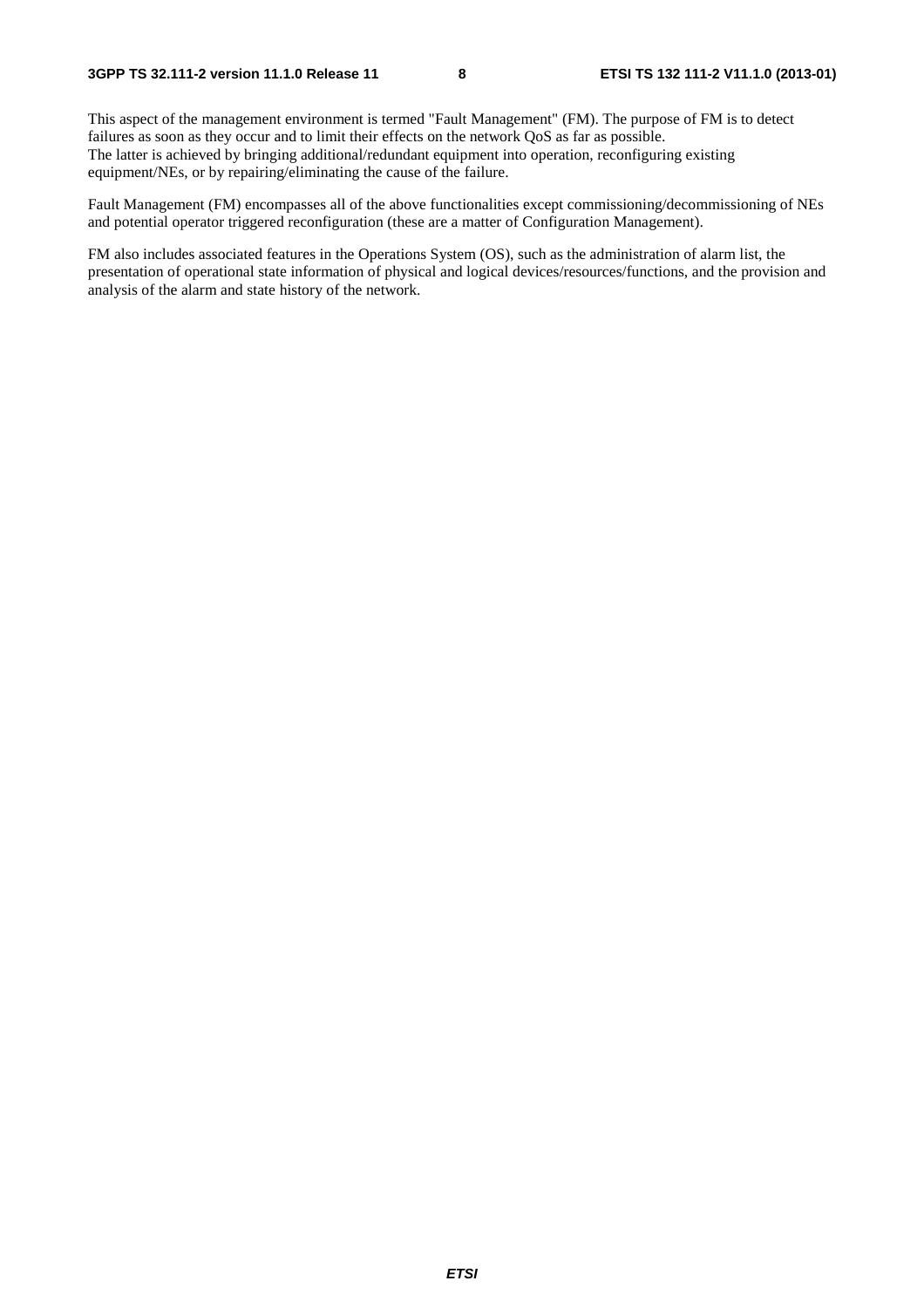This aspect of the management environment is termed "Fault Management" (FM). The purpose of FM is to detect failures as soon as they occur and to limit their effects on the network QoS as far as possible. The latter is achieved by bringing additional/redundant equipment into operation, reconfiguring existing equipment/NEs, or by repairing/eliminating the cause of the failure.

Fault Management (FM) encompasses all of the above functionalities except commissioning/decommissioning of NEs and potential operator triggered reconfiguration (these are a matter of Configuration Management).

FM also includes associated features in the Operations System (OS), such as the administration of alarm list, the presentation of operational state information of physical and logical devices/resources/functions, and the provision and analysis of the alarm and state history of the network.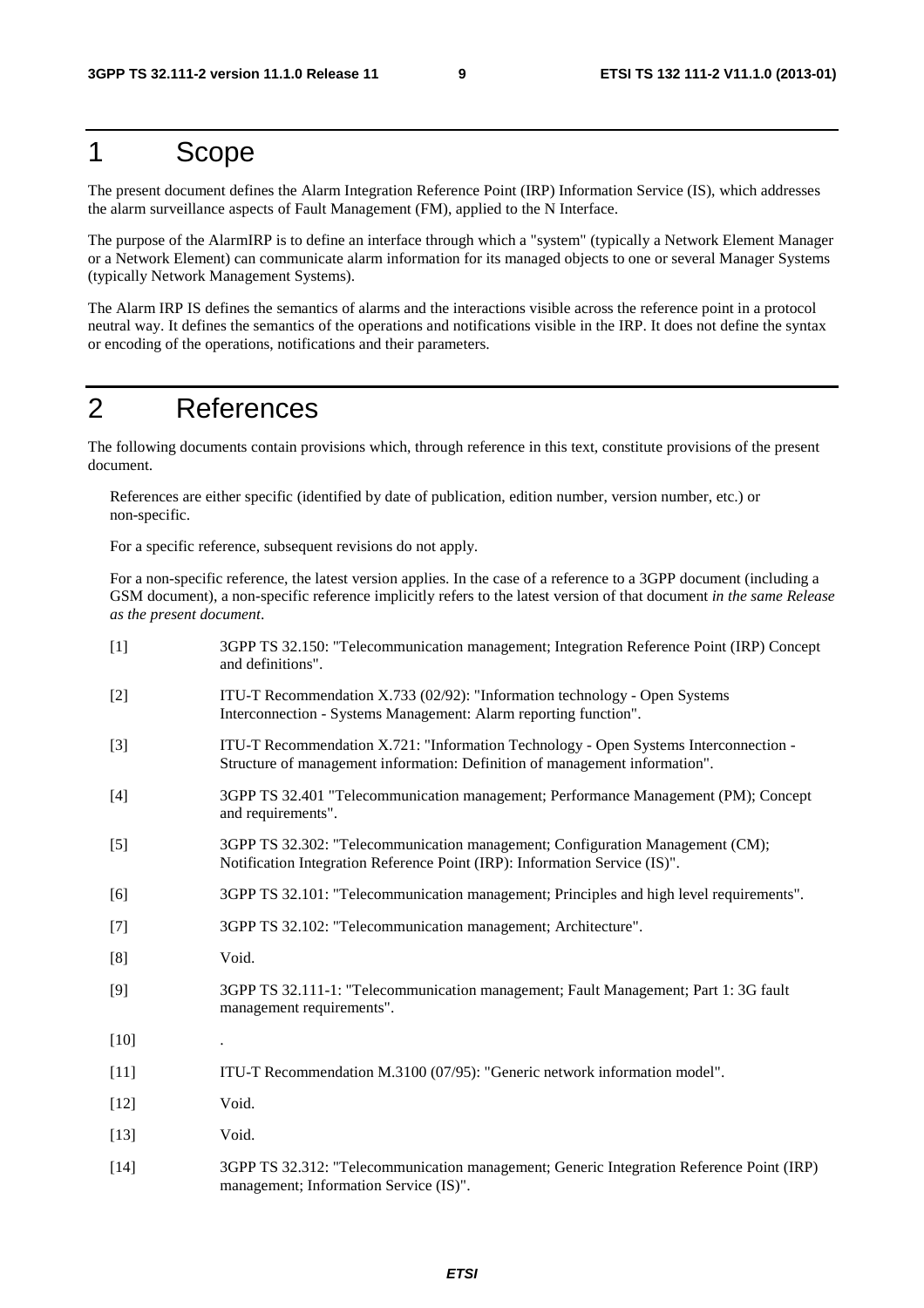# 1 Scope

The present document defines the Alarm Integration Reference Point (IRP) Information Service (IS), which addresses the alarm surveillance aspects of Fault Management (FM), applied to the N Interface.

The purpose of the AlarmIRP is to define an interface through which a "system" (typically a Network Element Manager or a Network Element) can communicate alarm information for its managed objects to one or several Manager Systems (typically Network Management Systems).

The Alarm IRP IS defines the semantics of alarms and the interactions visible across the reference point in a protocol neutral way. It defines the semantics of the operations and notifications visible in the IRP. It does not define the syntax or encoding of the operations, notifications and their parameters.

# 2 References

The following documents contain provisions which, through reference in this text, constitute provisions of the present document.

References are either specific (identified by date of publication, edition number, version number, etc.) or non-specific.

For a specific reference, subsequent revisions do not apply.

For a non-specific reference, the latest version applies. In the case of a reference to a 3GPP document (including a GSM document), a non-specific reference implicitly refers to the latest version of that document *in the same Release as the present document*.

| $[1]$  | 3GPP TS 32.150: "Telecommunication management; Integration Reference Point (IRP) Concept<br>and definitions".                                                       |
|--------|---------------------------------------------------------------------------------------------------------------------------------------------------------------------|
| $[2]$  | ITU-T Recommendation X.733 (02/92): "Information technology - Open Systems<br>Interconnection - Systems Management: Alarm reporting function".                      |
| $[3]$  | ITU-T Recommendation X.721: "Information Technology - Open Systems Interconnection -<br>Structure of management information: Definition of management information". |
| $[4]$  | 3GPP TS 32.401 "Telecommunication management; Performance Management (PM); Concept<br>and requirements".                                                            |
| $[5]$  | 3GPP TS 32.302: "Telecommunication management; Configuration Management (CM);<br>Notification Integration Reference Point (IRP): Information Service (IS)".         |
| [6]    | 3GPP TS 32.101: "Telecommunication management; Principles and high level requirements".                                                                             |
| $[7]$  | 3GPP TS 32.102: "Telecommunication management; Architecture".                                                                                                       |
| [8]    | Void.                                                                                                                                                               |
| $[9]$  | 3GPP TS 32.111-1: "Telecommunication management; Fault Management; Part 1: 3G fault<br>management requirements".                                                    |
| $[10]$ |                                                                                                                                                                     |
| $[11]$ | ITU-T Recommendation M.3100 (07/95): "Generic network information model".                                                                                           |
| $[12]$ | Void.                                                                                                                                                               |
| $[13]$ | Void.                                                                                                                                                               |
| $[14]$ | 3GPP TS 32.312: "Telecommunication management; Generic Integration Reference Point (IRP)<br>management; Information Service (IS)".                                  |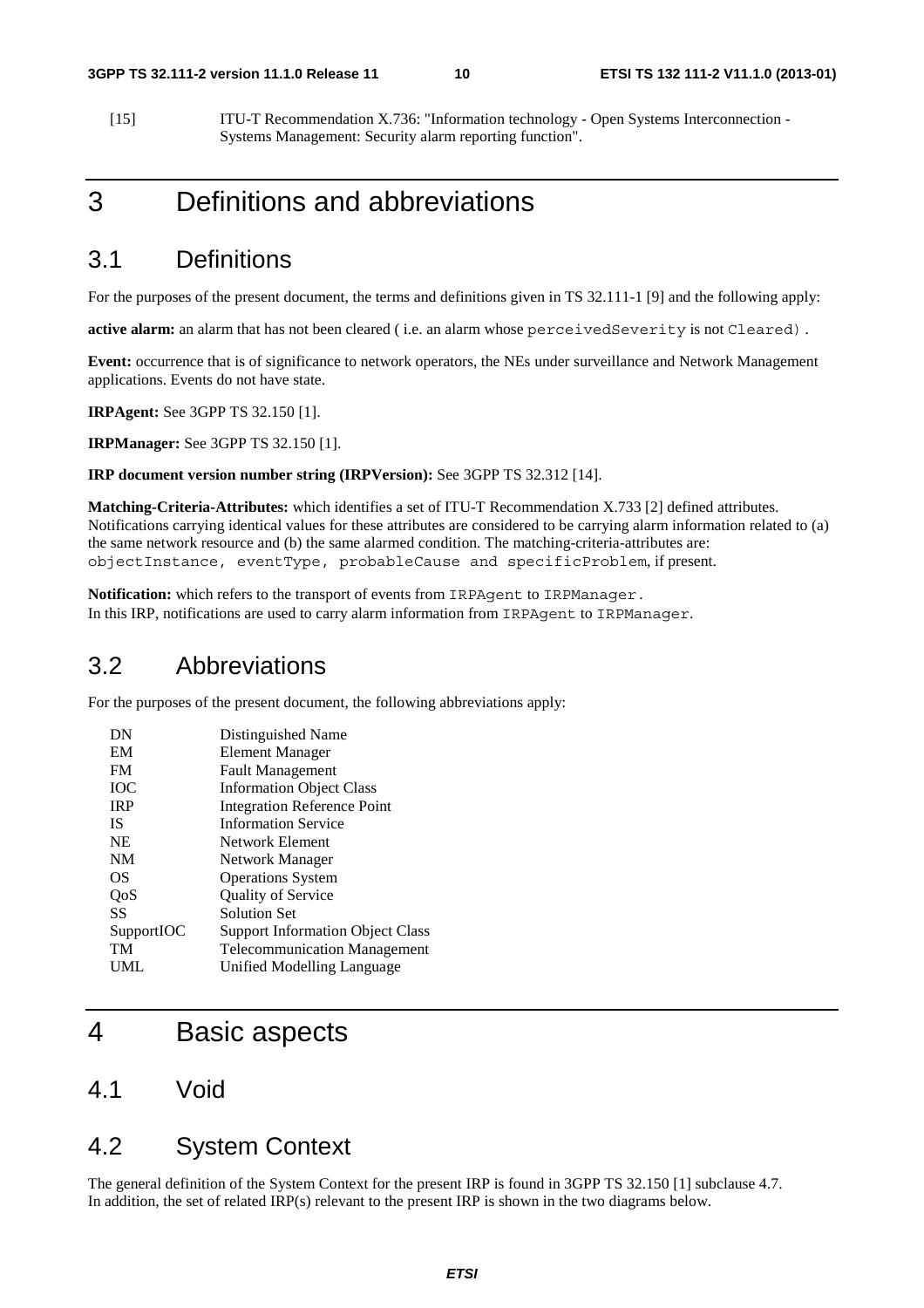[15] ITU-T Recommendation X.736: "Information technology - Open Systems Interconnection - Systems Management: Security alarm reporting function".

# 3 Definitions and abbreviations

# 3.1 Definitions

For the purposes of the present document, the terms and definitions given in TS 32.111-1 [9] and the following apply:

**active alarm:** an alarm that has not been cleared ( i.e. an alarm whose perceivedSeverity is not Cleared).

**Event:** occurrence that is of significance to network operators, the NEs under surveillance and Network Management applications. Events do not have state.

**IRPAgent:** See 3GPP TS 32.150 [1].

**IRPManager:** See 3GPP TS 32.150 [1].

#### **IRP document version number string (IRPVersion):** See 3GPP TS 32.312 [14].

**Matching-Criteria-Attributes:** which identifies a set of ITU-T Recommendation X.733 [2] defined attributes. Notifications carrying identical values for these attributes are considered to be carrying alarm information related to (a) the same network resource and (b) the same alarmed condition. The matching-criteria-attributes are: objectInstance, eventType, probableCause and specificProblem, if present.

**Notification:** which refers to the transport of events from IRPAgent to IRPManager. In this IRP, notifications are used to carry alarm information from IRPAgent to IRPManager.

# 3.2 Abbreviations

For the purposes of the present document, the following abbreviations apply:

| DN         | Distinguished Name                      |
|------------|-----------------------------------------|
| EM         | Element Manager                         |
| <b>FM</b>  | <b>Fault Management</b>                 |
| <b>TOC</b> | <b>Information Object Class</b>         |
| <b>IRP</b> | <b>Integration Reference Point</b>      |
| IS         | <b>Information Service</b>              |
| <b>NE</b>  | Network Element                         |
| NM         | Network Manager                         |
| OS         | <b>Operations System</b>                |
| QoS        | <b>Quality of Service</b>               |
| SS         | <b>Solution Set</b>                     |
| SupportIOC | <b>Support Information Object Class</b> |
| TM         | <b>Telecommunication Management</b>     |
| UML        | Unified Modelling Language              |

# 4 Basic aspects

4.1 Void

# 4.2 System Context

The general definition of the System Context for the present IRP is found in 3GPP TS 32.150 [1] subclause 4.7. In addition, the set of related IRP(s) relevant to the present IRP is shown in the two diagrams below.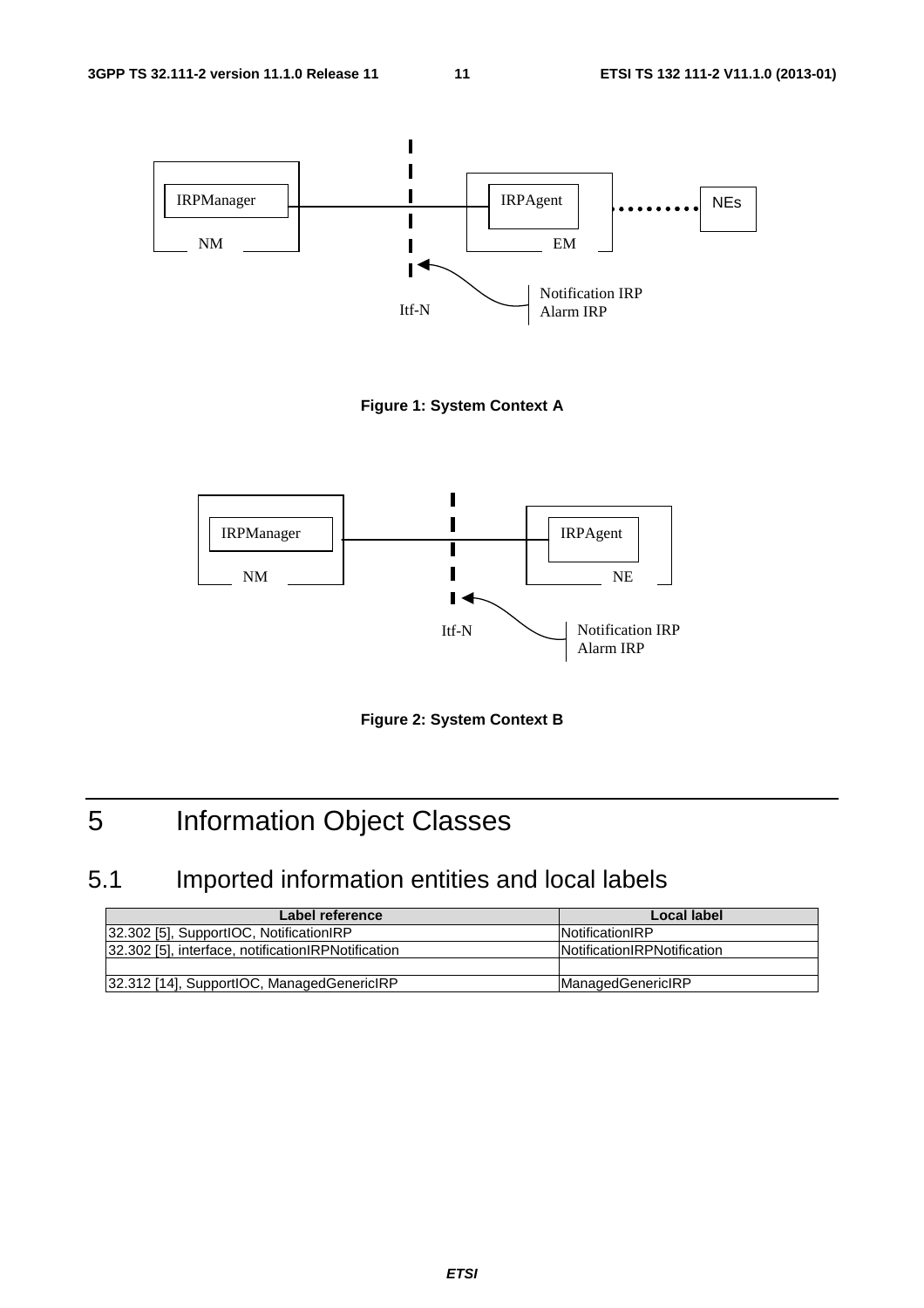



**Figure 2: System Context B** 

# 5 Information Object Classes

# 5.1 Imported information entities and local labels

| Label reference                                     | Local label                        |
|-----------------------------------------------------|------------------------------------|
| [32.302 [5], SupportIOC, NotificationIRP            | <b>INotificationIRP</b>            |
| 32.302 [5], interface, notification RPN otification | <b>Notification RPNotification</b> |
|                                                     |                                    |
| [32.312 [14], SupportIOC, ManagedGenericIRP         | <b>ManagedGenericIRP</b>           |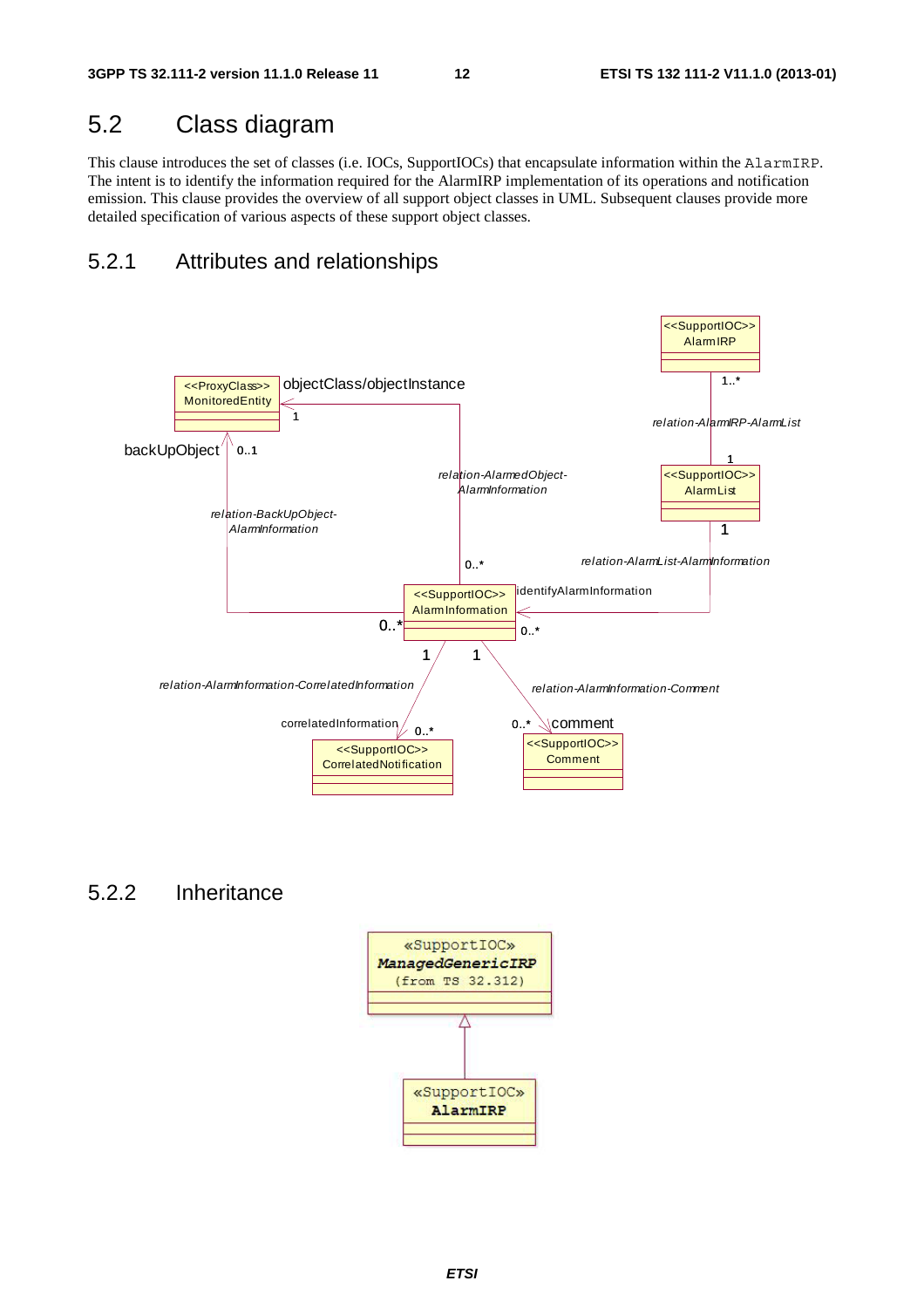# 5.2 Class diagram

This clause introduces the set of classes (i.e. IOCs, SupportIOCs) that encapsulate information within the AlarmIRP. The intent is to identify the information required for the AlarmIRP implementation of its operations and notification emission. This clause provides the overview of all support object classes in UML. Subsequent clauses provide more detailed specification of various aspects of these support object classes.

# 5.2.1 Attributes and relationships



# 5.2.2 Inheritance

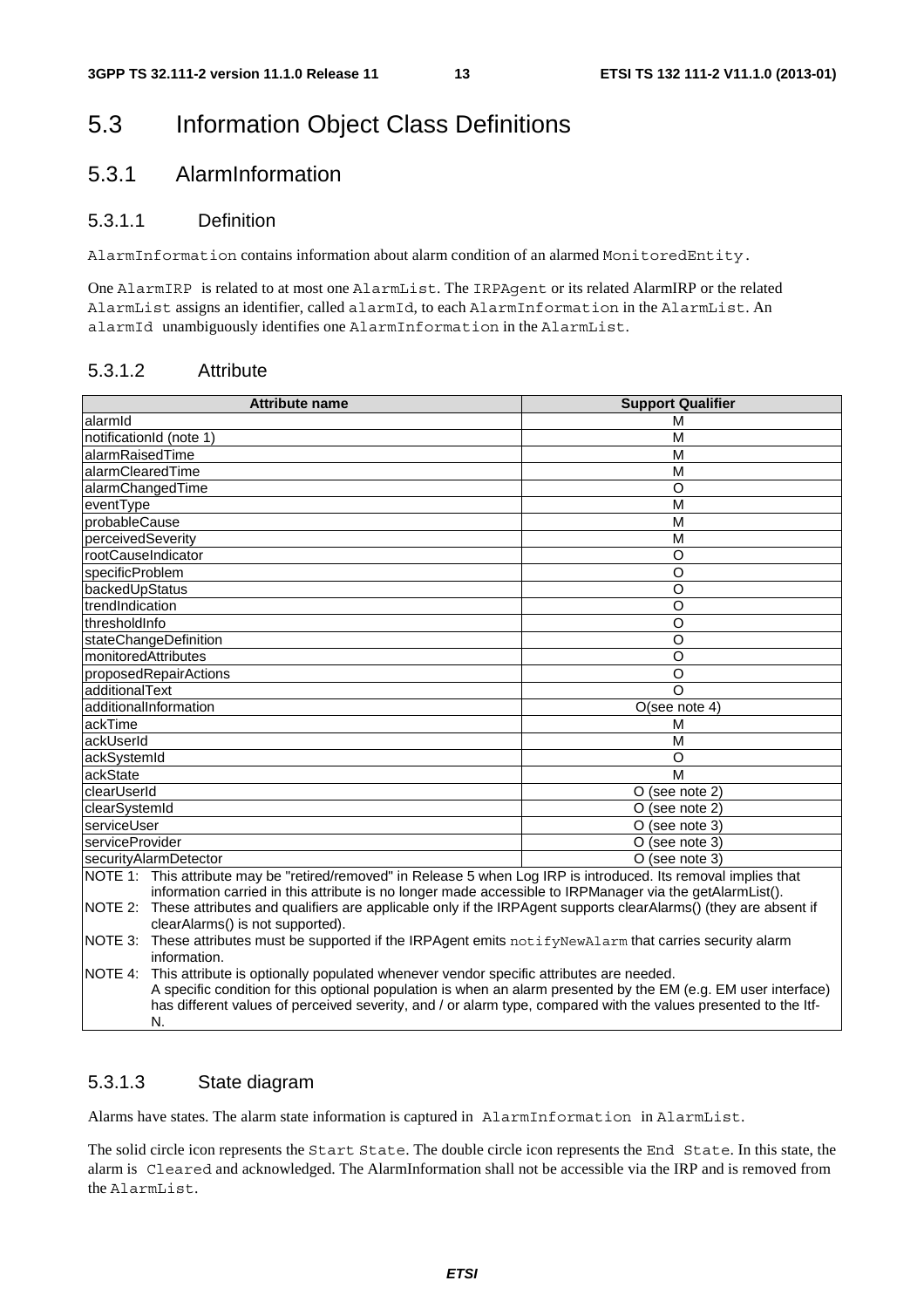# 5.3 Information Object Class Definitions

# 5.3.1 AlarmInformation

### 5.3.1.1 Definition

AlarmInformation contains information about alarm condition of an alarmed MonitoredEntity.

One AlarmIRP is related to at most one AlarmList. The IRPAgent or its related AlarmIRP or the related AlarmList assigns an identifier, called alarmId, to each AlarmInformation in the AlarmList. An alarmId unambiguously identifies one AlarmInformation in the AlarmList.

### 5.3.1.2 Attribute

|                     | <b>Attribute name</b>                                                                                                                                                                                                                                                                                                              | <b>Support Qualifier</b> |
|---------------------|------------------------------------------------------------------------------------------------------------------------------------------------------------------------------------------------------------------------------------------------------------------------------------------------------------------------------------|--------------------------|
| alarmid             |                                                                                                                                                                                                                                                                                                                                    | М                        |
|                     | notificationId (note 1)                                                                                                                                                                                                                                                                                                            | M                        |
| alarmRaisedTime     |                                                                                                                                                                                                                                                                                                                                    | M                        |
| alarmClearedTime    |                                                                                                                                                                                                                                                                                                                                    | M                        |
|                     | alarmChangedTime                                                                                                                                                                                                                                                                                                                   | $\circ$                  |
| eventType           |                                                                                                                                                                                                                                                                                                                                    | M                        |
| probableCause       |                                                                                                                                                                                                                                                                                                                                    | M                        |
| perceivedSeverity   |                                                                                                                                                                                                                                                                                                                                    | M                        |
| rootCauseIndicator  |                                                                                                                                                                                                                                                                                                                                    | O                        |
| specificProblem     |                                                                                                                                                                                                                                                                                                                                    | O                        |
| backedUpStatus      |                                                                                                                                                                                                                                                                                                                                    | O                        |
| trendIndication     |                                                                                                                                                                                                                                                                                                                                    | O                        |
| thresholdInfo       |                                                                                                                                                                                                                                                                                                                                    | O                        |
|                     | stateChangeDefinition                                                                                                                                                                                                                                                                                                              | O                        |
| monitoredAttributes |                                                                                                                                                                                                                                                                                                                                    | O                        |
|                     | proposedRepairActions                                                                                                                                                                                                                                                                                                              | O                        |
| additionalText      |                                                                                                                                                                                                                                                                                                                                    | $\Omega$                 |
|                     | additionalInformation                                                                                                                                                                                                                                                                                                              | O(see note 4)            |
| ackTime             |                                                                                                                                                                                                                                                                                                                                    | М                        |
| ackUserId           |                                                                                                                                                                                                                                                                                                                                    | M                        |
| ackSystemId         |                                                                                                                                                                                                                                                                                                                                    | O                        |
| ackState            |                                                                                                                                                                                                                                                                                                                                    | M                        |
| clearUserId         |                                                                                                                                                                                                                                                                                                                                    | O (see note 2)           |
| clearSystemId       |                                                                                                                                                                                                                                                                                                                                    | O (see note 2)           |
| serviceUser         |                                                                                                                                                                                                                                                                                                                                    | O (see note 3)           |
| serviceProvider     |                                                                                                                                                                                                                                                                                                                                    | O (see note 3)           |
|                     | securityAlarmDetector                                                                                                                                                                                                                                                                                                              | O (see note 3)           |
|                     | NOTE 1: This attribute may be "retired/removed" in Release 5 when Log IRP is introduced. Its removal implies that<br>information carried in this attribute is no longer made accessible to IRPManager via the getAlarmList().                                                                                                      |                          |
|                     | NOTE 2: These attributes and qualifiers are applicable only if the IRPAgent supports clearAlarms() (they are absent if<br>clearAlarms() is not supported).                                                                                                                                                                         |                          |
| NOTE 3:             | These attributes must be supported if the IRPAgent emits notifyNewAlarm that carries security alarm<br>information.                                                                                                                                                                                                                |                          |
| NOTE 4:             | This attribute is optionally populated whenever vendor specific attributes are needed.<br>A specific condition for this optional population is when an alarm presented by the EM (e.g. EM user interface)<br>has different values of perceived severity, and / or alarm type, compared with the values presented to the ltf-<br>N. |                          |

### 5.3.1.3 State diagram

Alarms have states. The alarm state information is captured in AlarmInformation in AlarmList.

The solid circle icon represents the Start State. The double circle icon represents the End State. In this state, the alarm is Cleared and acknowledged. The AlarmInformation shall not be accessible via the IRP and is removed from the AlarmList.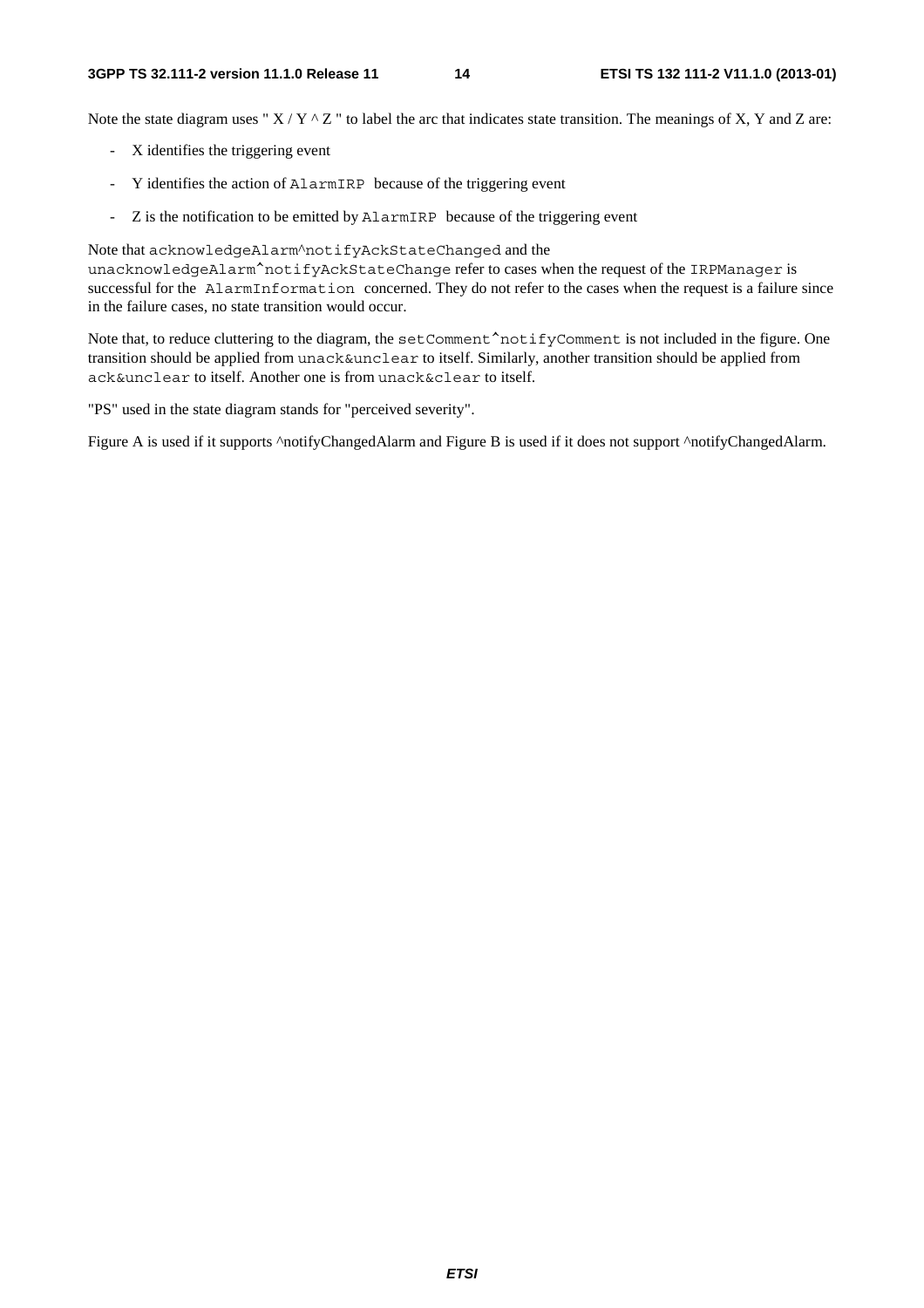Note the state diagram uses " $X/Y \sim Z$ " to label the arc that indicates state transition. The meanings of X, Y and Z are:

- X identifies the triggering event
- Y identifies the action of AlarmIRP because of the triggering event
- Z is the notification to be emitted by AlarmIRP because of the triggering event

Note that acknowledgeAlarm^notifyAckStateChanged and the

unacknowledgeAlarm^notifyAckStateChange refer to cases when the request of the IRPManager is successful for the AlarmInformation concerned. They do not refer to the cases when the request is a failure since in the failure cases, no state transition would occur.

Note that, to reduce cluttering to the diagram, the setComment^notifyComment is not included in the figure. One transition should be applied from unack&unclear to itself. Similarly, another transition should be applied from ack&unclear to itself. Another one is from unack&clear to itself.

"PS" used in the state diagram stands for "perceived severity".

Figure A is used if it supports ^notifyChangedAlarm and Figure B is used if it does not support ^notifyChangedAlarm.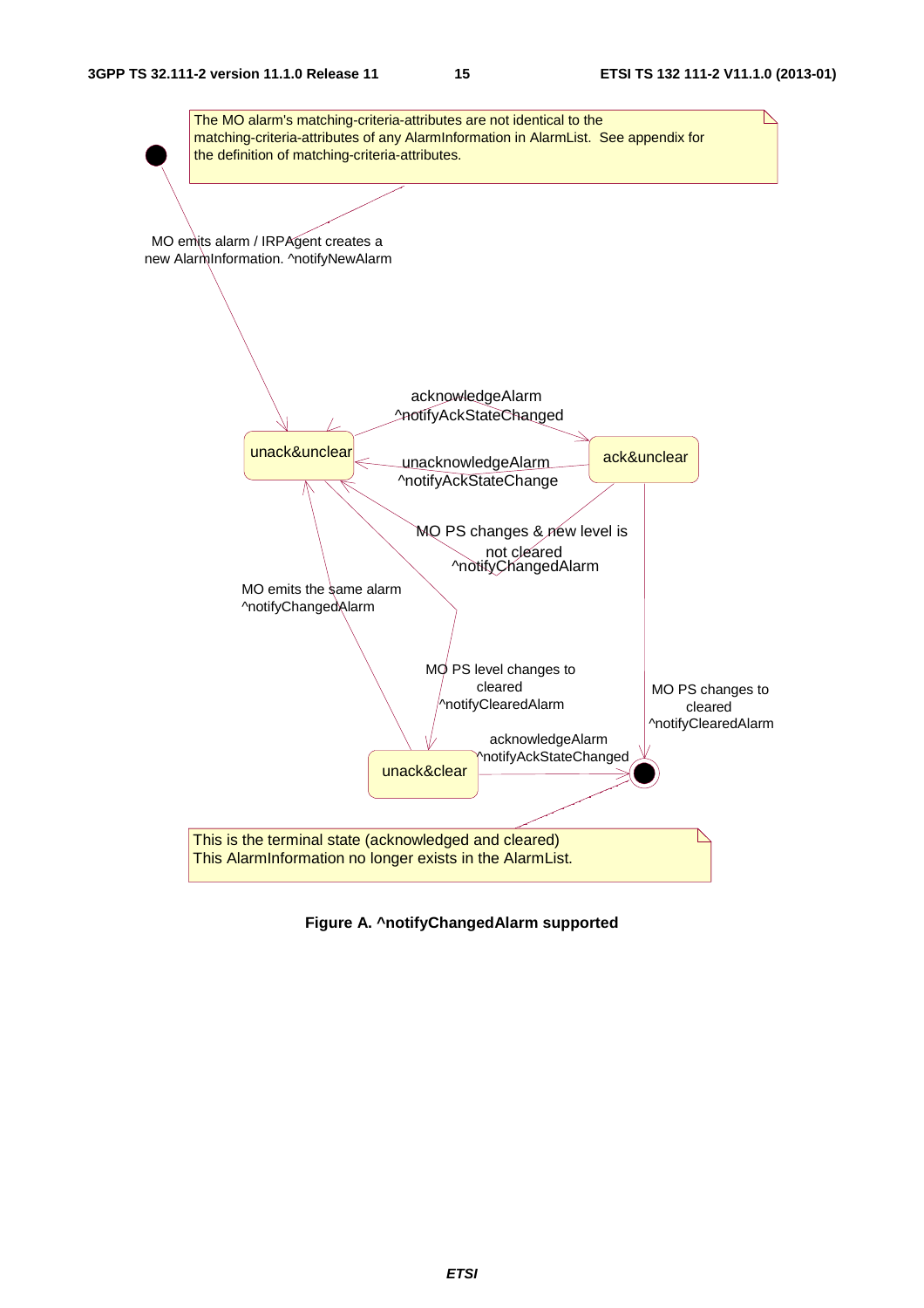

**Figure A. ^notifyChangedAlarm supported**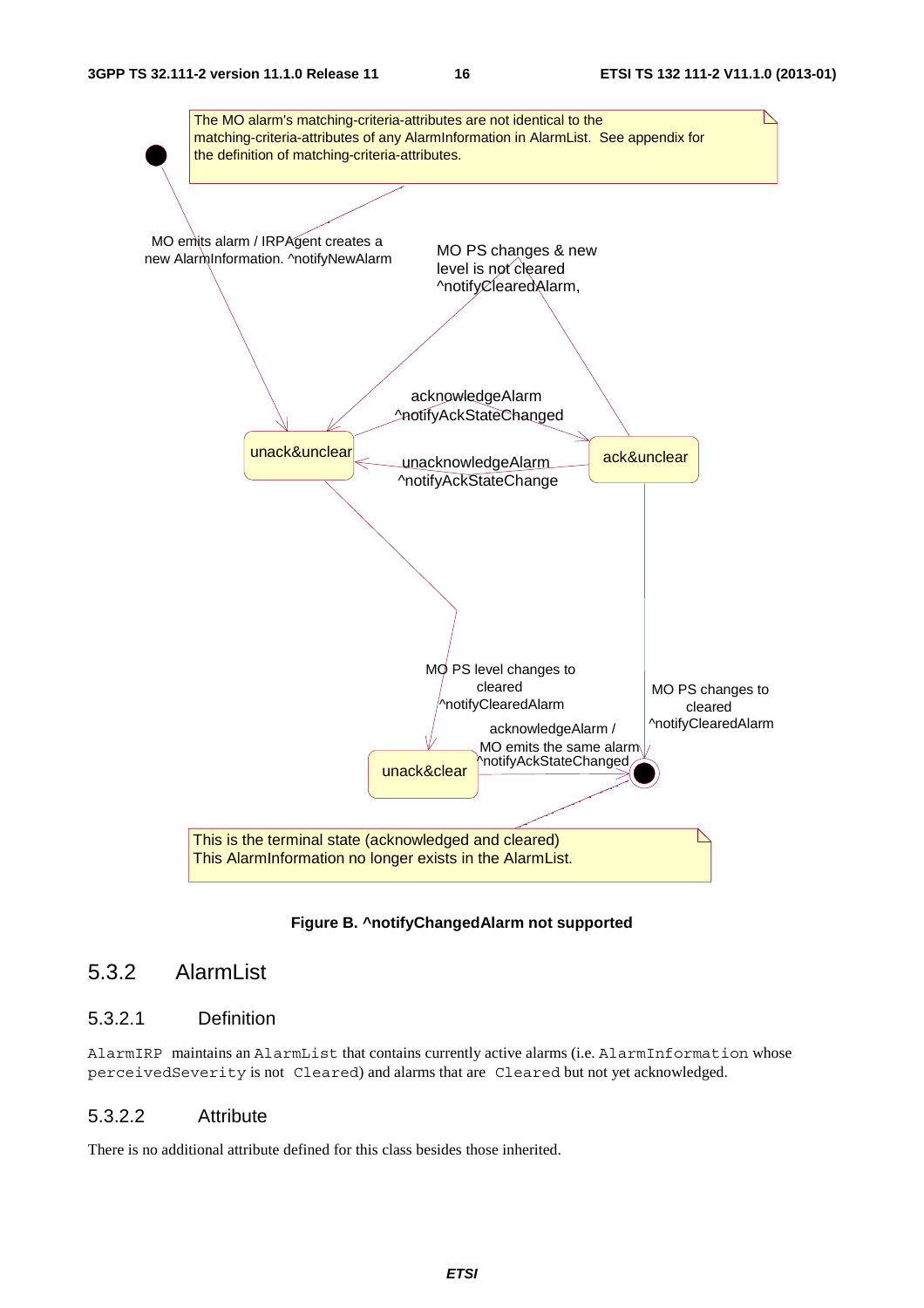

**Figure B. ^notifyChangedAlarm not supported** 

# 5.3.2 AlarmList

## 5.3.2.1 Definition

AlarmIRP maintains an AlarmList that contains currently active alarms (i.e. AlarmInformation whose perceivedSeverity is not Cleared) and alarms that are Cleared but not yet acknowledged.

### 5.3.2.2 Attribute

There is no additional attribute defined for this class besides those inherited.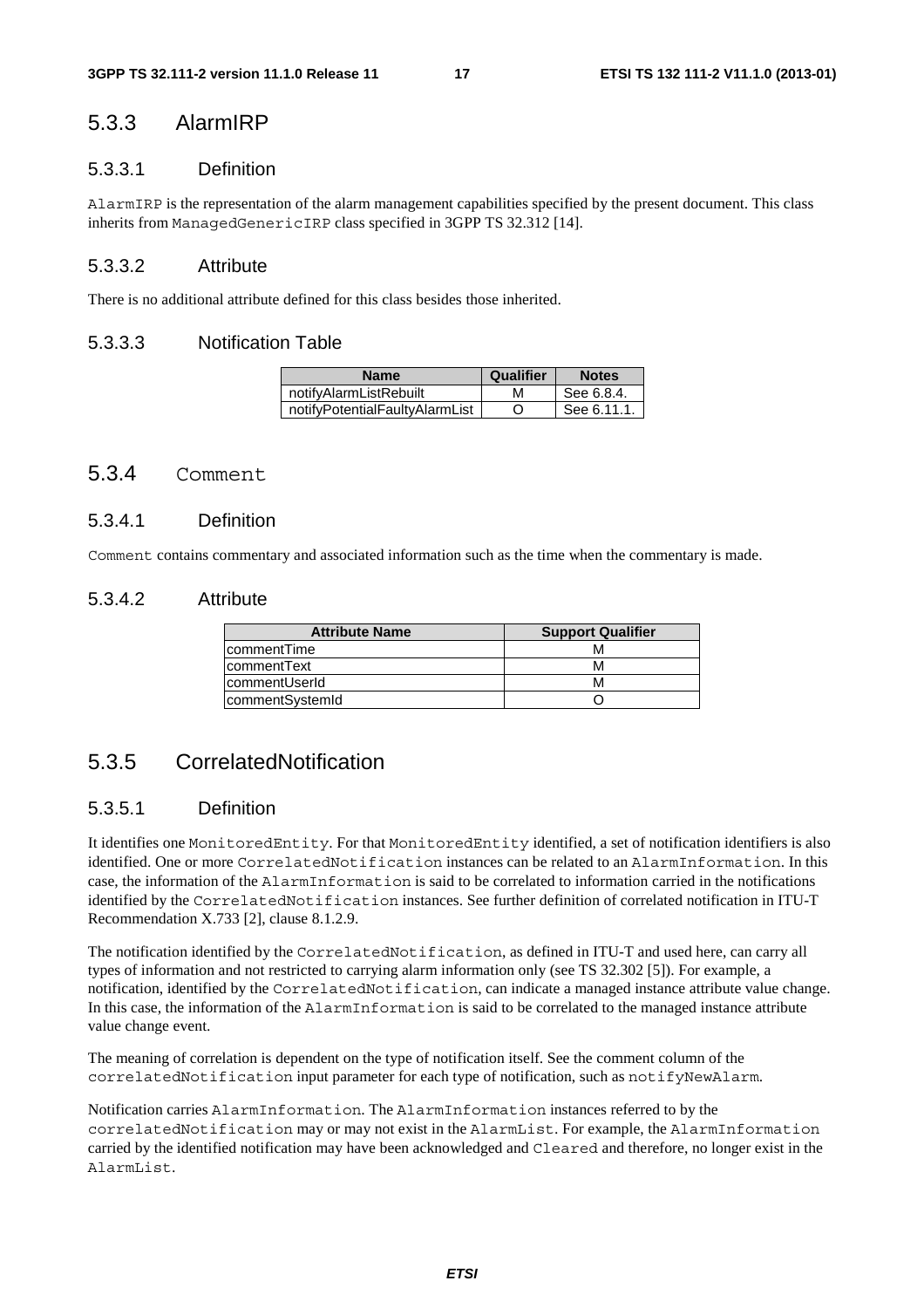# 5.3.3 AlarmIRP

#### 5.3.3.1 Definition

AlarmIRP is the representation of the alarm management capabilities specified by the present document. This class inherits from ManagedGenericIRP class specified in 3GPP TS 32.312 [14].

#### 5.3.3.2 Attribute

There is no additional attribute defined for this class besides those inherited.

#### 5.3.3.3 Notification Table

| <b>Name</b>                    | Qualifier | <b>Notes</b> |
|--------------------------------|-----------|--------------|
| notifyAlarmListRebuilt         | м         | See 6.8.4.   |
| notifyPotentialFaultyAlarmList |           | See 6.11.1.  |

### 5.3.4 Comment

#### 5.3.4.1 Definition

Comment contains commentary and associated information such as the time when the commentary is made.

#### 5.3.4.2 Attribute

| <b>Attribute Name</b> | <b>Support Qualifier</b> |
|-----------------------|--------------------------|
| IcommentTime          |                          |
| <b>IcommentText</b>   |                          |
| lcommentUserId        |                          |
| commentSystemId       |                          |

# 5.3.5 CorrelatedNotification

### 5.3.5.1 Definition

It identifies one MonitoredEntity. For that MonitoredEntity identified, a set of notification identifiers is also identified. One or more CorrelatedNotification instances can be related to an AlarmInformation. In this case, the information of the AlarmInformation is said to be correlated to information carried in the notifications identified by the CorrelatedNotification instances. See further definition of correlated notification in ITU-T Recommendation X.733 [2], clause 8.1.2.9.

The notification identified by the CorrelatedNotification, as defined in ITU-T and used here, can carry all types of information and not restricted to carrying alarm information only (see TS 32.302 [5]). For example, a notification, identified by the CorrelatedNotification, can indicate a managed instance attribute value change. In this case, the information of the AlarmInformation is said to be correlated to the managed instance attribute value change event.

The meaning of correlation is dependent on the type of notification itself. See the comment column of the correlatedNotification input parameter for each type of notification, such as notifyNewAlarm.

Notification carries AlarmInformation. The AlarmInformation instances referred to by the correlatedNotification may or may not exist in the AlarmList. For example, the AlarmInformation carried by the identified notification may have been acknowledged and Cleared and therefore, no longer exist in the AlarmList.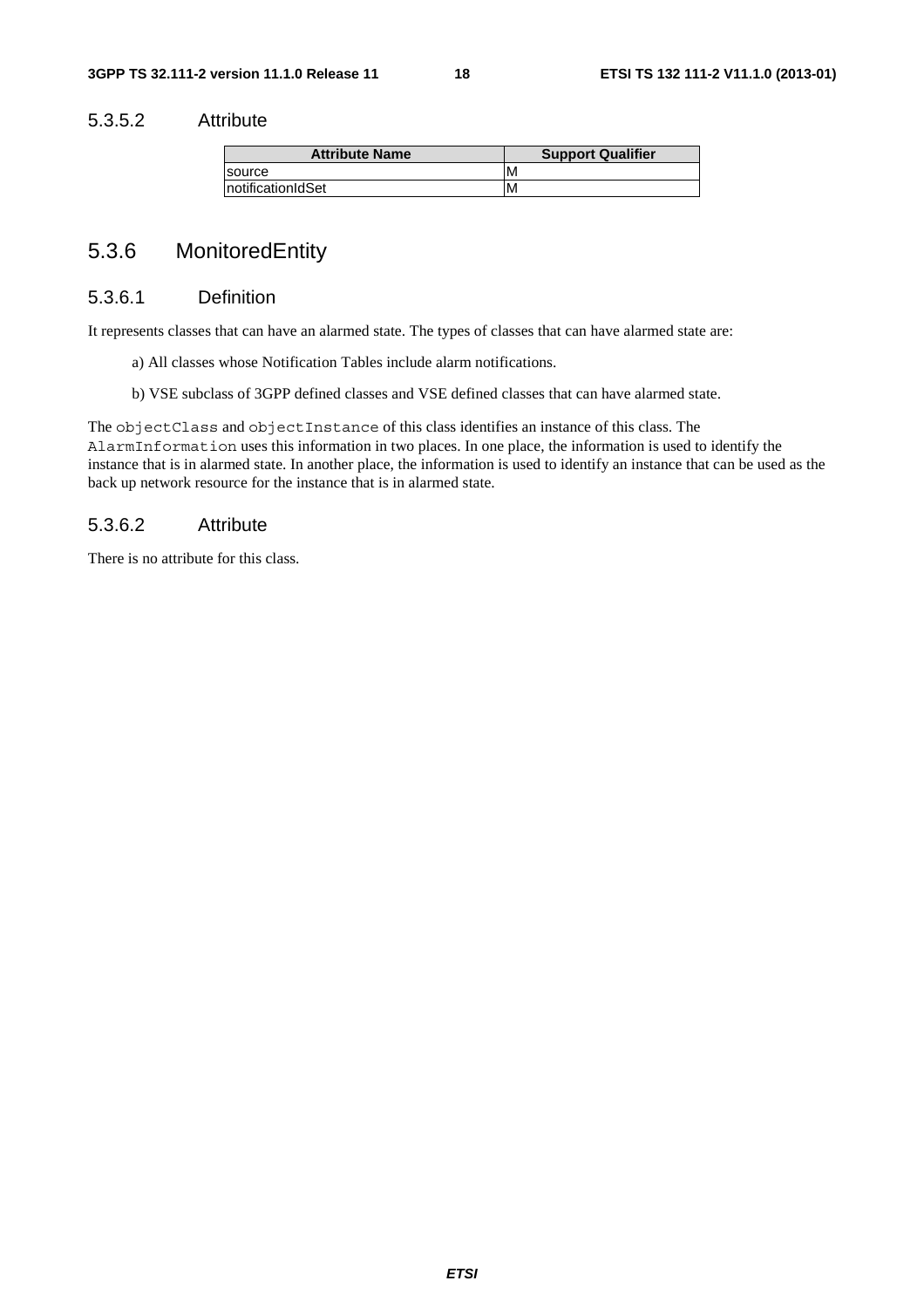### 5.3.5.2 Attribute

| <b>Attribute Name</b> | <b>Support Qualifier</b> |
|-----------------------|--------------------------|
| Isource               | IM.                      |
| InotificationIdSet    | M                        |

# 5.3.6 MonitoredEntity

### 5.3.6.1 Definition

It represents classes that can have an alarmed state. The types of classes that can have alarmed state are:

- a) All classes whose Notification Tables include alarm notifications.
- b) VSE subclass of 3GPP defined classes and VSE defined classes that can have alarmed state.

The objectClass and objectInstance of this class identifies an instance of this class. The AlarmInformation uses this information in two places. In one place, the information is used to identify the instance that is in alarmed state. In another place, the information is used to identify an instance that can be used as the back up network resource for the instance that is in alarmed state.

### 5.3.6.2 Attribute

There is no attribute for this class.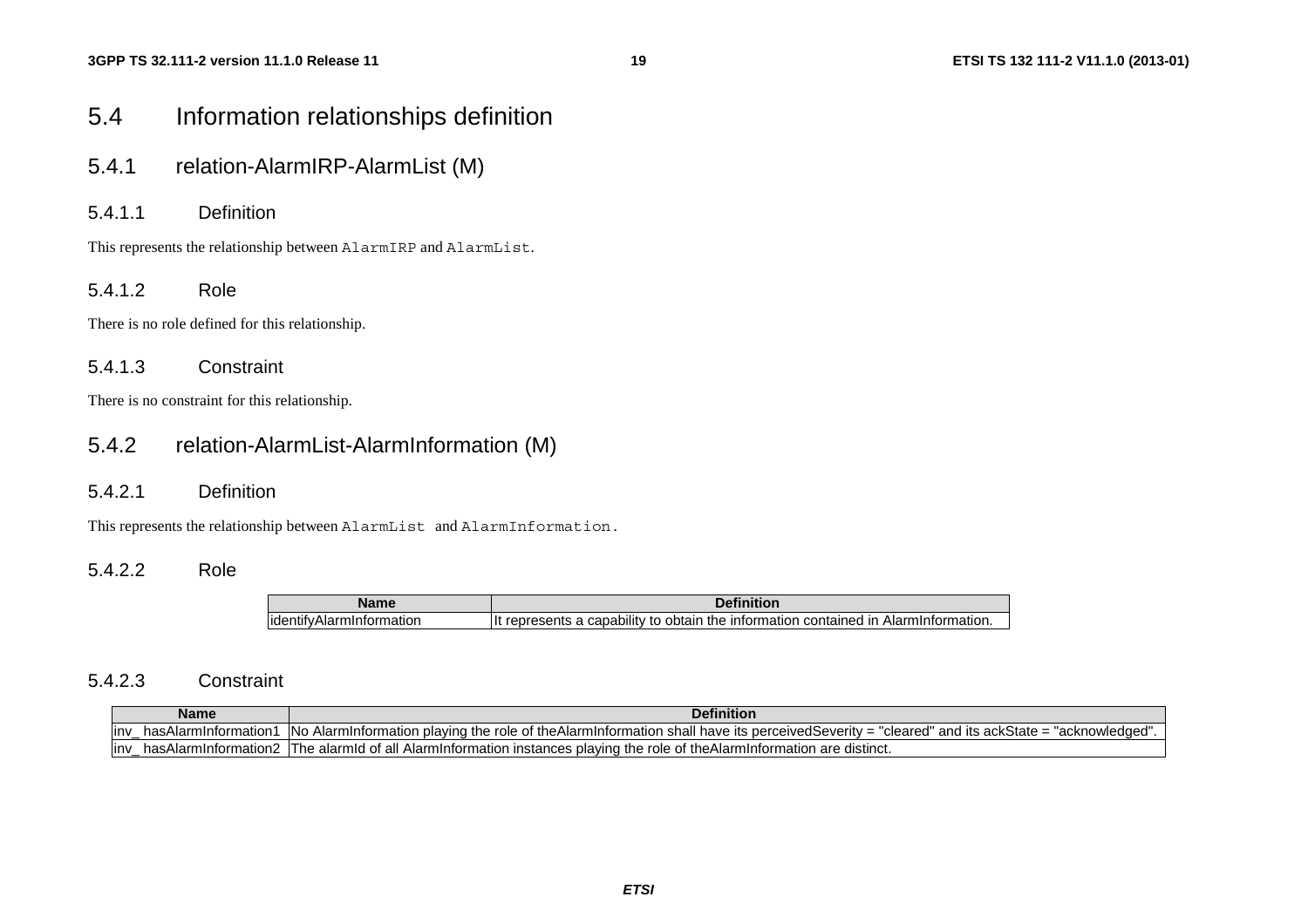# 5.4 Information relationships definition

- 5.4.1 relation-AlarmIRP-AlarmList (M)
- 5.4.1.1 Definition

This represents the relationship between AlarmIRP and AlarmList.

#### $5.4.1.2$ Role

There is no role defined for this relationship.

#### 5.4.1.3 Constraint

There is no constraint for this relationship.

# 5.4.2 relation-AlarmList-AlarmInformation (M)

#### 5.4.2.1 Definition

This represents the relationship between AlarmList and AlarmInformation.

#### $5.4.2.2$ Role

| ----                                        | $\cdots$<br>)efin                                                                                           |  |
|---------------------------------------------|-------------------------------------------------------------------------------------------------------------|--|
| . .<br>identif<br>nauoi<br>п.<br><b>sld</b> | <br>Iŀ<br>. Alart<br>$  -$<br>the<br>contained<br>กhtain<br>ınt<br>۱۱۱۲.<br>ormation<br>ாட<br>sialion.<br>л |  |

#### 5.4.2.3 Constraint

| <b>Definition</b><br><b>Name</b> |                         |                                                                                                                                                                                                               |
|----------------------------------|-------------------------|---------------------------------------------------------------------------------------------------------------------------------------------------------------------------------------------------------------|
| linv                             | .mInformation<br>ları   | -INo<br>ackState =<br>and<br>ົ′≏dSeveritv =<br>perceived<br>"cleared"<br>shall have<br>the<br>∣tS<br><b>Nowledget</b><br>ıts<br>larmi<br>theAlarm<br>Inform<br>าatıoı<br>nm<br>mation<br>piaving<br>' ruie c. |
| linv                             | mInformation2<br>sAlarr | the<br>distinct.<br>ot all<br>e role of theAlarmInformation<br>، AlarmIntormation<br>alarmid<br>nces plaving.<br>are<br>' ne<br>ınstar                                                                        |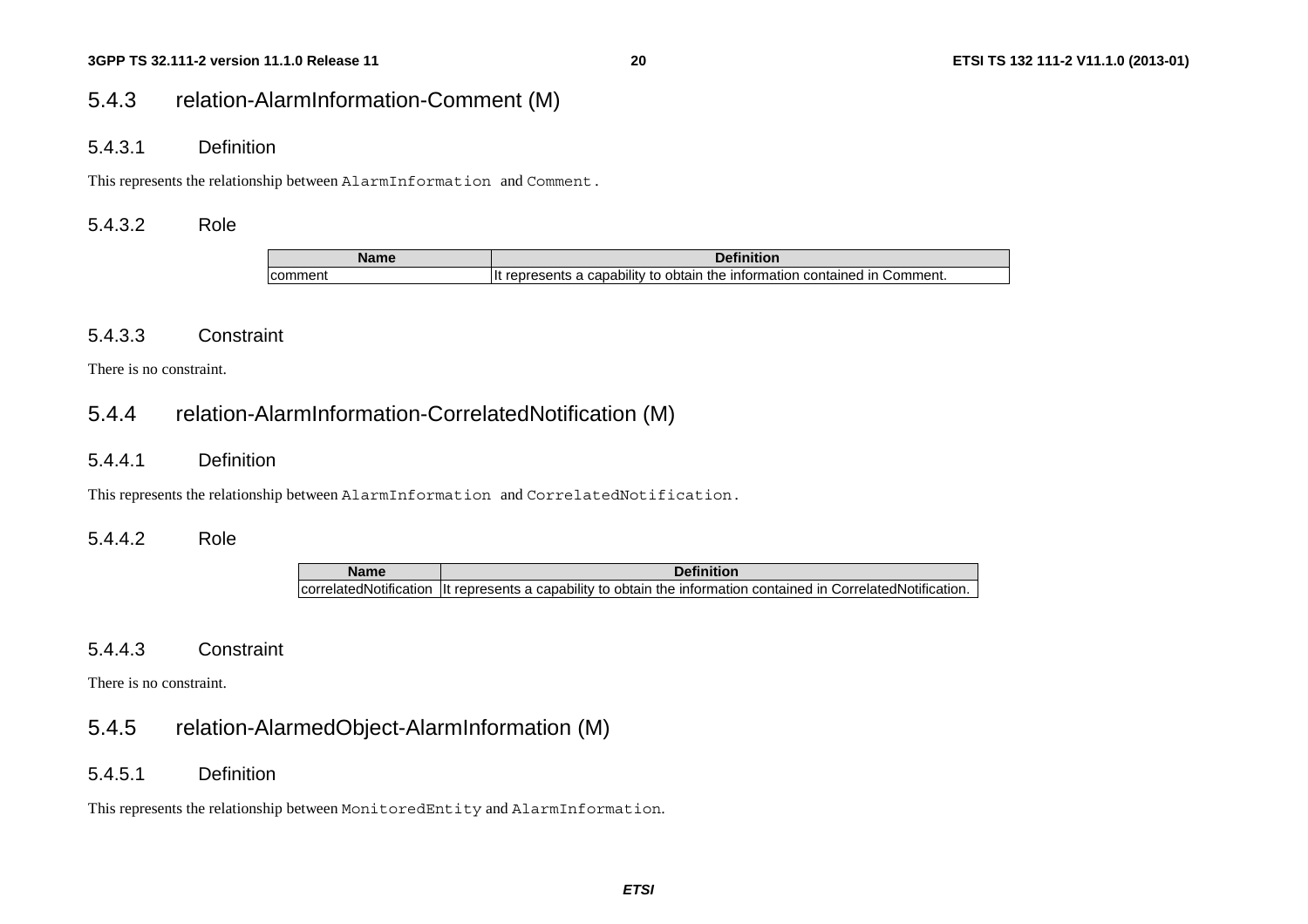# 5.4.3 relation-AlarmInformation-Comment (M)

5.4.3.1 Definition

This represents the relationship between AlarmInformation and Comment.

### 5.4.3.2 Role

| Name    | $D = 0.01$<br>чниот                                                                                               |  |
|---------|-------------------------------------------------------------------------------------------------------------------|--|
| comment | $\cdots$<br>obtain<br>information<br>contained<br>capability<br>∵omment.<br>ın<br>represents a<br>TN <sub>e</sub> |  |

### 5.4.3.3 Constraint

There is no constraint.

# 5.4.4 relation-AlarmInformation-CorrelatedNotification (M)

### 5.4.4.1 Definition

This represents the relationship between AlarmInformation and CorrelatedNotification.

### 5.4.4.2 Role

**Name Definition**correlatedNotification It represents a capability to obtain the information contained in CorrelatedNotification.

### 5.4.4.3 Constraint

There is no constraint.

# 5.4.5 relation-AlarmedObject-AlarmInformation (M)

5.4.5.1 Definition

This represents the relationship between MonitoredEntity and AlarmInformation.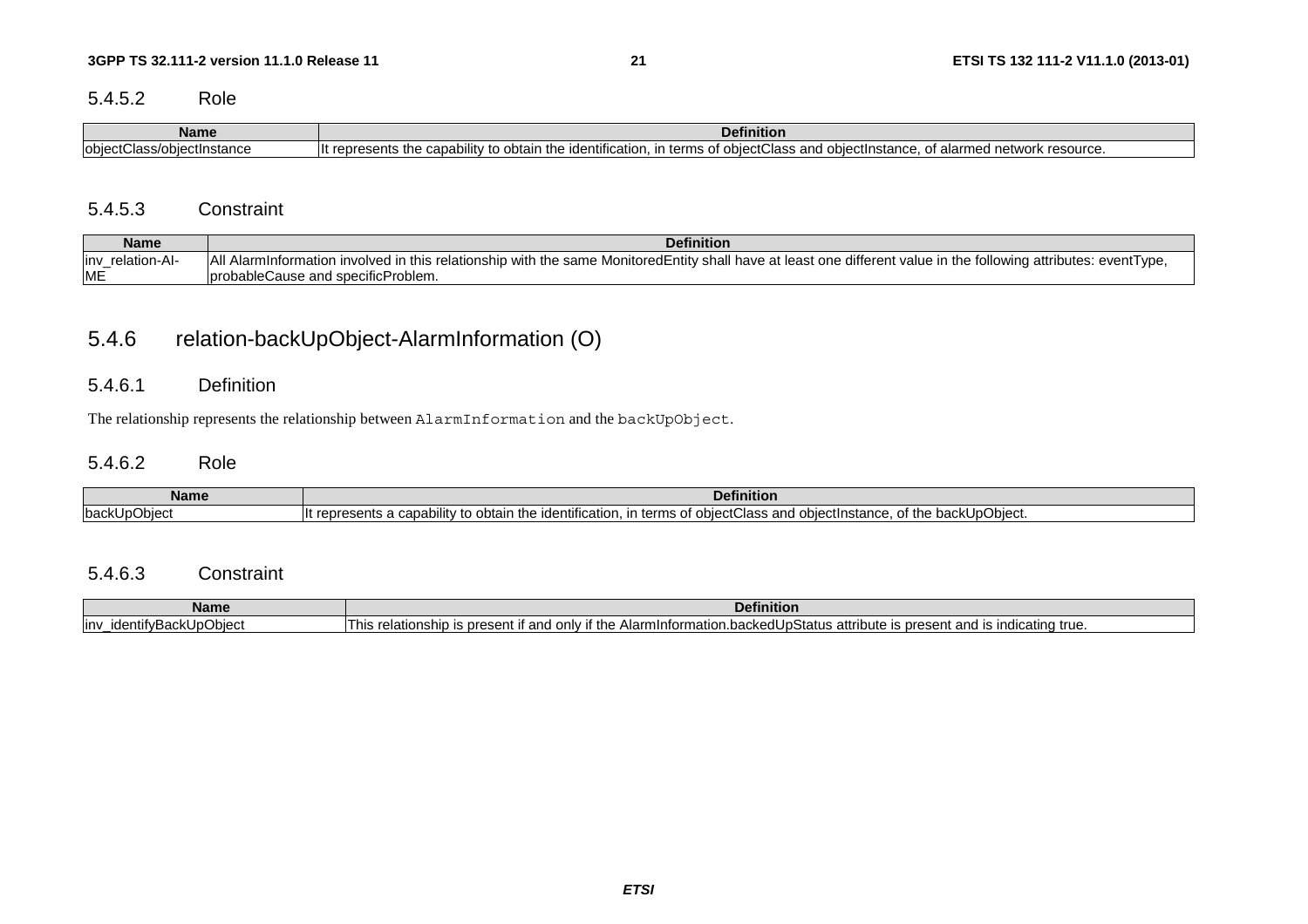#### $5.4.5.2$ Role

| <b>Name</b>                                                  | .<br>Definition                                                                                                                                                                                                                                                                   |  |
|--------------------------------------------------------------|-----------------------------------------------------------------------------------------------------------------------------------------------------------------------------------------------------------------------------------------------------------------------------------|--|
| $\overline{\phantom{a}}$<br>lobiect<br>ass/obiectInstance،ب. | $\cdots$<br>Пt<br>. oonob<br>obta<br>$T = 1$<br>$-11 + 12$<br>i alarmed network resource.<br>$+ -$<br>____<br>™^nraeante …<br>un the identification. In f<br>nna<br>un terms .<br>. rer<br>~<br>wass and dom<br>⊣ונ<br>שט סטרוווס גווי απαγαγαμα<br>.<br>.<br><br>ט שווי<br>انتاد |  |

#### 5.4.5.3 Constraint

| Name              | <b>Definition</b>                                                                                                                                                |
|-------------------|------------------------------------------------------------------------------------------------------------------------------------------------------------------|
| linv relation-AI- | All Alarminformation involved in this relationship with the same MonitoredEntity shall have at least one different value in the following attributes: eventType, |
| <b>ME</b>         | probableCause and specificProblem.                                                                                                                               |

# 5.4.6 relation-backUpObject-AlarmInformation (O)

#### 5.4.6.1 Definition

The relationship represents the relationship between AlarmInformation and the backUpObject.

#### $5.4.6.2$ Role

| <b>Name</b>                          | <b>Definition</b>                                                                                                                                                                                                                                                    |  |
|--------------------------------------|----------------------------------------------------------------------------------------------------------------------------------------------------------------------------------------------------------------------------------------------------------------------|--|
| $\bigcap_{i=1}^{n}$<br>IbackUpObject | .<br>$\overline{\phantom{a}}$<br>* the .<br>…e identificatio‴<br>In<br>`}hi∆∩<br>+h<br>$\sim$ hiooth<br>and<br>a capabili<br>ıtv<br>2000<br>_objectInstance<br>obtain<br>tΩ<br>oresents `<br>terms<br>∙re.<br>wwaaa<br>…ν υαυΝ∪μ∪υισυι.<br>, UUICUII ISIAHUC.<br>. . |  |

#### 5.4.6.3 Constraint

| <b>Name</b>                                       | ™efinition                                                                                                                                                                                                  |
|---------------------------------------------------|-------------------------------------------------------------------------------------------------------------------------------------------------------------------------------------------------------------|
| upObiectہ ہے۔<br>inv<br>$\cdots$<br>iden<br>utvL' | า indicatind true.<br>Alarmintormation<br>.0001<br>nn<br>only<br>` the<br>Status<br>้วute<br>his<br>present<br>t and is<br>оасі<br>s present.<br>- 15<br>аш<br>…snid "<br>, <del>.</del><br>a<br>. .<br>. . |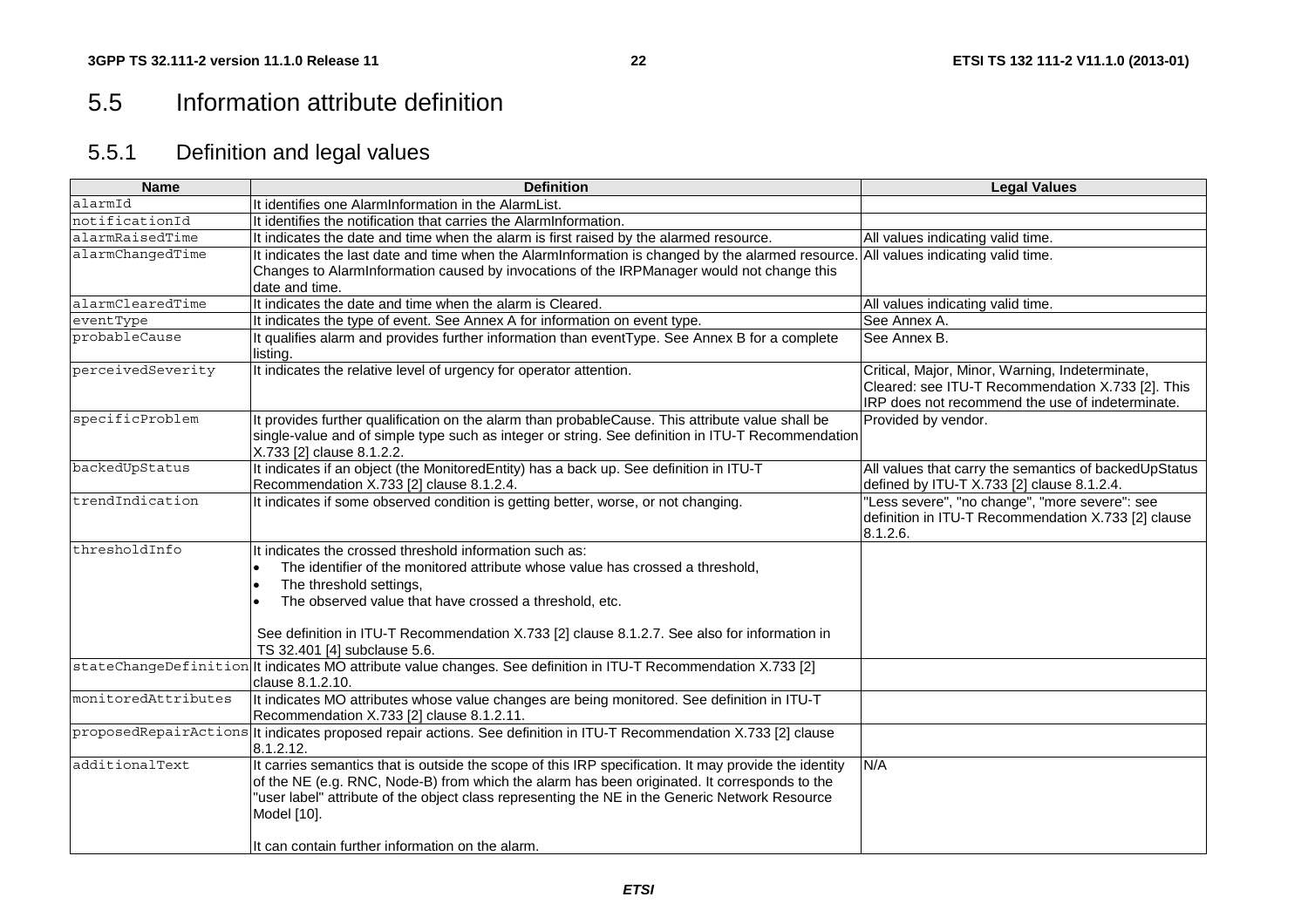# 5.5 Information attribute definition

# 5.5.1 Definition and legal values

| <b>Name</b>         | <b>Definition</b>                                                                                                                                                                                                                                                                                                                                                          | <b>Legal Values</b>                                                                                               |
|---------------------|----------------------------------------------------------------------------------------------------------------------------------------------------------------------------------------------------------------------------------------------------------------------------------------------------------------------------------------------------------------------------|-------------------------------------------------------------------------------------------------------------------|
| alarmId             | It identifies one AlarmInformation in the AlarmList.                                                                                                                                                                                                                                                                                                                       |                                                                                                                   |
| notificationId      | It identifies the notification that carries the AlarmInformation.                                                                                                                                                                                                                                                                                                          |                                                                                                                   |
| alarmRaisedTime     | It indicates the date and time when the alarm is first raised by the alarmed resource.                                                                                                                                                                                                                                                                                     | All values indicating valid time.                                                                                 |
| alarmChangedTime    | It indicates the last date and time when the AlarmInformation is changed by the alarmed resource.<br>Changes to AlarmInformation caused by invocations of the IRPManager would not change this                                                                                                                                                                             | All values indicating valid time.                                                                                 |
|                     | date and time.                                                                                                                                                                                                                                                                                                                                                             |                                                                                                                   |
| alarmClearedTime    | It indicates the date and time when the alarm is Cleared.                                                                                                                                                                                                                                                                                                                  | All values indicating valid time.                                                                                 |
| eventType           | It indicates the type of event. See Annex A for information on event type.                                                                                                                                                                                                                                                                                                 | See Annex A.                                                                                                      |
| probableCause       | It qualifies alarm and provides further information than eventType. See Annex B for a complete<br>listing.                                                                                                                                                                                                                                                                 | See Annex B.                                                                                                      |
| perceivedSeverity   | It indicates the relative level of urgency for operator attention.                                                                                                                                                                                                                                                                                                         | Critical, Major, Minor, Warning, Indeterminate,<br>Cleared: see ITU-T Recommendation X.733 [2]. This              |
|                     |                                                                                                                                                                                                                                                                                                                                                                            | IRP does not recommend the use of indeterminate.                                                                  |
| specificProblem     | It provides further qualification on the alarm than probableCause. This attribute value shall be<br>single-value and of simple type such as integer or string. See definition in ITU-T Recommendation<br>X.733 [2] clause 8.1.2.2.                                                                                                                                         | Provided by vendor.                                                                                               |
| backedUpStatus      | It indicates if an object (the MonitoredEntity) has a back up. See definition in ITU-T<br>Recommendation X.733 [2] clause 8.1.2.4.                                                                                                                                                                                                                                         | All values that carry the semantics of backedUpStatus<br>defined by ITU-T X.733 [2] clause 8.1.2.4.               |
| trendIndication     | It indicates if some observed condition is getting better, worse, or not changing.                                                                                                                                                                                                                                                                                         | 'Less severe", "no change", "more severe": see<br>definition in ITU-T Recommendation X.733 [2] clause<br>8.1.2.6. |
| thresholdInfo       | It indicates the crossed threshold information such as:<br>The identifier of the monitored attribute whose value has crossed a threshold,<br>The threshold settings,<br>The observed value that have crossed a threshold, etc.<br>See definition in ITU-T Recommendation X.733 [2] clause 8.1.2.7. See also for information in<br>TS 32.401 [4] subclause 5.6.             |                                                                                                                   |
|                     | stateChangeDefinition   It indicates MO attribute value changes. See definition in ITU-T Recommendation X.733 [2]<br>clause 8.1.2.10.                                                                                                                                                                                                                                      |                                                                                                                   |
| monitoredAttributes | It indicates MO attributes whose value changes are being monitored. See definition in ITU-T<br>Recommendation X.733 [2] clause 8.1.2.11.                                                                                                                                                                                                                                   |                                                                                                                   |
|                     | proposedRepairActions   It indicates proposed repair actions. See definition in ITU-T Recommendation X.733 [2] clause<br>8.1.2.12.                                                                                                                                                                                                                                         |                                                                                                                   |
| additionalText      | It carries semantics that is outside the scope of this IRP specification. It may provide the identity<br>of the NE (e.g. RNC, Node-B) from which the alarm has been originated. It corresponds to the<br>'user label" attribute of the object class representing the NE in the Generic Network Resource<br>Model [10].<br>It can contain further information on the alarm. | N/A                                                                                                               |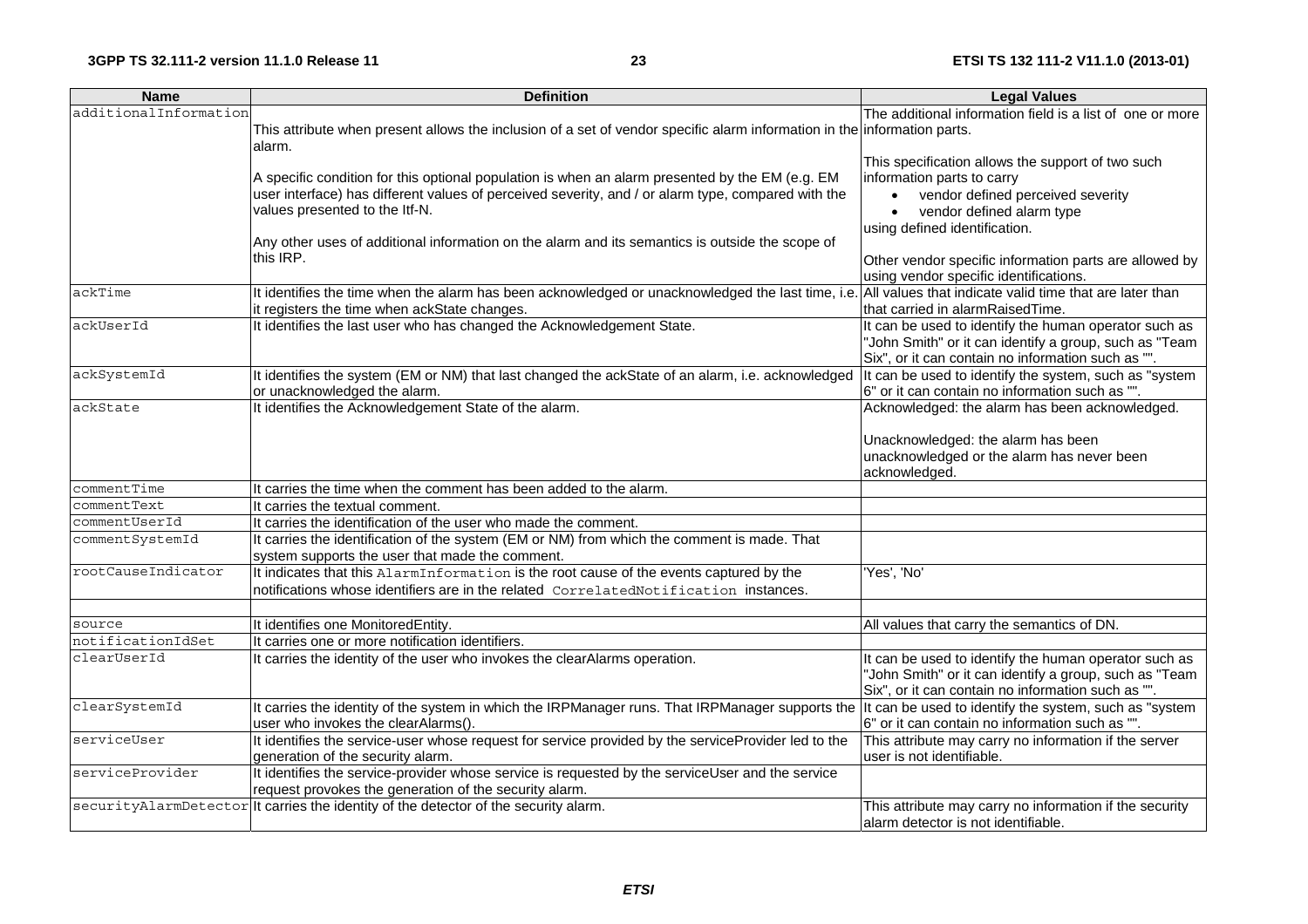#### **23 ETSI TS 132 111-2 V11.1.0 (2013-01)**

| <b>Name</b>           | <b>Definition</b>                                                                                                                                                                                         | <b>Legal Values</b>                                                                                          |  |
|-----------------------|-----------------------------------------------------------------------------------------------------------------------------------------------------------------------------------------------------------|--------------------------------------------------------------------------------------------------------------|--|
| additionalInformation |                                                                                                                                                                                                           | The additional information field is a list of one or more                                                    |  |
|                       | This attribute when present allows the inclusion of a set of vendor specific alarm information in the information parts.                                                                                  |                                                                                                              |  |
|                       | alarm.                                                                                                                                                                                                    |                                                                                                              |  |
|                       |                                                                                                                                                                                                           | This specification allows the support of two such                                                            |  |
|                       | A specific condition for this optional population is when an alarm presented by the EM (e.g. EM                                                                                                           | information parts to carry                                                                                   |  |
|                       | user interface) has different values of perceived severity, and / or alarm type, compared with the                                                                                                        | vendor defined perceived severity<br>$\bullet$                                                               |  |
|                       | values presented to the Itf-N.                                                                                                                                                                            | vendor defined alarm type<br>$\bullet$                                                                       |  |
|                       |                                                                                                                                                                                                           | using defined identification.                                                                                |  |
|                       | Any other uses of additional information on the alarm and its semantics is outside the scope of<br>this IRP.                                                                                              |                                                                                                              |  |
|                       |                                                                                                                                                                                                           | Other vendor specific information parts are allowed by                                                       |  |
| ackTime               |                                                                                                                                                                                                           | using vendor specific identifications.                                                                       |  |
|                       | It identifies the time when the alarm has been acknowledged or unacknowledged the last time, i.e. All values that indicate valid time that are later than<br>it registers the time when ackState changes. | that carried in alarmRaisedTime.                                                                             |  |
| ackUserId             | It identifies the last user who has changed the Acknowledgement State.                                                                                                                                    | It can be used to identify the human operator such as                                                        |  |
|                       |                                                                                                                                                                                                           | 'John Smith" or it can identify a group, such as "Team                                                       |  |
|                       |                                                                                                                                                                                                           | Six", or it can contain no information such as "".                                                           |  |
| ackSystemId           | It identifies the system (EM or NM) that last changed the ackState of an alarm, i.e. acknowledged                                                                                                         | It can be used to identify the system, such as "system                                                       |  |
|                       | or unacknowledged the alarm.                                                                                                                                                                              | 6" or it can contain no information such as "".                                                              |  |
| ackState              | It identifies the Acknowledgement State of the alarm.                                                                                                                                                     | Acknowledged: the alarm has been acknowledged.                                                               |  |
|                       |                                                                                                                                                                                                           |                                                                                                              |  |
|                       |                                                                                                                                                                                                           | Unacknowledged: the alarm has been                                                                           |  |
|                       |                                                                                                                                                                                                           | unacknowledged or the alarm has never been                                                                   |  |
|                       |                                                                                                                                                                                                           | acknowledged.                                                                                                |  |
| commentTime           | It carries the time when the comment has been added to the alarm.                                                                                                                                         |                                                                                                              |  |
| commentText           | It carries the textual comment.                                                                                                                                                                           |                                                                                                              |  |
| commentUserId         | It carries the identification of the user who made the comment.                                                                                                                                           |                                                                                                              |  |
| commentSystemId       | It carries the identification of the system (EM or NM) from which the comment is made. That                                                                                                               |                                                                                                              |  |
|                       | system supports the user that made the comment.                                                                                                                                                           |                                                                                                              |  |
| rootCauseIndicator    | It indicates that this AlarmInformation is the root cause of the events captured by the                                                                                                                   | 'Yes', 'No'                                                                                                  |  |
|                       | notifications whose identifiers are in the related CorrelatedNotification instances.                                                                                                                      |                                                                                                              |  |
|                       |                                                                                                                                                                                                           |                                                                                                              |  |
| source                | It identifies one MonitoredEntity.                                                                                                                                                                        | All values that carry the semantics of DN.                                                                   |  |
| notificationIdSet     | It carries one or more notification identifiers.                                                                                                                                                          |                                                                                                              |  |
| clearUserId           | It carries the identity of the user who invokes the clearAlarms operation.                                                                                                                                | It can be used to identify the human operator such as                                                        |  |
|                       |                                                                                                                                                                                                           | 'John Smith" or it can identify a group, such as "Team                                                       |  |
| clearSystemId         |                                                                                                                                                                                                           | Six", or it can contain no information such as "".<br>It can be used to identify the system, such as "system |  |
|                       | It carries the identity of the system in which the IRPManager runs. That IRPManager supports the<br>user who invokes the clearAlarms().                                                                   | 6" or it can contain no information such as "".                                                              |  |
| serviceUser           | It identifies the service-user whose request for service provided by the serviceProvider led to the                                                                                                       | This attribute may carry no information if the server                                                        |  |
|                       | generation of the security alarm.                                                                                                                                                                         | user is not identifiable.                                                                                    |  |
| serviceProvider       | It identifies the service-provider whose service is requested by the serviceUser and the service                                                                                                          |                                                                                                              |  |
|                       | request provokes the generation of the security alarm.                                                                                                                                                    |                                                                                                              |  |
|                       | securityAlarmDetector It carries the identity of the detector of the security alarm.                                                                                                                      | This attribute may carry no information if the security                                                      |  |
|                       |                                                                                                                                                                                                           | alarm detector is not identifiable.                                                                          |  |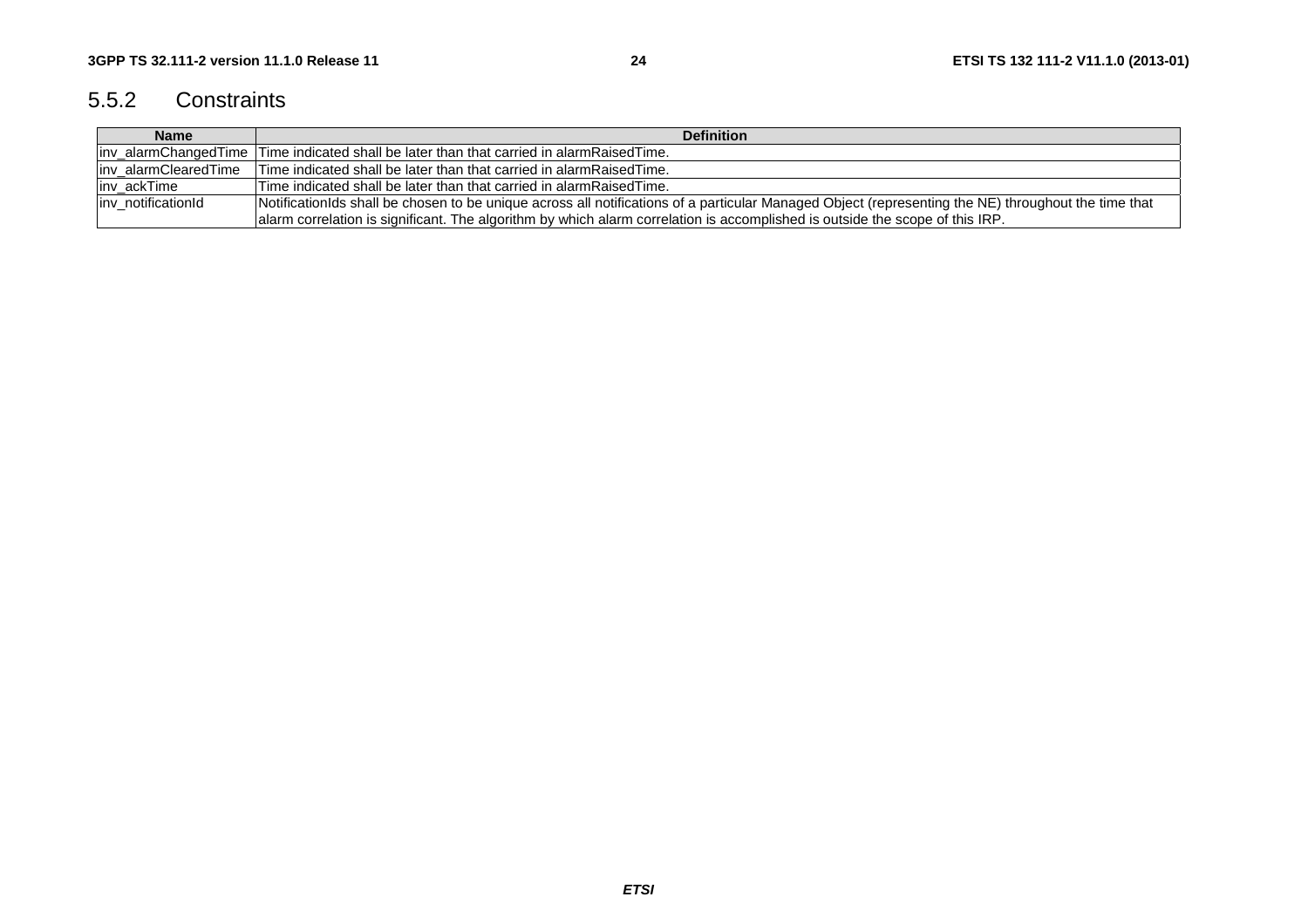# 5.5.2 Constraints

| <b>Name</b>           | <b>Definition</b>                                                                                                                                   |  |  |
|-----------------------|-----------------------------------------------------------------------------------------------------------------------------------------------------|--|--|
|                       | liny alarmChangedTime Time indicated shall be later than that carried in alarmRaisedTime.                                                           |  |  |
| linv alarmClearedTime | Time indicated shall be later than that carried in alarmRaisedTime.                                                                                 |  |  |
| linv ackTime          | Time indicated shall be later than that carried in alarmRaisedTime.                                                                                 |  |  |
| inv notificationId    | NotificationIds shall be chosen to be unique across all notifications of a particular Managed Object (representing the NE) throughout the time that |  |  |
|                       | alarm correlation is significant. The algorithm by which alarm correlation is accomplished is outside the scope of this IRP.                        |  |  |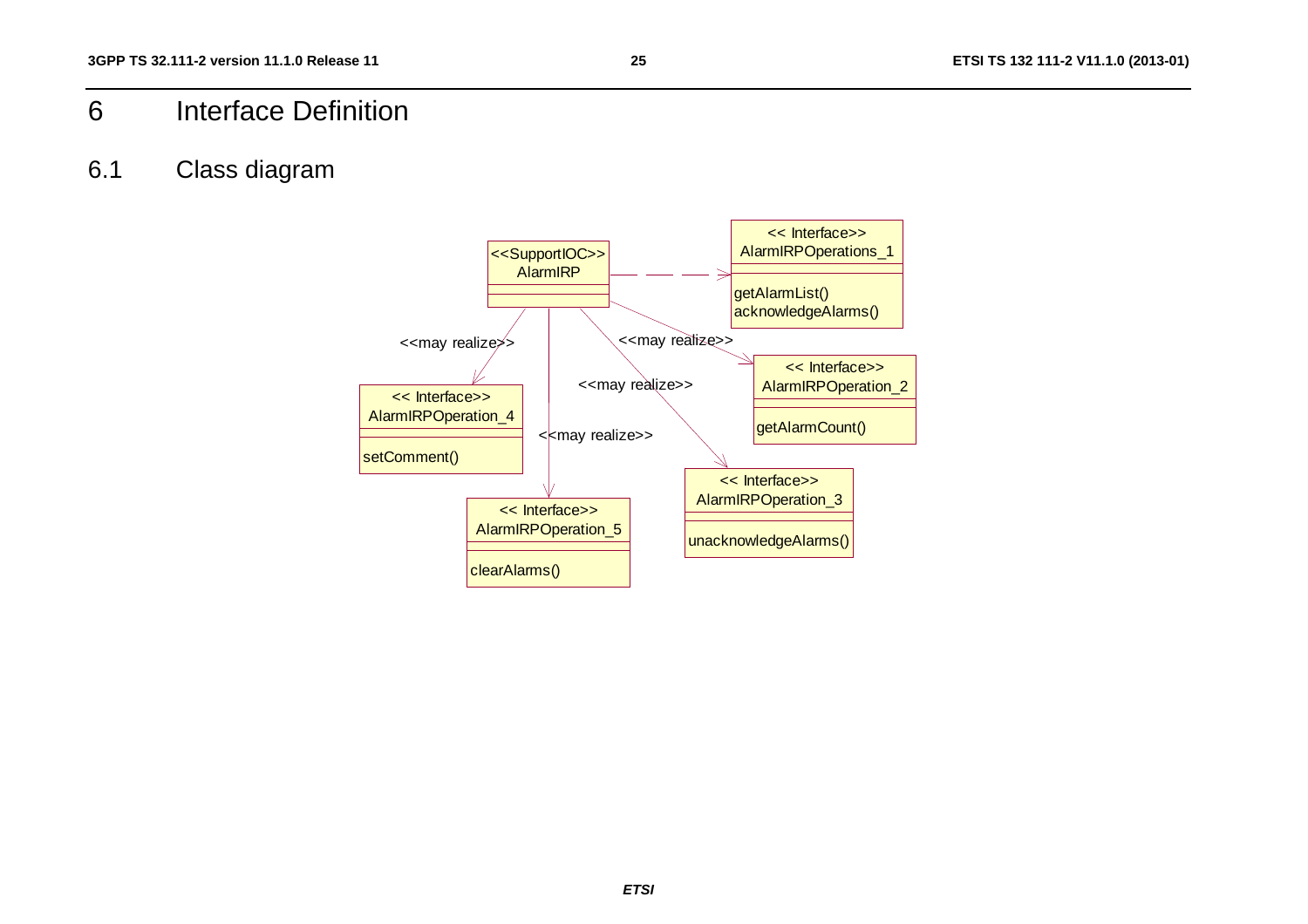# 6 Interface Definition

# 6.1 Class diagram

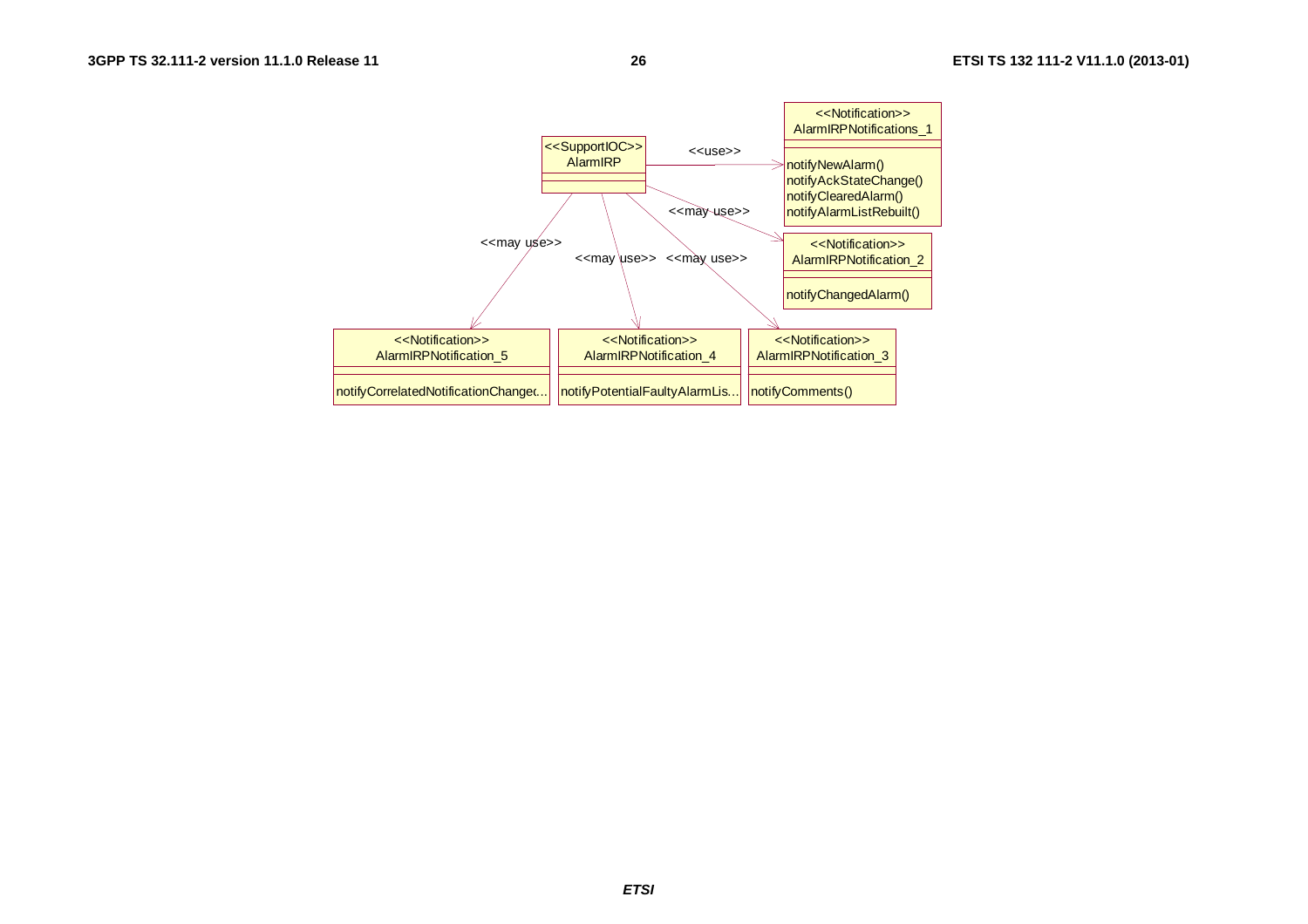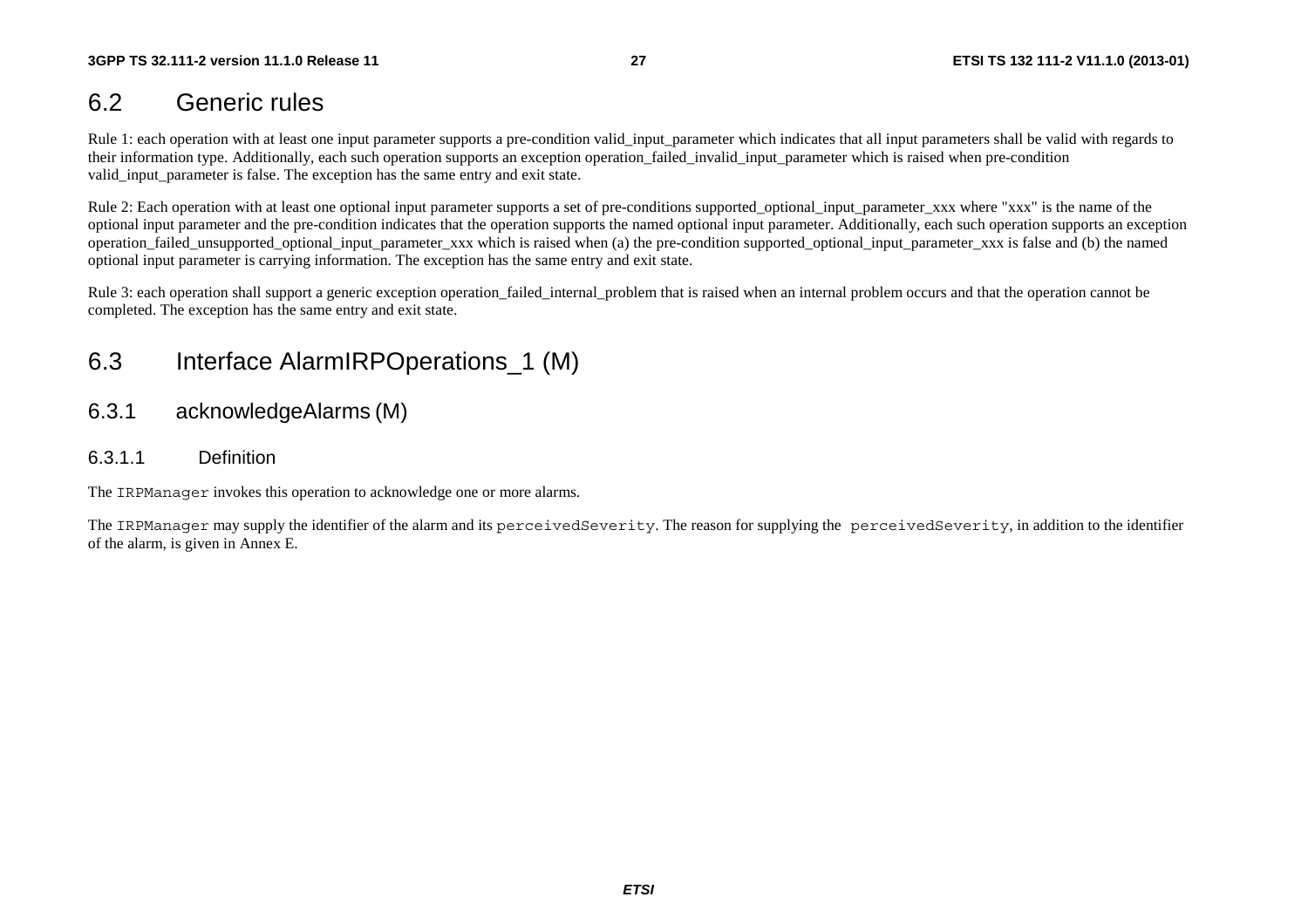# 6.2 Generic rules

Rule 1: each operation with at least one input parameter supports a pre-condition valid\_input\_parameter which indicates that all input parameters shall be valid with regards to their information type. Additionally, each such operation supports an exception operation failed invalid input parameter which is raised when pre-condition valid input parameter is false. The exception has the same entry and exit state.

Rule 2: Each operation with at least one optional input parameter supports a set of pre-conditions supported optional input parameter xxx where "xxx" is the name of the optional input parameter and the pre-condition indicates that the operation supports the named optional input parameter. Additionally, each such operation supports an exception operation\_failed\_unsupported\_optional\_input\_parameter\_xxx which is raised when (a) the pre-condition supported\_optional\_input\_parameter\_xxx is false and (b) the named optional input parameter is carrying information. The exception has the same entry and exit state.

Rule 3: each operation shall support a generic exception operation\_failed\_internal\_problem that is raised when an internal problem occurs and that the operation cannot be completed. The exception has the same entry and exit state.

# 6.3 Interface AlarmIRPOperations\_1 (M)

- 6.3.1 acknowledgeAlarms (M)
- 6.3.1.1 Definition

The IRPManager invokes this operation to acknowledge one or more alarms.

The IRPManager may supply the identifier of the alarm and its perceivedSeverity. The reason for supplying the perceivedSeverity, in addition to the identifier of the alarm, is given in Annex E.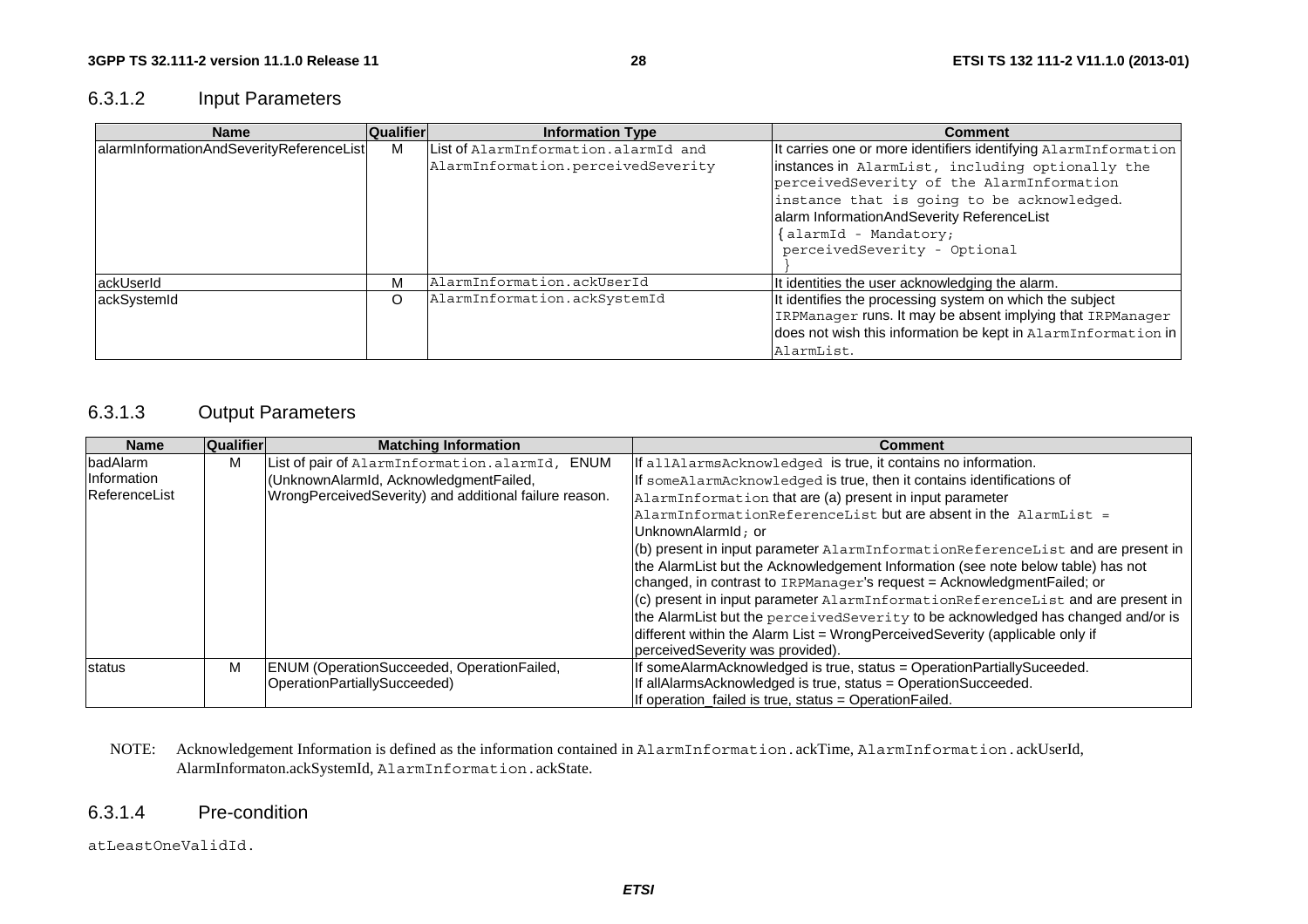# 6.3.1.2 Input Parameters

| <b>Name</b>                              | <b>Qualifier</b> | <b>Information Type</b>              | <b>Comment</b>                                                                                |
|------------------------------------------|------------------|--------------------------------------|-----------------------------------------------------------------------------------------------|
| alarmInformationAndSeverityReferenceList | м                | List of AlarmInformation.alarmId and | It carries one or more identifiers identifying AlarmInformation                               |
|                                          |                  | AlarmInformation.perceivedSeverity   | instances in AlarmList, including optionally the<br>perceivedSeverity of the AlarmInformation |
|                                          |                  |                                      | instance that is going to be acknowledged.<br>alarm InformationAndSeverity ReferenceList      |
|                                          |                  |                                      | {alarmId - Mandatory;                                                                         |
|                                          |                  |                                      | perceivedSeverity - Optional                                                                  |
| ackUserId                                | М                | AlarmInformation.ackUserId           | It identities the user acknowledging the alarm.                                               |
| ackSystemId                              | O                | AlarmInformation.ackSystemId         | It identifies the processing system on which the subject                                      |
|                                          |                  |                                      | IRPManager runs. It may be absent implying that IRPManager                                    |
|                                          |                  |                                      | does not wish this information be kept in AlarmInformation in                                 |
|                                          |                  |                                      | AlarmList.                                                                                    |

### 6.3.1.3 Output Parameters

| <b>Name</b>   | Qualifier | <b>Matching Information</b>                            | Comment                                                                                    |
|---------------|-----------|--------------------------------------------------------|--------------------------------------------------------------------------------------------|
| badAlarm      | М         | List of pair of AlarmInformation.alarmId,<br>ENUM      | If allAlarmsAcknowledged is true, it contains no information.                              |
| Information   |           | (UnknownAlarmId, AcknowledgmentFailed,                 | If someAlarmAcknowledged is true, then it contains identifications of                      |
| ReferenceList |           | WrongPerceivedSeverity) and additional failure reason. | AlarmInformation that are (a) present in input parameter                                   |
|               |           |                                                        | $\Delta$ larmInformationReferenceList but are absent in the $\Delta$ larmList =            |
|               |           |                                                        | UnknownAlarmId: or                                                                         |
|               |           |                                                        | $(6)$ present in input parameter $\text{AlarmInformationReferenceList}$ and are present in |
|               |           |                                                        | the AlarmList but the Acknowledgement Information (see note below table) has not           |
|               |           |                                                        | changed, in contrast to IRPManager's request = Acknowledgment Failed; or                   |
|               |           |                                                        | (c) present in input parameter AlarmInformationReferenceList and are present in            |
|               |           |                                                        | the AlarmList but the perceivedSeverity to be acknowledged has changed and/or is           |
|               |           |                                                        | different within the Alarm List = WrongPerceivedSeverity (applicable only if               |
|               |           |                                                        | perceivedSeverity was provided).                                                           |
| status        | M         | ENUM (OperationSucceeded, OperationFailed,             | If someAlarmAcknowledged is true, status = OperationPartiallySuceeded.                     |
|               |           | OperationPartiallySucceeded)                           | If allAlarmsAcknowledged is true, status = OperationSucceeded.                             |
|               |           |                                                        | If operation failed is true, status = Operation Failed.                                    |

#### NOTE: Acknowledgement Information is defined as the information contained in AlarmInformation.ackTime, AlarmInformation.ackUserId, AlarmInformaton.ackSystemId, AlarmInformation.ackState.

### 6.3.1.4 Pre-condition

atLeastOneValidId.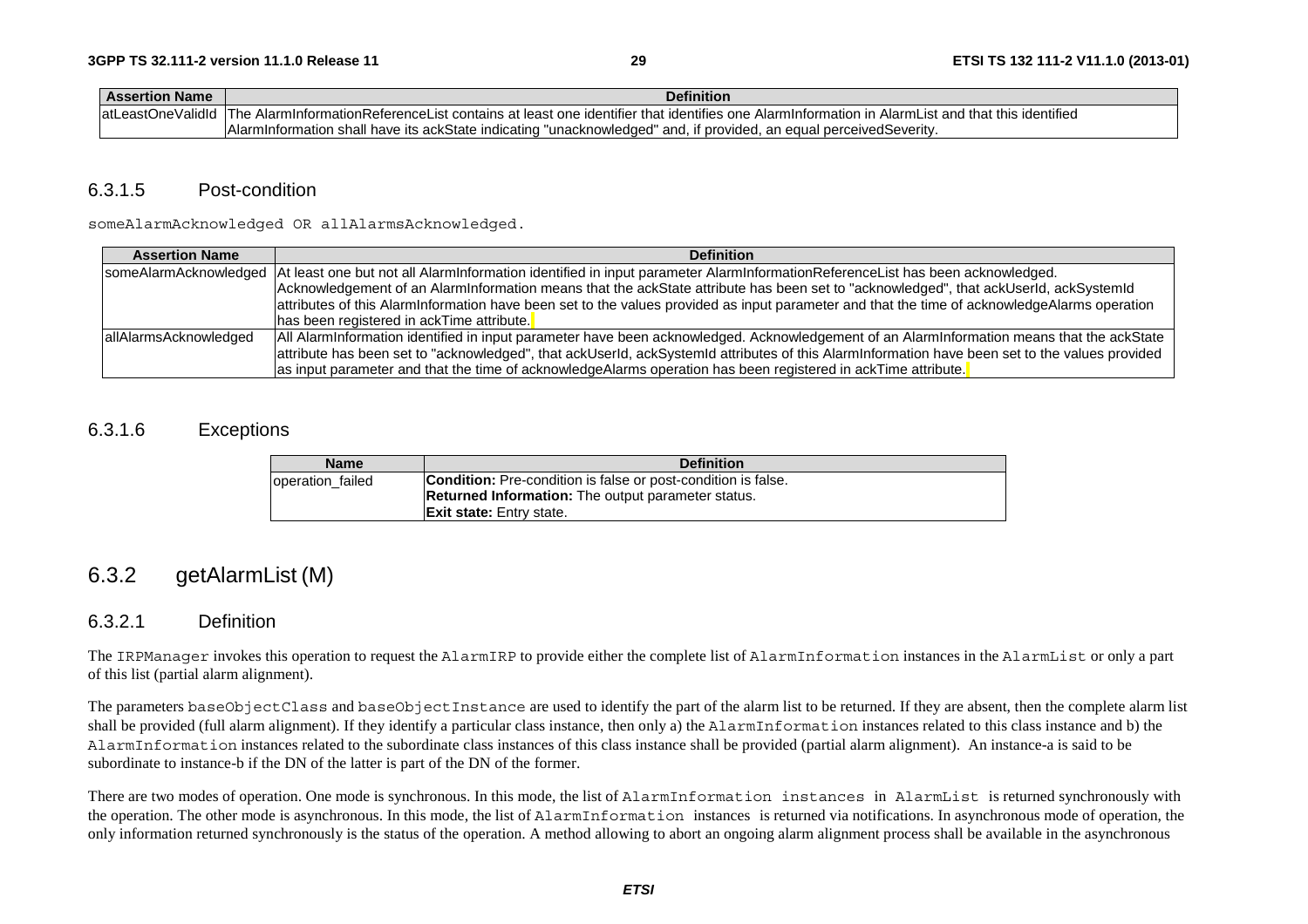| <b>Assertion Name</b> | <b>Definition</b>                                                                                                                                               |
|-----------------------|-----------------------------------------------------------------------------------------------------------------------------------------------------------------|
|                       | atLeastOneValidId The AlarmInformationReferenceList contains at least one identifier that identifies one AlarmInformation in AlarmList and that this identified |
|                       | Alarminformation shall have its ackState indicating "unacknowledged" and, if provided, an equal perceivedSeverity,                                              |

### 6.3.1.5 Post-condition

someAlarmAcknowledged OR allAlarmsAcknowledged.

| <b>Assertion Name</b>  | <b>Definition</b>                                                                                                                                   |
|------------------------|-----------------------------------------------------------------------------------------------------------------------------------------------------|
|                        | someAlarmAcknowledged  At least one but not all AlarmInformation identified in input parameter AlarmInformationReferenceList has been acknowledged. |
|                        | Acknowledgement of an Alarminformation means that the ackState attribute has been set to "acknowledged", that ackUserId, ackSystemId                |
|                        | attributes of this AlarmInformation have been set to the values provided as input parameter and that the time of acknowledgeAlarms operation        |
|                        | has been registered in ackTime attribute.                                                                                                           |
| lallAlarmsAcknowledged | All AlarmInformation identified in input parameter have been acknowledged. Acknowledgement of an AlarmInformation means that the ackState           |
|                        | attribute has been set to "acknowledged", that ackUserId, ackSystemId attributes of this AlarmInformation have been set to the values provided      |
|                        | as input parameter and that the time of acknowledgeAlarms operation has been registered in ackTime attribute.                                       |

### 6.3.1.6 Exceptions

| <b>Name</b>      | <b>Definition</b>                                                    |
|------------------|----------------------------------------------------------------------|
| operation failed | <b>Condition:</b> Pre-condition is false or post-condition is false. |
|                  | <b>Returned Information:</b> The output parameter status.            |
|                  | <b>Exit state:</b> Entry state.                                      |

# 6.3.2 getAlarmList (M)

### 6.3.2.1 Definition

The IRPManager invokes this operation to request the AlarmIRP to provide either the complete list of AlarmInformation instances in the AlarmList or only a part of this list (partial alarm alignment).

The parameters baseObjectClass and baseObjectInstance are used to identify the part of the alarm list to be returned. If they are absent, then the complete alarm list shall be provided (full alarm alignment). If they identify a particular class instance, then only a) the AlarmInformation instances related to this class instance and b) the AlarmInformation instances related to the subordinate class instances of this class instance shall be provided (partial alarm alignment). An instance-a is said to be subordinate to instance-b if the DN of the latter is part of the DN of the former.

There are two modes of operation. One mode is synchronous. In this mode, the list of AlarmInformation instances in AlarmList is returned synchronously with the operation. The other mode is asynchronous. In this mode, the list of AlarmInformation instances is returned via notifications. In asynchronous mode of operation, the only information returned synchronously is the status of the operation. A method allowing to abort an ongoing alarm alignment process shall be available in the asynchronous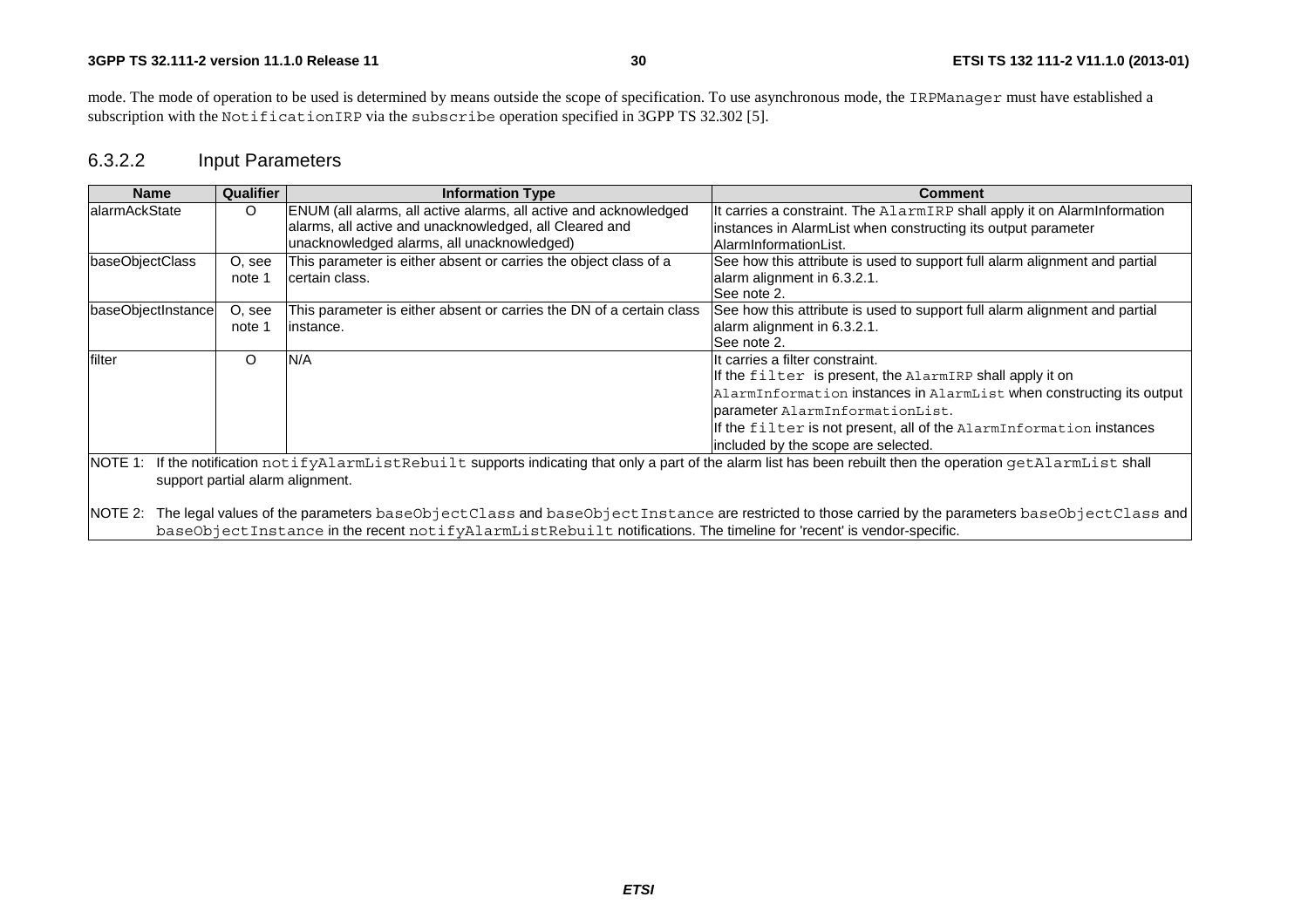#### **3GPP TS 32.111-2 version 11.1.0 Release 11**

mode. The mode of operation to be used is determined by means outside the scope of specification. To use asynchronous mode, the IRPManager must have established a subscription with the NotificationIRP via the subscribe operation specified in 3GPP TS 32.302 [5].

# 6.3.2.2 Input Parameters

| <b>Name</b>                                                                                                                                                                                             | Qualifier                                                                                                                                                                                                                                                               | <b>Information Type</b>                                                                                                                                                  | Comment                                                                                                                                                                                                                                                                                                               |  |
|---------------------------------------------------------------------------------------------------------------------------------------------------------------------------------------------------------|-------------------------------------------------------------------------------------------------------------------------------------------------------------------------------------------------------------------------------------------------------------------------|--------------------------------------------------------------------------------------------------------------------------------------------------------------------------|-----------------------------------------------------------------------------------------------------------------------------------------------------------------------------------------------------------------------------------------------------------------------------------------------------------------------|--|
| lalarmAckState                                                                                                                                                                                          | O                                                                                                                                                                                                                                                                       | ENUM (all alarms, all active alarms, all active and acknowledged<br>alarms, all active and unacknowledged, all Cleared and<br>unacknowledged alarms, all unacknowledged) | It carries a constraint. The AlarmIRP shall apply it on AlarmInformation<br>instances in AlarmList when constructing its output parameter<br>AlarmInformationList.                                                                                                                                                    |  |
| baseObjectClass                                                                                                                                                                                         | O, see<br>note 1                                                                                                                                                                                                                                                        | This parameter is either absent or carries the object class of a<br>certain class.                                                                                       | See how this attribute is used to support full alarm alignment and partial<br>alarm alignment in 6.3.2.1.<br>See note 2.                                                                                                                                                                                              |  |
| baseObjectInstance                                                                                                                                                                                      | O, see<br>note 1                                                                                                                                                                                                                                                        | This parameter is either absent or carries the DN of a certain class<br>linstance.                                                                                       | See how this attribute is used to support full alarm alignment and partial<br>alarm alignment in 6.3.2.1.<br>See note 2.                                                                                                                                                                                              |  |
| N/A<br>$\Omega$<br>filter                                                                                                                                                                               |                                                                                                                                                                                                                                                                         |                                                                                                                                                                          | IIt carries a filter constraint.<br>If the filter is present, the AlarmIRP shall apply it on<br>AlarmInformation instances in AlarmList when constructing its output<br>Darameter AlarmInformationList.<br>If the filter is not present, all of the AlarmInformation instances<br>included by the scope are selected. |  |
| If the notification notifyAlarmListRebuilt supports indicating that only a part of the alarm list has been rebuilt then the operation getAlarmList shall<br>NOTE 1:<br>support partial alarm alignment. |                                                                                                                                                                                                                                                                         |                                                                                                                                                                          |                                                                                                                                                                                                                                                                                                                       |  |
| NOTE 2:                                                                                                                                                                                                 | The legal values of the parameters baseObjectClass and baseObjectInstance are restricted to those carried by the parameters baseObjectClass and<br>baseObjectInstance in the recent notifyAlarmListRebuilt notifications. The timeline for 'recent' is vendor-specific. |                                                                                                                                                                          |                                                                                                                                                                                                                                                                                                                       |  |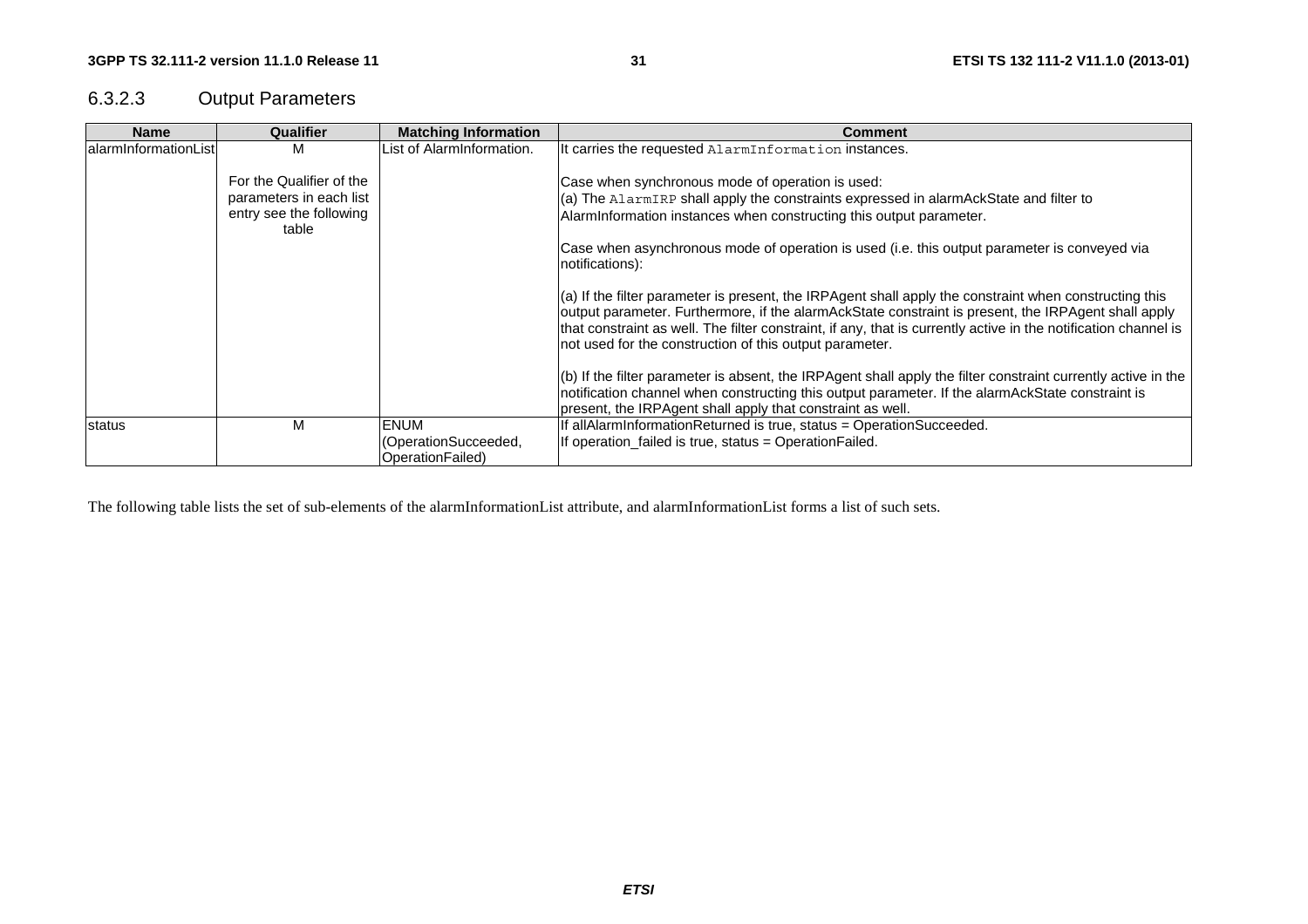# 6.3.2.3 Output Parameters

| <b>Name</b>          | Qualifier                                                                      | <b>Matching Information</b>                             | <b>Comment</b>                                                                                                                                                                                                                                                                                                                                                                                |
|----------------------|--------------------------------------------------------------------------------|---------------------------------------------------------|-----------------------------------------------------------------------------------------------------------------------------------------------------------------------------------------------------------------------------------------------------------------------------------------------------------------------------------------------------------------------------------------------|
| alarmInformationList | M                                                                              | List of AlarmInformation.                               | It carries the requested AlarmInformation instances.                                                                                                                                                                                                                                                                                                                                          |
|                      | For the Qualifier of the<br>parameters in each list<br>entry see the following |                                                         | Case when synchronous mode of operation is used:<br>(a) The AlarmIRP shall apply the constraints expressed in alarmAckState and filter to<br>AlarmInformation instances when constructing this output parameter.                                                                                                                                                                              |
|                      | table                                                                          |                                                         | Case when asynchronous mode of operation is used (i.e. this output parameter is conveyed via<br>notifications):                                                                                                                                                                                                                                                                               |
|                      |                                                                                |                                                         | $(a)$ If the filter parameter is present, the IRPAgent shall apply the constraint when constructing this<br>output parameter. Furthermore, if the alarmAckState constraint is present, the IRPAgent shall apply<br>that constraint as well. The filter constraint, if any, that is currently active in the notification channel is<br>not used for the construction of this output parameter. |
|                      |                                                                                |                                                         | $(6)$ If the filter parameter is absent, the IRPAgent shall apply the filter constraint currently active in the<br>notification channel when constructing this output parameter. If the alarmAckState constraint is<br>present, the IRPAgent shall apply that constraint as well.                                                                                                             |
| status               | M                                                                              | <b>ENUM</b><br>(OperationSucceeded,<br>OperationFailed) | If allAlarmInformationReturned is true, status = OperationSucceeded.<br>If operation failed is true, status = Operation Failed.                                                                                                                                                                                                                                                               |

The following table lists the set of sub-elements of the alarmInformationList attribute, and alarmInformationList forms a list of such sets.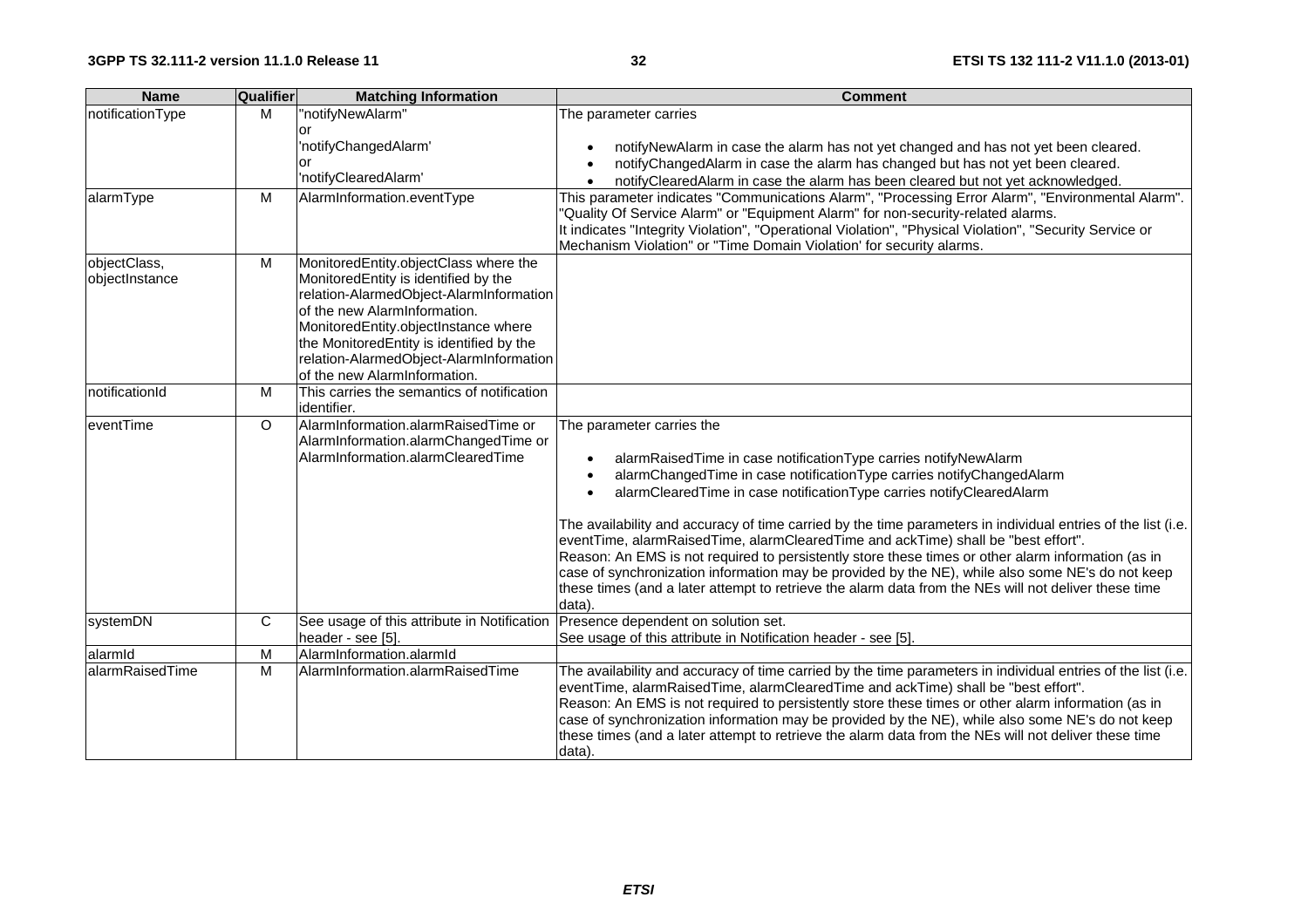| <b>Name</b>                    | <b>Qualifier</b> | <b>Matching Information</b>                                                                                                                                                                                                                                                                                             | <b>Comment</b>                                                                                                                                                                                                                                                                                                                                                                                                                                                                                                                                                                                                                                                                                                                                                                |
|--------------------------------|------------------|-------------------------------------------------------------------------------------------------------------------------------------------------------------------------------------------------------------------------------------------------------------------------------------------------------------------------|-------------------------------------------------------------------------------------------------------------------------------------------------------------------------------------------------------------------------------------------------------------------------------------------------------------------------------------------------------------------------------------------------------------------------------------------------------------------------------------------------------------------------------------------------------------------------------------------------------------------------------------------------------------------------------------------------------------------------------------------------------------------------------|
| notificationType               | M                | "notifyNewAlarm"<br>or<br>'notifyChangedAlarm'                                                                                                                                                                                                                                                                          | The parameter carries<br>notifyNewAlarm in case the alarm has not yet changed and has not yet been cleared.                                                                                                                                                                                                                                                                                                                                                                                                                                                                                                                                                                                                                                                                   |
|                                |                  | or<br>'notifyClearedAlarm'                                                                                                                                                                                                                                                                                              | notifyChangedAlarm in case the alarm has changed but has not yet been cleared.<br>notifyClearedAlarm in case the alarm has been cleared but not yet acknowledged.                                                                                                                                                                                                                                                                                                                                                                                                                                                                                                                                                                                                             |
| alarmType                      | M                | AlarmInformation.eventType                                                                                                                                                                                                                                                                                              | This parameter indicates "Communications Alarm", "Processing Error Alarm", "Environmental Alarm".<br>"Quality Of Service Alarm" or "Equipment Alarm" for non-security-related alarms.<br>It indicates "Integrity Violation", "Operational Violation", "Physical Violation", "Security Service or<br>Mechanism Violation" or "Time Domain Violation' for security alarms.                                                                                                                                                                                                                                                                                                                                                                                                      |
| objectClass,<br>objectInstance | M                | MonitoredEntity.objectClass where the<br>MonitoredEntity is identified by the<br>relation-AlarmedObject-AlarmInformation<br>of the new AlarmInformation.<br>MonitoredEntity.objectInstance where<br>the MonitoredEntity is identified by the<br>relation-AlarmedObject-AlarmInformation<br>of the new AlarmInformation. |                                                                                                                                                                                                                                                                                                                                                                                                                                                                                                                                                                                                                                                                                                                                                                               |
| notificationId                 | м                | This carries the semantics of notification<br>identifier.                                                                                                                                                                                                                                                               |                                                                                                                                                                                                                                                                                                                                                                                                                                                                                                                                                                                                                                                                                                                                                                               |
| eventTime                      | $\circ$          | AlarmInformation.alarmRaisedTime or<br>AlarmInformation.alarmChangedTime or<br>AlarmInformation.alarmClearedTime                                                                                                                                                                                                        | The parameter carries the<br>alarmRaisedTime in case notificationType carries notifyNewAlarm<br>alarmChangedTime in case notificationType carries notifyChangedAlarm<br>alarmClearedTime in case notificationType carries notifyClearedAlarm<br>The availability and accuracy of time carried by the time parameters in individual entries of the list (i.e.<br>eventTime, alarmRaisedTime, alarmClearedTime and ackTime) shall be "best effort".<br>Reason: An EMS is not required to persistently store these times or other alarm information (as in<br>case of synchronization information may be provided by the NE), while also some NE's do not keep<br>these times (and a later attempt to retrieve the alarm data from the NEs will not deliver these time<br>data). |
| systemDN                       | $\mathbf C$      | See usage of this attribute in Notification<br>header - see [5].                                                                                                                                                                                                                                                        | Presence dependent on solution set.<br>See usage of this attribute in Notification header - see [5].                                                                                                                                                                                                                                                                                                                                                                                                                                                                                                                                                                                                                                                                          |
| alarmid                        | M                | AlarmInformation.alarmId                                                                                                                                                                                                                                                                                                |                                                                                                                                                                                                                                                                                                                                                                                                                                                                                                                                                                                                                                                                                                                                                                               |
| alarmRaisedTime                | M                | AlarmInformation.alarmRaisedTime                                                                                                                                                                                                                                                                                        | The availability and accuracy of time carried by the time parameters in individual entries of the list (i.e.<br>eventTime, alarmRaisedTime, alarmClearedTime and ackTime) shall be "best effort".<br>Reason: An EMS is not required to persistently store these times or other alarm information (as in<br>case of synchronization information may be provided by the NE), while also some NE's do not keep<br>these times (and a later attempt to retrieve the alarm data from the NEs will not deliver these time<br>data).                                                                                                                                                                                                                                                 |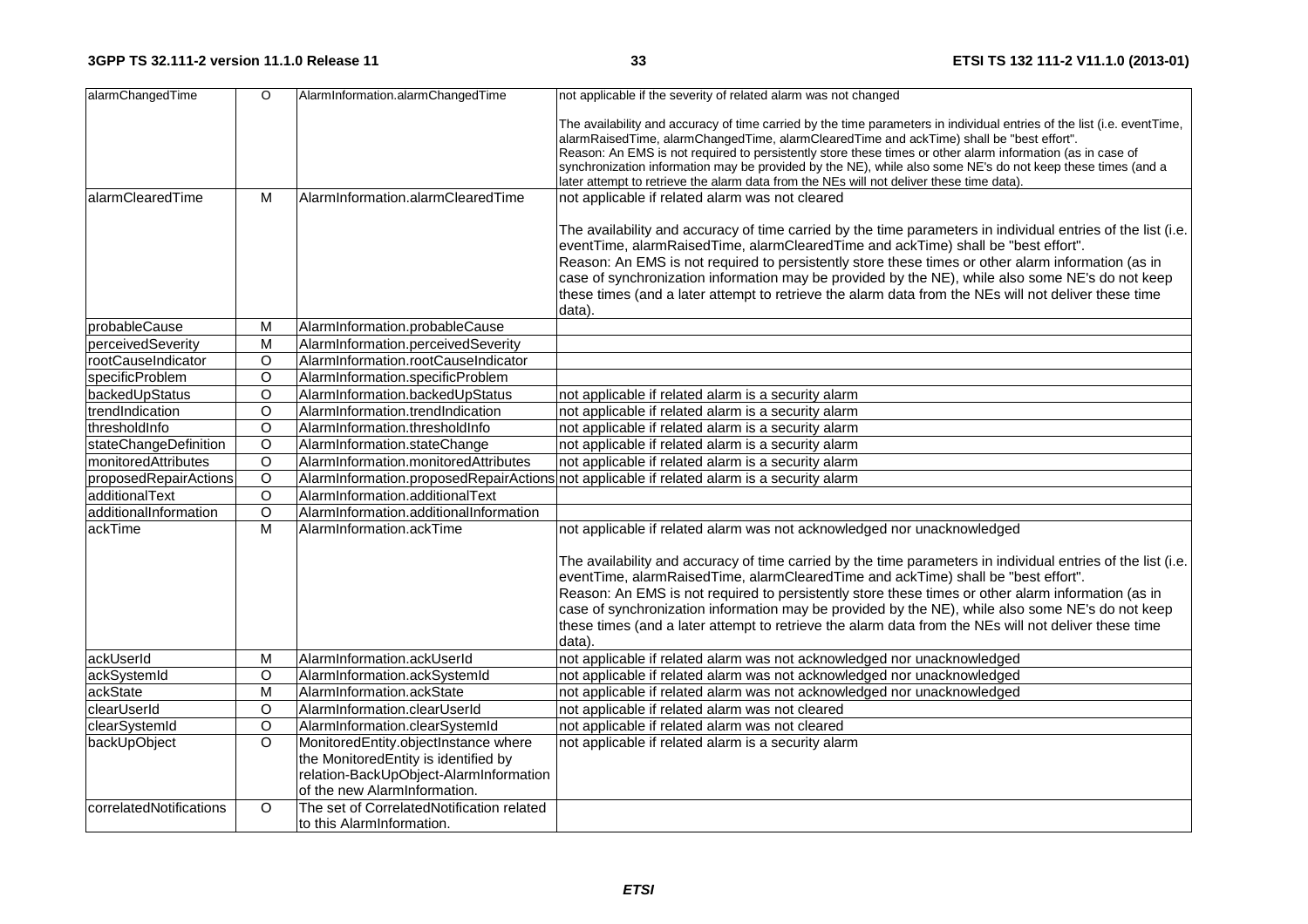| alarmChangedTime           | $\circ$        | AlarmInformation.alarmChangedTime                                                                                                                      | not applicable if the severity of related alarm was not changed                                                                                                                                                                                                                                                                                                                                                                                                                                                                              |
|----------------------------|----------------|--------------------------------------------------------------------------------------------------------------------------------------------------------|----------------------------------------------------------------------------------------------------------------------------------------------------------------------------------------------------------------------------------------------------------------------------------------------------------------------------------------------------------------------------------------------------------------------------------------------------------------------------------------------------------------------------------------------|
|                            |                |                                                                                                                                                        | The availability and accuracy of time carried by the time parameters in individual entries of the list (i.e. eventTime,<br>alarmRaisedTime, alarmChangedTime, alarmClearedTime and ackTime) shall be "best effort".<br>Reason: An EMS is not required to persistently store these times or other alarm information (as in case of<br>synchronization information may be provided by the NE), while also some NE's do not keep these times (and a<br>later attempt to retrieve the alarm data from the NEs will not deliver these time data). |
| alarmClearedTime           | M              | AlarmInformation.alarmClearedTime                                                                                                                      | not applicable if related alarm was not cleared                                                                                                                                                                                                                                                                                                                                                                                                                                                                                              |
|                            |                |                                                                                                                                                        | The availability and accuracy of time carried by the time parameters in individual entries of the list (i.e.<br>eventTime, alarmRaisedTime, alarmClearedTime and ackTime) shall be "best effort".<br>Reason: An EMS is not required to persistently store these times or other alarm information (as in<br>case of synchronization information may be provided by the NE), while also some NE's do not keep<br>these times (and a later attempt to retrieve the alarm data from the NEs will not deliver these time<br>data).                |
| probableCause              | M              | AlarmInformation.probableCause                                                                                                                         |                                                                                                                                                                                                                                                                                                                                                                                                                                                                                                                                              |
| perceivedSeverity          | M              | AlarmInformation.perceivedSeverity                                                                                                                     |                                                                                                                                                                                                                                                                                                                                                                                                                                                                                                                                              |
| rootCauseIndicator         | $\circ$        | AlarmInformation.rootCauseIndicator                                                                                                                    |                                                                                                                                                                                                                                                                                                                                                                                                                                                                                                                                              |
| specificProblem            | $\circ$        | AlarmInformation.specificProblem                                                                                                                       |                                                                                                                                                                                                                                                                                                                                                                                                                                                                                                                                              |
| backedUpStatus             | $\overline{O}$ | AlarmInformation.backedUpStatus                                                                                                                        | not applicable if related alarm is a security alarm                                                                                                                                                                                                                                                                                                                                                                                                                                                                                          |
| trendIndication            | $\circ$        | AlarmInformation.trendIndication                                                                                                                       | not applicable if related alarm is a security alarm                                                                                                                                                                                                                                                                                                                                                                                                                                                                                          |
| thresholdInfo              | $\circ$        | AlarmInformation.thresholdInfo                                                                                                                         | not applicable if related alarm is a security alarm                                                                                                                                                                                                                                                                                                                                                                                                                                                                                          |
| stateChangeDefinition      | $\circ$        | AlarmInformation.stateChange                                                                                                                           | not applicable if related alarm is a security alarm                                                                                                                                                                                                                                                                                                                                                                                                                                                                                          |
| <b>monitoredAttributes</b> | $\overline{O}$ | AlarmInformation.monitoredAttributes                                                                                                                   | not applicable if related alarm is a security alarm                                                                                                                                                                                                                                                                                                                                                                                                                                                                                          |
| proposedRepairActions      | $\circ$        |                                                                                                                                                        | AlarmInformation.proposedRepairActions not applicable if related alarm is a security alarm                                                                                                                                                                                                                                                                                                                                                                                                                                                   |
| additionalText             | $\circ$        | AlarmInformation.additionalText                                                                                                                        |                                                                                                                                                                                                                                                                                                                                                                                                                                                                                                                                              |
| additionalInformation      | $\overline{O}$ | AlarmInformation.additionalInformation                                                                                                                 |                                                                                                                                                                                                                                                                                                                                                                                                                                                                                                                                              |
| ackTime                    | $\overline{M}$ | AlarmInformation.ackTime                                                                                                                               | not applicable if related alarm was not acknowledged nor unacknowledged                                                                                                                                                                                                                                                                                                                                                                                                                                                                      |
|                            |                |                                                                                                                                                        | The availability and accuracy of time carried by the time parameters in individual entries of the list (i.e.<br>eventTime, alarmRaisedTime, alarmClearedTime and ackTime) shall be "best effort".<br>Reason: An EMS is not required to persistently store these times or other alarm information (as in<br>case of synchronization information may be provided by the NE), while also some NE's do not keep<br>these times (and a later attempt to retrieve the alarm data from the NEs will not deliver these time<br>data).                |
| ackUserId                  | M              | AlarmInformation.ackUserId                                                                                                                             | not applicable if related alarm was not acknowledged nor unacknowledged                                                                                                                                                                                                                                                                                                                                                                                                                                                                      |
| ackSystemId                | O              | AlarmInformation.ackSystemId                                                                                                                           | not applicable if related alarm was not acknowledged nor unacknowledged                                                                                                                                                                                                                                                                                                                                                                                                                                                                      |
| ackState                   | M              | AlarmInformation.ackState                                                                                                                              | not applicable if related alarm was not acknowledged nor unacknowledged                                                                                                                                                                                                                                                                                                                                                                                                                                                                      |
| clearUserId                | $\circ$        | AlarmInformation.clearUserId                                                                                                                           | not applicable if related alarm was not cleared                                                                                                                                                                                                                                                                                                                                                                                                                                                                                              |
| clearSystemId              | O              | AlarmInformation.clearSystemId                                                                                                                         | not applicable if related alarm was not cleared                                                                                                                                                                                                                                                                                                                                                                                                                                                                                              |
| backUpObject               | $\Omega$       | MonitoredEntity.objectInstance where<br>the MonitoredEntity is identified by<br>relation-BackUpObject-AlarmInformation<br>of the new AlarmInformation. | not applicable if related alarm is a security alarm                                                                                                                                                                                                                                                                                                                                                                                                                                                                                          |
| correlatedNotifications    | $\Omega$       | The set of CorrelatedNotification related<br>to this AlarmInformation.                                                                                 |                                                                                                                                                                                                                                                                                                                                                                                                                                                                                                                                              |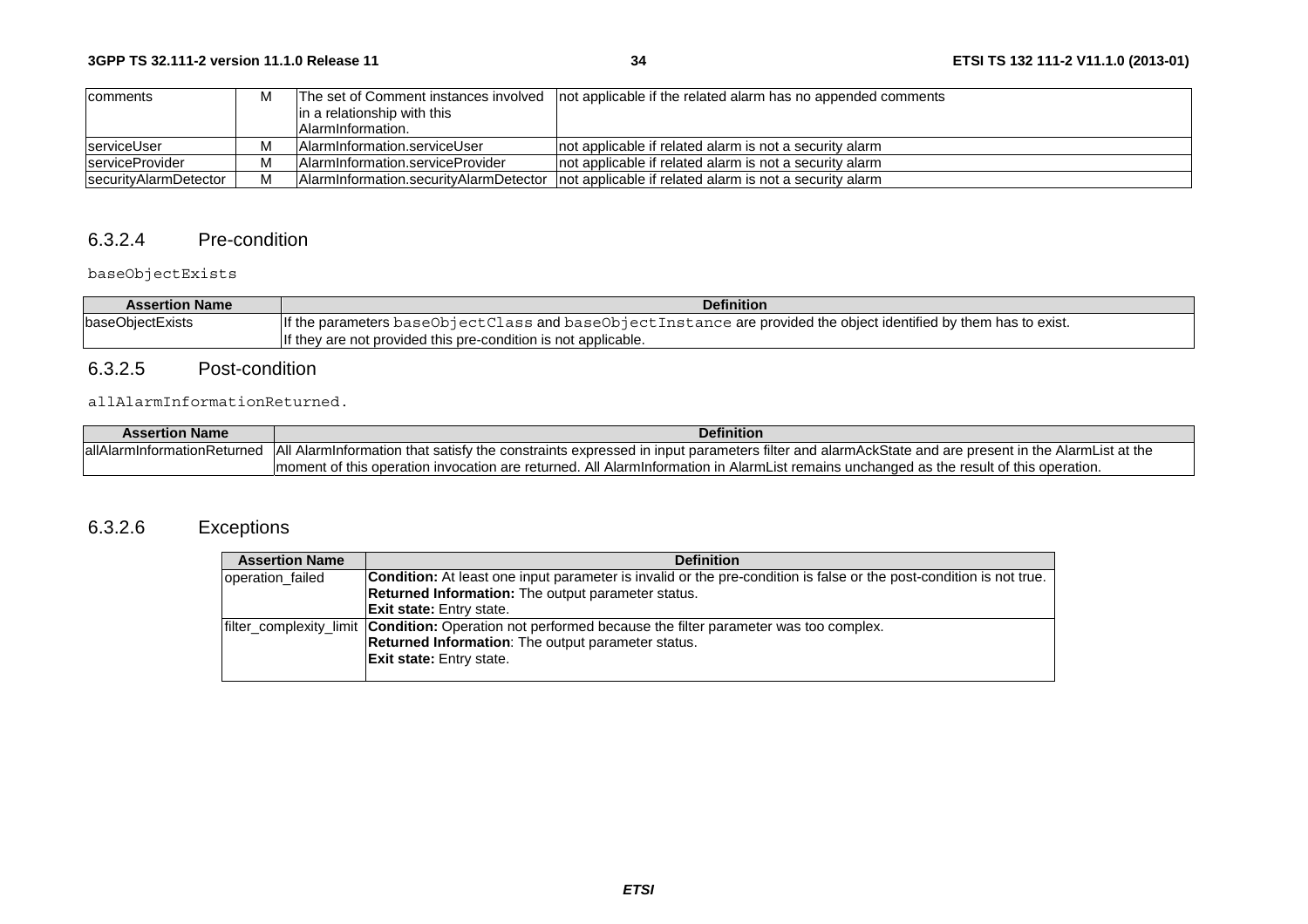| comments                | M |                                   | The set of Comment instances involved   not applicable if the related alarm has no appended comments |
|-------------------------|---|-----------------------------------|------------------------------------------------------------------------------------------------------|
|                         |   | in a relationship with this       |                                                                                                      |
|                         |   | <b>AlarmInformation.</b>          |                                                                                                      |
| serviceUser             | м | lAlarmInformation.serviceUser     | Inot applicable if related alarm is not a security alarm                                             |
| <b>IserviceProvider</b> | м | IAlarmInformation.serviceProvider | Inot applicable if related alarm is not a security alarm                                             |
| securityAlarmDetector   | M |                                   | Alarminformation.securityAlarmDetector   not applicable if related alarm is not a security alarm     |

### 6.3.2.4 Pre-condition

### baseObjectExists

| <b>Assertion Name</b> | <b>Definition</b>                                                                                                 |  |
|-----------------------|-------------------------------------------------------------------------------------------------------------------|--|
| baseObjectExists      | If the parameters baseObjectClass and baseObjectInstance are provided the object identified by them has to exist. |  |
|                       | If they are not provided this pre-condition is not applicable.                                                    |  |

## 6.3.2.5 Post-condition

#### allAlarmInformationReturned.

| <b>Assertion Name</b>            | Definition                                                                                                                                            |
|----------------------------------|-------------------------------------------------------------------------------------------------------------------------------------------------------|
| lallAlarm<br>InformationReturned | All<br>d AlarmInformation that satisfy the constraints expressed in input parameters filter and alarmAckState and are present in the AlarmList at the |
|                                  | Imoment of this operation invocation are returned. All Alarminformation in AlarmList remains unchanged as the result of this operation.               |

# 6.3.2.6 Exceptions

| <b>Assertion Name</b> | <b>Definition</b>                                                                                                          |
|-----------------------|----------------------------------------------------------------------------------------------------------------------------|
| operation failed      | <b>Condition:</b> At least one input parameter is invalid or the pre-condition is false or the post-condition is not true. |
|                       | Returned Information: The output parameter status.                                                                         |
|                       | <b>Exit state:</b> Entry state.                                                                                            |
|                       | filter complexity limit <b>Condition:</b> Operation not performed because the filter parameter was too complex.            |
|                       | <b>Returned Information:</b> The output parameter status.                                                                  |
|                       | <b>Exit state:</b> Entry state.                                                                                            |
|                       |                                                                                                                            |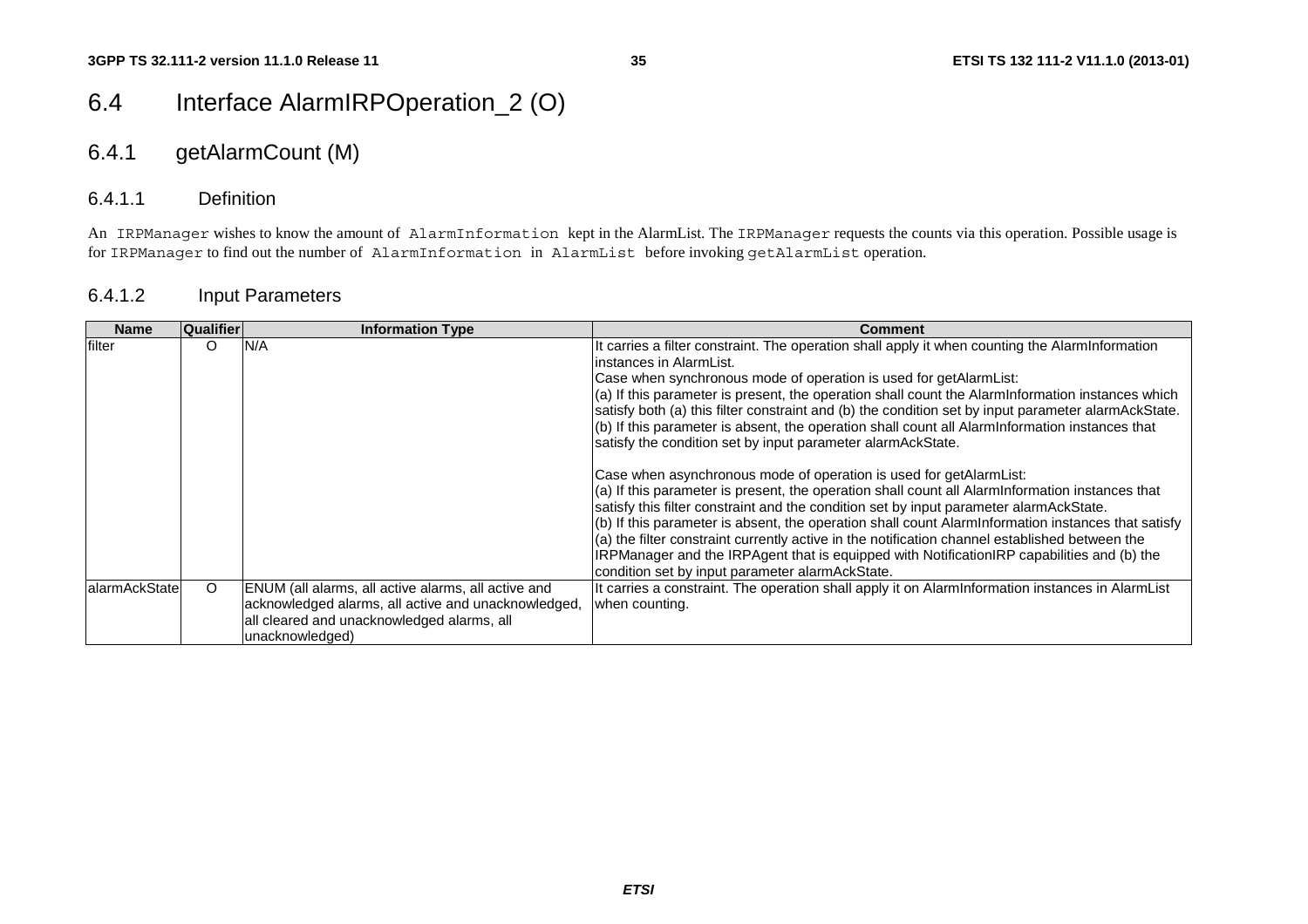# 6.4 Interface AlarmIRPOperation\_2 (O)

# 6.4.1 getAlarmCount (M)

### 6.4.1.1 Definition

An IRPManager wishes to know the amount of AlarmInformation kept in the AlarmList. The IRPManager requests the counts via this operation. Possible usage is for IRPManager to find out the number of AlarmInformation in AlarmList before invoking getAlarmList operation.

### 6.4.1.2 Input Parameters

| <b>Name</b>   | Qualifier | <b>Information Type</b>                                                                                                                                                     | Comment                                                                                                                                                                                                                                                                                                                                                                                                                                                                                                                                                                                                                                                                                                                                                                                                                                                                                                                                                                                                                                                                                                                                                                                                        |
|---------------|-----------|-----------------------------------------------------------------------------------------------------------------------------------------------------------------------------|----------------------------------------------------------------------------------------------------------------------------------------------------------------------------------------------------------------------------------------------------------------------------------------------------------------------------------------------------------------------------------------------------------------------------------------------------------------------------------------------------------------------------------------------------------------------------------------------------------------------------------------------------------------------------------------------------------------------------------------------------------------------------------------------------------------------------------------------------------------------------------------------------------------------------------------------------------------------------------------------------------------------------------------------------------------------------------------------------------------------------------------------------------------------------------------------------------------|
| filter        | $\circ$   | N/A                                                                                                                                                                         | It carries a filter constraint. The operation shall apply it when counting the AlarmInformation<br>linstances in AlarmList.<br>Case when synchronous mode of operation is used for getAlarmList:<br>(a) If this parameter is present, the operation shall count the AlarmInformation instances which<br>satisfy both (a) this filter constraint and (b) the condition set by input parameter alarmAckState.<br>$(b)$ If this parameter is absent, the operation shall count all Alarminformation instances that<br>satisfy the condition set by input parameter alarmAckState.<br>Case when asynchronous mode of operation is used for getAlarmList:<br>$(a)$ If this parameter is present, the operation shall count all Alarminformation instances that<br>satisfy this filter constraint and the condition set by input parameter alarmAckState.<br>(b) If this parameter is absent, the operation shall count AlarmInformation instances that satisfy<br>$(a)$ the filter constraint currently active in the notification channel established between the<br>IRPManager and the IRPAgent that is equipped with NotificationIRP capabilities and (b) the<br>condition set by input parameter alarmAckState. |
| alarmAckState | $\circ$   | ENUM (all alarms, all active alarms, all active and<br>acknowledged alarms, all active and unacknowledged,<br>all cleared and unacknowledged alarms, all<br>unacknowledged) | It carries a constraint. The operation shall apply it on AlarmInformation instances in AlarmList<br>when counting.                                                                                                                                                                                                                                                                                                                                                                                                                                                                                                                                                                                                                                                                                                                                                                                                                                                                                                                                                                                                                                                                                             |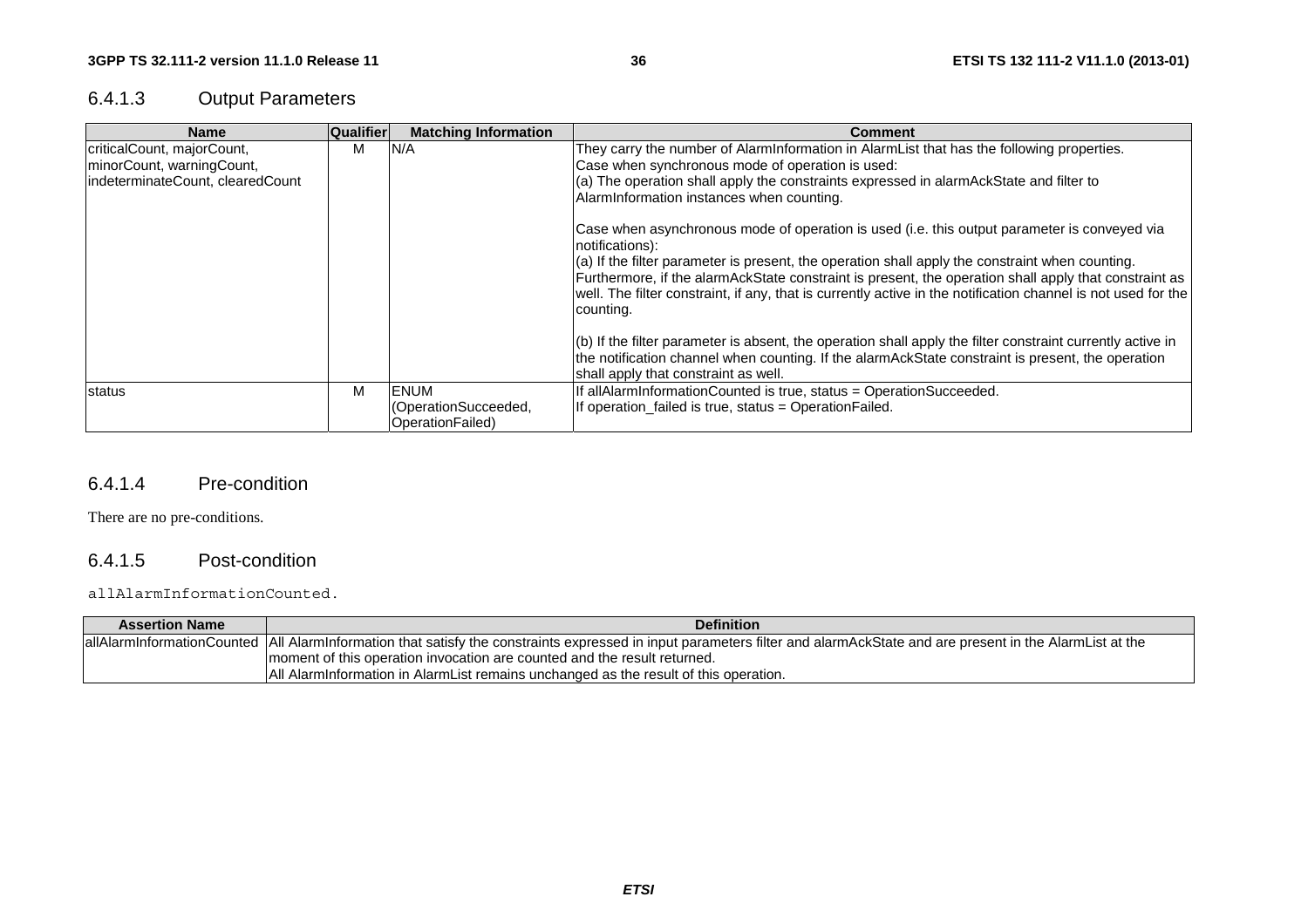# 6.4.1.3 Output Parameters

| <b>Name</b>                                                                                 | <b>Qualifier</b> | <b>Matching Information</b>                                                                                                                                                                                                                                                                     | <b>Comment</b>                                                                                                                                                                                                                                                                                                                                                                                                                                              |
|---------------------------------------------------------------------------------------------|------------------|-------------------------------------------------------------------------------------------------------------------------------------------------------------------------------------------------------------------------------------------------------------------------------------------------|-------------------------------------------------------------------------------------------------------------------------------------------------------------------------------------------------------------------------------------------------------------------------------------------------------------------------------------------------------------------------------------------------------------------------------------------------------------|
| criticalCount, majorCount,<br>minorCount, warningCount,<br>indeterminateCount, clearedCount | м                | They carry the number of AlarmInformation in AlarmList that has the following properties.<br>N/A<br>Case when synchronous mode of operation is used:<br>$(a)$ The operation shall apply the constraints expressed in alarm Ack State and filter to<br>AlarmInformation instances when counting. |                                                                                                                                                                                                                                                                                                                                                                                                                                                             |
|                                                                                             |                  |                                                                                                                                                                                                                                                                                                 | Case when asynchronous mode of operation is used (i.e. this output parameter is conveyed via<br>notifications):<br>$(a)$ If the filter parameter is present, the operation shall apply the constraint when counting.<br>Furthermore, if the alarmAckState constraint is present, the operation shall apply that constraint as<br>well. The filter constraint, if any, that is currently active in the notification channel is not used for the<br>counting. |
|                                                                                             |                  |                                                                                                                                                                                                                                                                                                 | $(6)$ If the filter parameter is absent, the operation shall apply the filter constraint currently active in<br>the notification channel when counting. If the alarmAckState constraint is present, the operation<br>shall apply that constraint as well.                                                                                                                                                                                                   |
| status                                                                                      | м                | <b>ENUM</b><br>(OperationSucceeded,<br>OperationFailed)                                                                                                                                                                                                                                         | If allAlarmInformationCounted is true, status = OperationSucceeded.<br>If operation failed is true, status = Operation Failed.                                                                                                                                                                                                                                                                                                                              |

#### 6.4.1.4 Pre-condition

There are no pre-conditions.

### 6.4.1.5 Post-condition

#### allAlarmInformationCounted.

| <b>Assertion Name</b> | <b>Definition</b>                                                                                                                                                            |
|-----------------------|------------------------------------------------------------------------------------------------------------------------------------------------------------------------------|
|                       | allAlarmInformationCounted  All AlarmInformation that satisfy the constraints expressed in input parameters filter and alarmAckState and are present in the AlarmList at the |
|                       | Imoment of this operation invocation are counted and the result returned.                                                                                                    |
|                       | All AlarmInformation in AlarmList remains unchanged as the result of this operation.                                                                                         |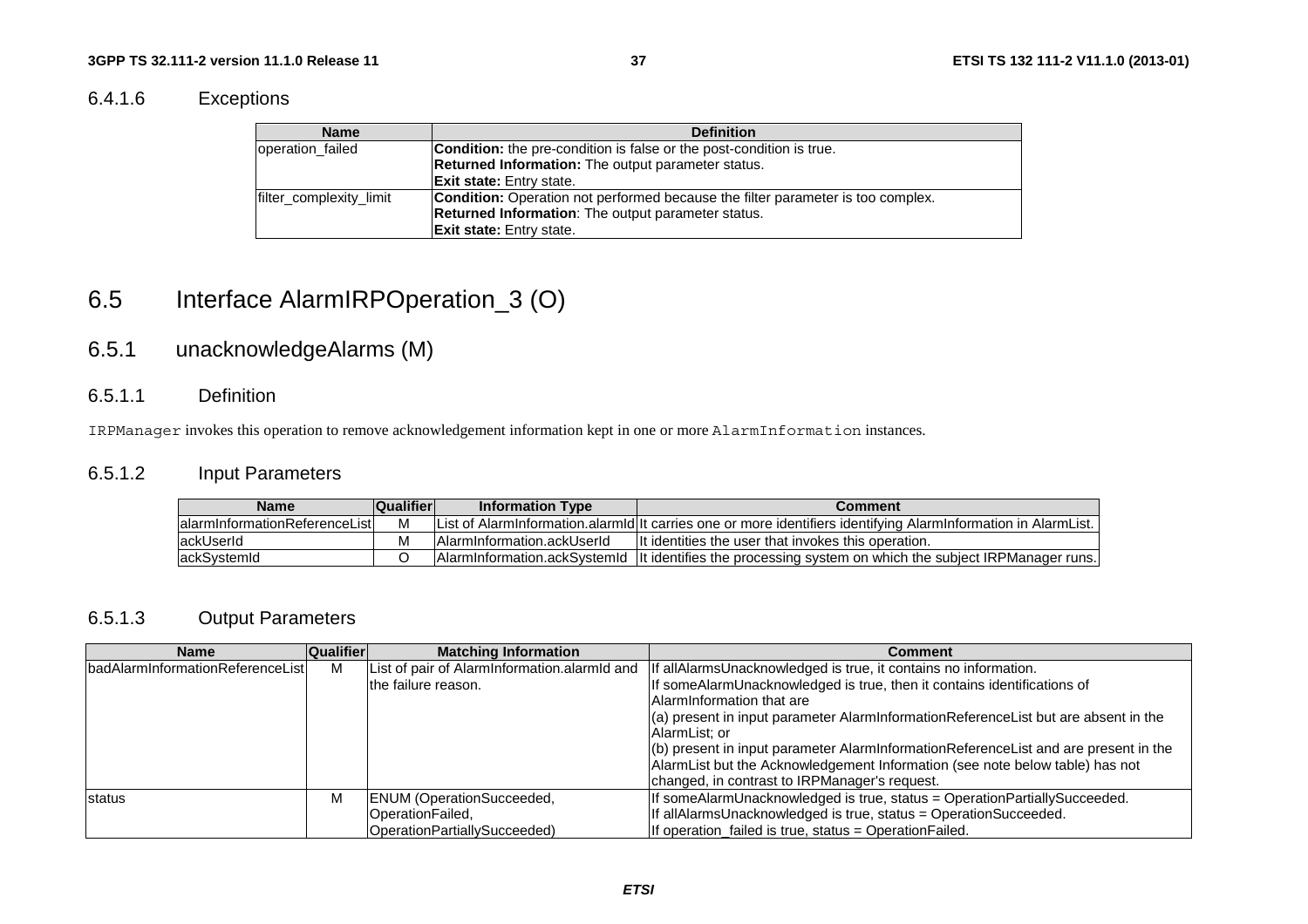# 6.4.1.6 Exceptions

| <b>Name</b>             | <b>Definition</b>                                                               |
|-------------------------|---------------------------------------------------------------------------------|
| operation failed        | <b>Condition:</b> the pre-condition is false or the post-condition is true.     |
|                         | Returned Information: The output parameter status.                              |
|                         | <b>Exit state:</b> Entry state.                                                 |
| filter_complexity_limit | Condition: Operation not performed because the filter parameter is too complex. |
|                         | Returned Information: The output parameter status.                              |
|                         | <b>Exit state:</b> Entry state.                                                 |

# 6.5 Interface AlarmIRPOperation\_3 (O)

# 6.5.1 unacknowledgeAlarms (M)

#### 6.5.1.1 Definition

IRPManager invokes this operation to remove acknowledgement information kept in one or more AlarmInformation instances.

# 6.5.1.2 Input Parameters

| <b>Name</b>                    | <b>Qualifier</b> | <b>Information Type</b>     | Comment                                                                                                         |
|--------------------------------|------------------|-----------------------------|-----------------------------------------------------------------------------------------------------------------|
| lalarmInformationReferenceList | М                |                             | [List of AlarmInformation.alarmId It carries one or more identifiers identifying AlarmInformation in AlarmList. |
| lackUserId                     | M                | IAlarmInformation.ackUserId | It identities the user that invokes this operation.                                                             |
| lackSystemId                   |                  |                             | AlarmInformation.ackSystemId   It identifies the processing system on which the subject IRPManager runs.        |

# 6.5.1.3 Output Parameters

| <b>Name</b>                               | Qualifier | <b>Matching Information</b>                  | Comment                                                                             |
|-------------------------------------------|-----------|----------------------------------------------|-------------------------------------------------------------------------------------|
| <b>IbadAlarmInformationReferenceListI</b> | М         | List of pair of AlarmInformation.alarmId and | If allAlarmsUnacknowledged is true, it contains no information.                     |
|                                           |           | the failure reason.                          | If someAlarmUnacknowledged is true, then it contains identifications of             |
|                                           |           |                                              | AlarmInformation that are                                                           |
|                                           |           |                                              | (a) present in input parameter AlarmInformationReferenceList but are absent in the  |
|                                           |           |                                              | AlarmList: or                                                                       |
|                                           |           |                                              | (b) present in input parameter AlarmInformationReferenceList and are present in the |
|                                           |           |                                              | AlarmList but the Acknowledgement Information (see note below table) has not        |
|                                           |           |                                              | changed, in contrast to IRPManager's request.                                       |
| status                                    | М         | <b>ENUM</b> (OperationSucceeded,             | If someAlarmUnacknowledged is true, status = OperationPartiallySucceeded.           |
|                                           |           | OperationFailed,                             | If allAlarmsUnacknowledged is true, status = OperationSucceeded.                    |
|                                           |           | OperationPartiallySucceeded)                 | If operation failed is true, status = Operation Failed.                             |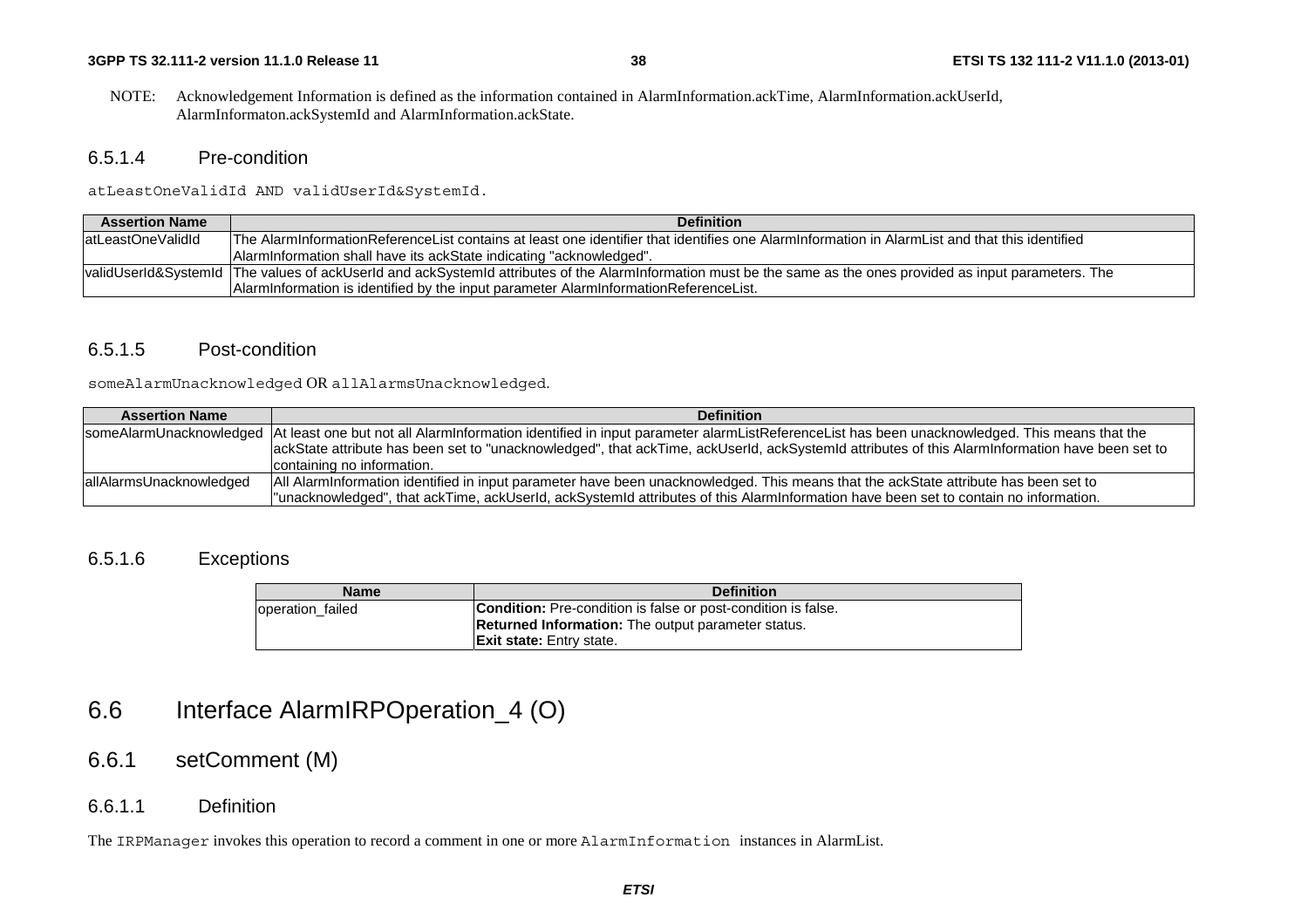NOTE: Acknowledgement Information is defined as the information contained in AlarmInformation.ackTime, AlarmInformation.ackUserId, AlarmInformaton.ackSystemId and AlarmInformation.ackState.

### 6.5.1.4 Pre-condition

atLeastOneValidId AND validUserId&SystemId.

| <b>Assertion Name</b> | <b>Definition</b>                                                                                                                                               |
|-----------------------|-----------------------------------------------------------------------------------------------------------------------------------------------------------------|
| latLeastOneValidId    | The AlarmInformationReferenceList contains at least one identifier that identifies one AlarmInformation in AlarmList and that this identified                   |
|                       | Alarminformation shall have its ackState indicating "acknowledged".                                                                                             |
|                       | validUserId&SystemId  The values of ackUserId and ackSystemId attributes of the AlarmInformation must be the same as the ones provided as input parameters. The |
|                       | AlarmInformation is identified by the input parameter AlarmInformationReferenceList.                                                                            |

### 6.5.1.5 Post-condition

someAlarmUnacknowledged OR allAlarmsUnacknowledged.

| <b>Assertion Name</b>   | <b>Definition</b>                                                                                                                                                     |
|-------------------------|-----------------------------------------------------------------------------------------------------------------------------------------------------------------------|
|                         | someAlarmUnacknowledged   At least one but not all AlarmInformation identified in input parameter alarmListReferenceList has been unacknowledged. This means that the |
|                         | ackState attribute has been set to "unacknowledged", that ackTime, ackUserId, ackSystemId attributes of this AlarmInformation have been set to                        |
|                         | containing no information.                                                                                                                                            |
| allAlarmsUnacknowledged | All AlarmInformation identified in input parameter have been unacknowledged. This means that the ackState attribute has been set to                                   |
|                         | l"unacknowledged", that ackTime, ackUserId, ackSystemId attributes of this AlarmInformation have been set to contain no information.                                  |

### 6.5.1.6 Exceptions

| <b>Name</b>      | <b>Definition</b>                                                    |
|------------------|----------------------------------------------------------------------|
| operation failed | <b>Condition:</b> Pre-condition is false or post-condition is false. |
|                  | <b>Returned Information:</b> The output parameter status.            |
|                  | <b>Exit state:</b> Entry state.                                      |

# 6.6 Interface AlarmIRPOperation\_4 (O)

# 6.6.1 setComment (M)

### 6.6.1.1 Definition

The IRPManager invokes this operation to record a comment in one or more AlarmInformation instances in AlarmList.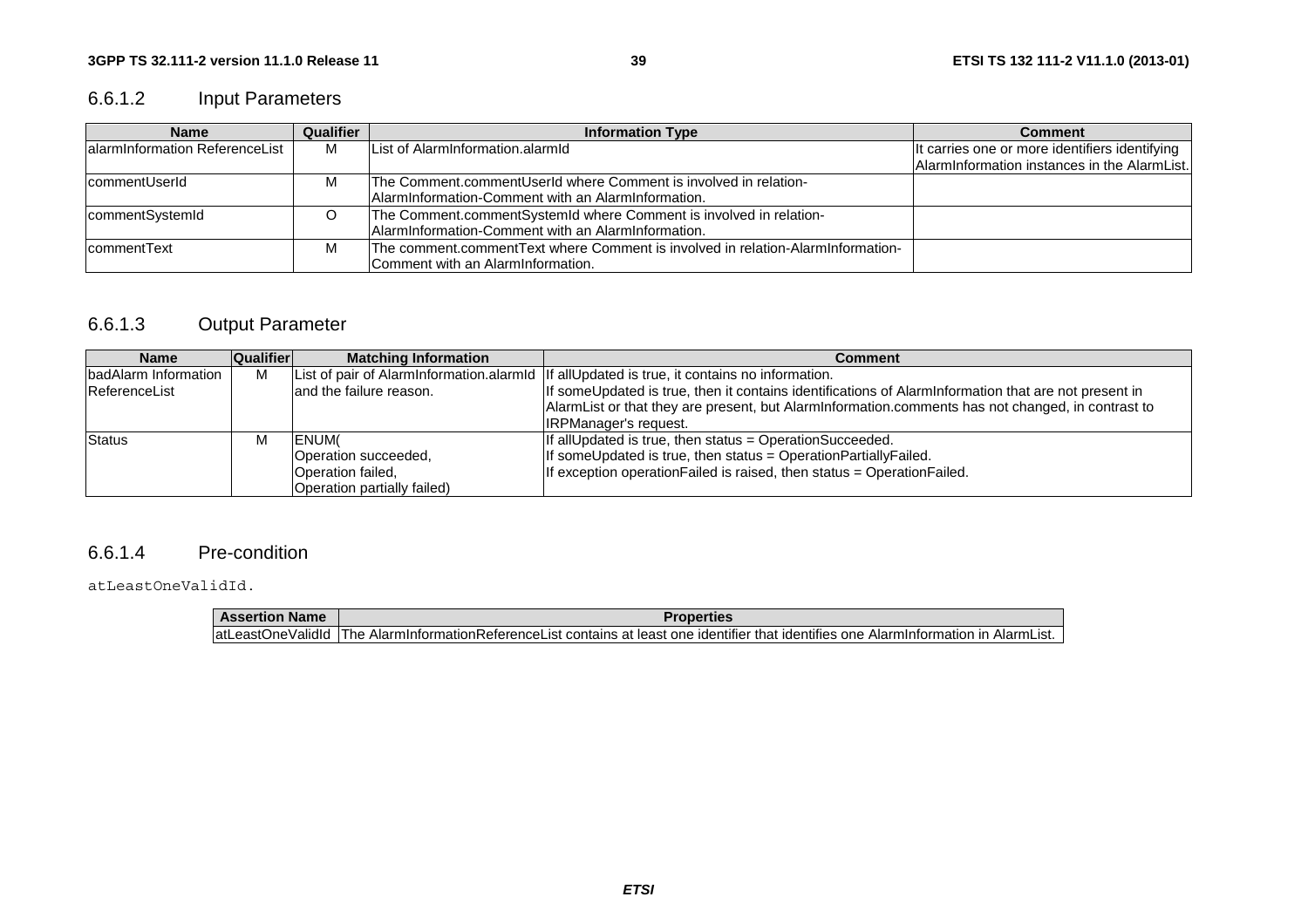# 6.6.1.2 Input Parameters

| <b>Name</b>                    | Qualifier | <b>Information Type</b>                                                                                                  | <b>Comment</b>                                                                                 |
|--------------------------------|-----------|--------------------------------------------------------------------------------------------------------------------------|------------------------------------------------------------------------------------------------|
| alarminformation ReferenceList | м         | List of AlarmInformation.alarmId                                                                                         | It carries one or more identifiers identifying<br>AlarmInformation instances in the AlarmList. |
| <b>commentUserId</b>           | M         | The Comment.commentUserId where Comment is involved in relation-<br>AlarmInformation-Comment with an AlarmInformation.   |                                                                                                |
| commentSystemId                |           | The Comment.commentSystemId where Comment is involved in relation-<br>AlarmInformation-Comment with an AlarmInformation. |                                                                                                |
| <b>commentText</b>             | M         | The comment.commentText where Comment is involved in relation-AlarmInformation-<br>Comment with an AlarmInformation.     |                                                                                                |

# 6.6.1.3 Output Parameter

| <b>Name</b>          | <b>Qualifier</b> | <b>Matching Information</b> | Comment                                                                                              |
|----------------------|------------------|-----------------------------|------------------------------------------------------------------------------------------------------|
| badAlarm Information | м                |                             | List of pair of Alarminformation.alarmid   If all Updated is true, it contains no information.       |
| ReferenceList        |                  | land the failure reason.    | If someUpdated is true, then it contains identifications of AlarmInformation that are not present in |
|                      |                  |                             | AlarmList or that they are present, but AlarmInformation.comments has not changed, in contrast to    |
|                      |                  |                             | <b>IRPManager's request.</b>                                                                         |
| Status               |                  | <b>IENUM</b>                | If allUpdated is true, then status = OperationSucceeded.                                             |
|                      |                  | Operation succeeded,        | If someUpdated is true, then status = OperationPartiallyFailed.                                      |
|                      |                  | Operation failed,           | If exception operation Failed is raised, then status = Operation Failed.                             |
|                      |                  | Operation partially failed) |                                                                                                      |

### 6.6.1.4 Pre-condition

atLeastOneValidId.

| <b>Assertion Name</b> | <b>Properties</b>                                                                                                                         |
|-----------------------|-------------------------------------------------------------------------------------------------------------------------------------------|
|                       | latLeastOneValidId IThe AlarmInformationReferenceList contains at least one identifier that identifies one AlarmInformation in AlarmList. |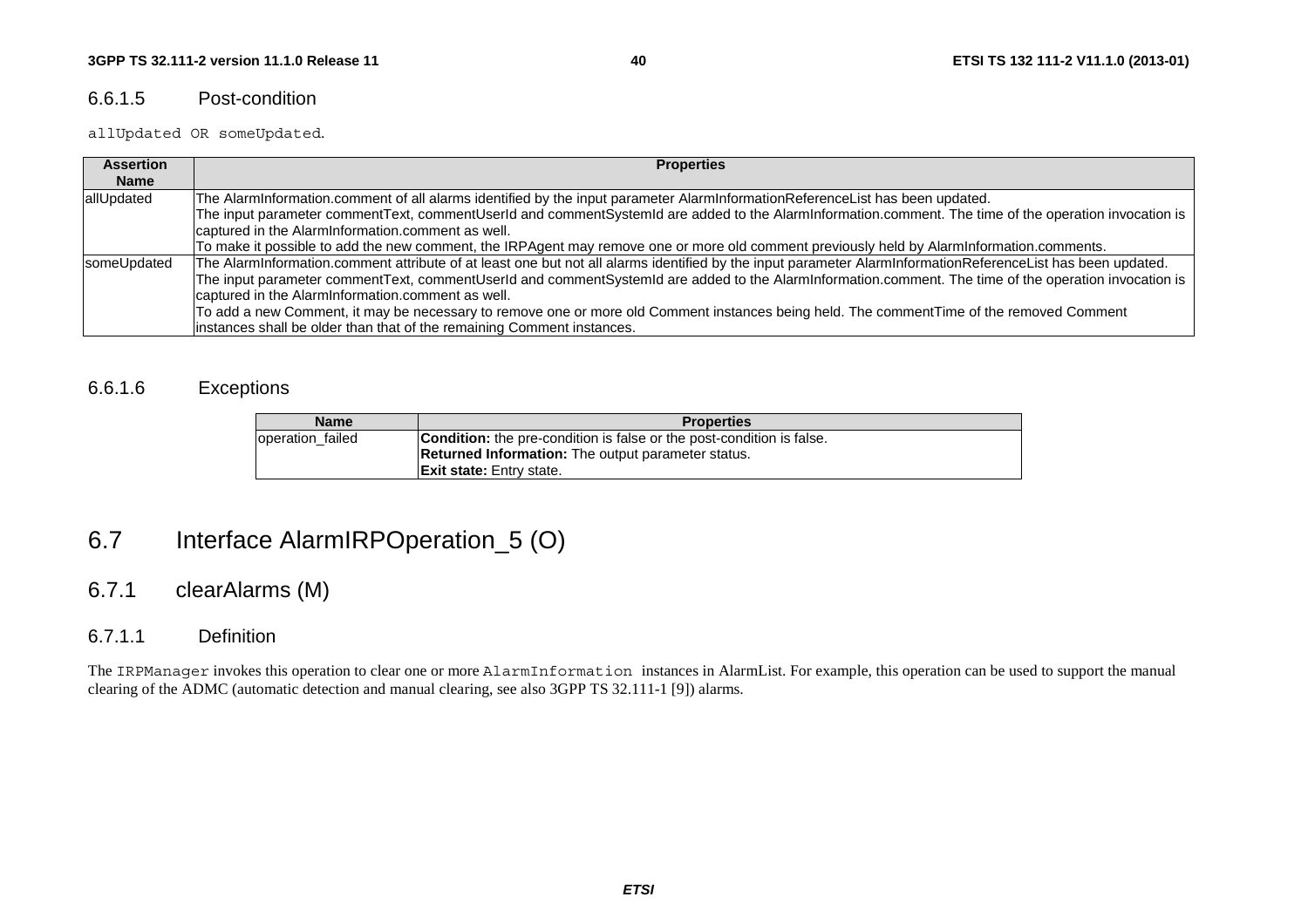#### 6.6.1.5 Post-condition

allUpdated OR someUpdated.

| <b>Assertion</b> | <b>Properties</b>                                                                                                                                           |
|------------------|-------------------------------------------------------------------------------------------------------------------------------------------------------------|
| <b>Name</b>      |                                                                                                                                                             |
| allUpdated       | The AlarmInformation.comment of all alarms identified by the input parameter AlarmInformationReferenceList has been updated.                                |
|                  | The input parameter commentText, commentUserId and commentSystemId are added to the AlarmInformation.comment. The time of the operation invocation is       |
|                  | captured in the AlarmInformation.comment as well.                                                                                                           |
|                  | To make it possible to add the new comment, the IRPAgent may remove one or more old comment previously held by AlarmInformation.comments.                   |
| someUpdated      | The AlarmInformation.comment attribute of at least one but not all alarms identified by the input parameter AlarmInformationReferenceList has been updated. |
|                  | The input parameter commentText, commentUserId and commentSystemId are added to the AlarmInformation.comment. The time of the operation invocation is       |
|                  | captured in the AlarmInformation.comment as well.                                                                                                           |
|                  | To add a new Comment, it may be necessary to remove one or more old Comment instances being held. The commentTime of the removed Comment                    |
|                  | instances shall be older than that of the remaining Comment instances.                                                                                      |

## 6.6.1.6 Exceptions

| <b>Name</b>      | <b>Properties</b>                                                            |
|------------------|------------------------------------------------------------------------------|
| operation failed | <b>Condition:</b> the pre-condition is false or the post-condition is false. |
|                  | <b>Returned Information:</b> The output parameter status.                    |
|                  | <b>Exit state:</b> Entry state.                                              |

# 6.7 Interface AlarmIRPOperation\_5 (O)

# 6.7.1 clearAlarms (M)

## 6.7.1.1 Definition

The IRPManager invokes this operation to clear one or more AlarmInformation instances in AlarmList. For example, this operation can be used to support the manual clearing of the ADMC (automatic detection and manual clearing, see also 3GPP TS 32.111-1 [9]) alarms.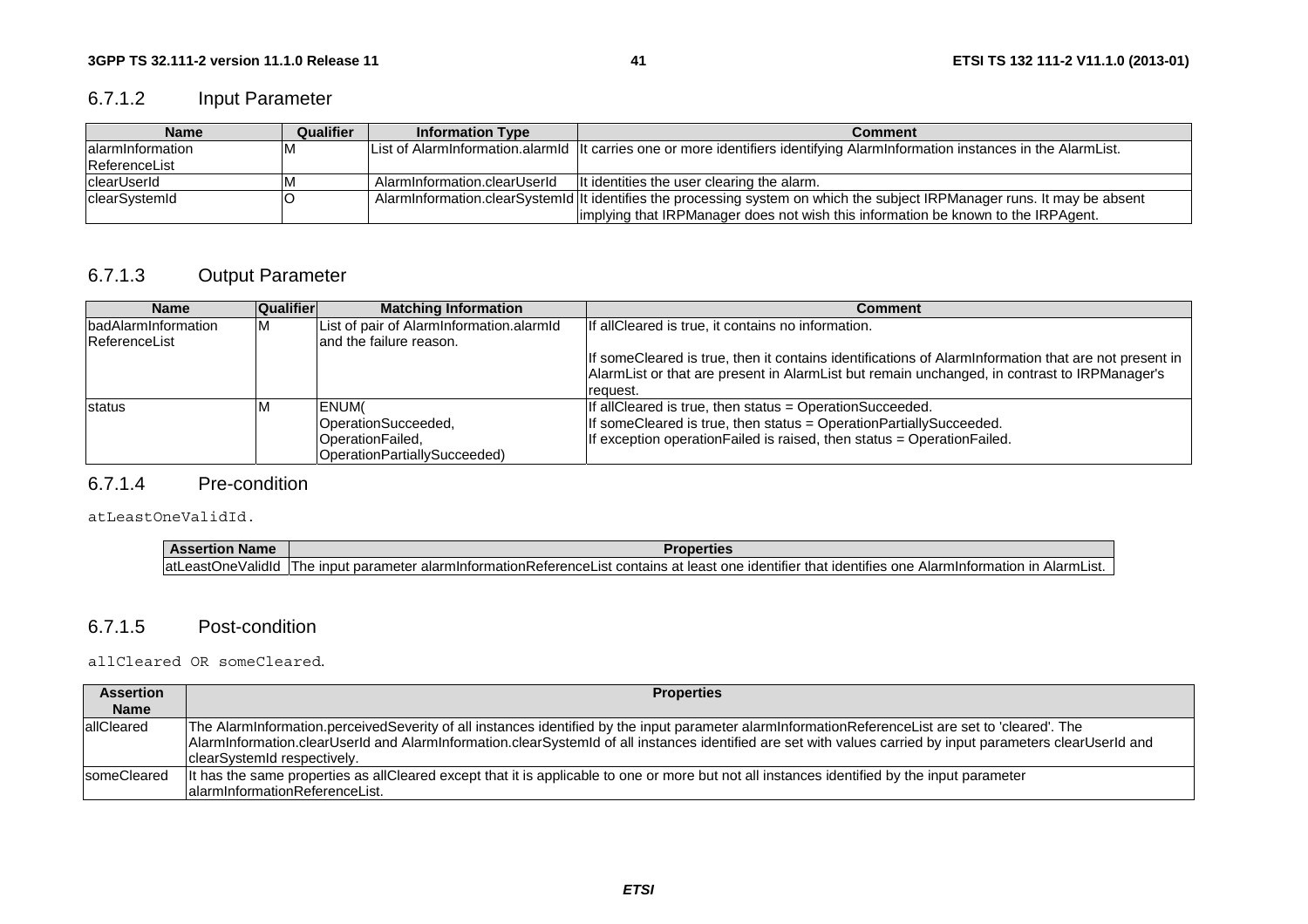# 6.7.1.2 Input Parameter

| <b>Name</b>          | Qualifier | <b>Information Type</b>                                                                                                    | <b>Comment</b>                                                                                                                 |
|----------------------|-----------|----------------------------------------------------------------------------------------------------------------------------|--------------------------------------------------------------------------------------------------------------------------------|
| lalarmInformation    |           |                                                                                                                            | List of Alarminformation.alarmid   It carries one or more identifiers identifying Alarminformation instances in the AlarmList. |
| <b>ReferenceList</b> |           |                                                                                                                            |                                                                                                                                |
| <b>clearUserId</b>   |           | AlarmInformation.clearUserId                                                                                               | It identities the user clearing the alarm.                                                                                     |
| clearSystemId        |           | AlarmInformation.clearSystemId  It identifies the processing system on which the subject IRPManager runs. It may be absent |                                                                                                                                |
|                      |           |                                                                                                                            | implying that IRPManager does not wish this information be known to the IRPAgent.                                              |

# 6.7.1.3 Output Parameter

| <b>Name</b>                | <b>Qualifier</b> | <b>Matching Information</b>              | Comment                                                                                              |
|----------------------------|------------------|------------------------------------------|------------------------------------------------------------------------------------------------------|
| <b>badAlarmInformation</b> | M                | List of pair of AlarmInformation.alarmId | If allCleared is true, it contains no information.                                                   |
| ReferenceList              |                  | land the failure reason.                 |                                                                                                      |
|                            |                  |                                          | If someCleared is true, then it contains identifications of AlarmInformation that are not present in |
|                            |                  |                                          | AlarmList or that are present in AlarmList but remain unchanged, in contrast to IRPManager's         |
|                            |                  |                                          | request.                                                                                             |
| status                     | ΙVΙ              | <b>IENUM</b>                             | If allCleared is true, then status = OperationSucceeded.                                             |
|                            |                  | OperationSucceeded,                      | If someCleared is true, then status = OperationPartiallySucceeded.                                   |
|                            |                  | OperationFailed,                         | If exception operation Failed is raised, then status = Operation Failed.                             |
|                            |                  | OperationPartiallySucceeded)             |                                                                                                      |

#### 6.7.1.4 Pre-condition

atLeastOneValidId.

| <b>Assertion Name</b> | Properties                                                                                                                                               |
|-----------------------|----------------------------------------------------------------------------------------------------------------------------------------------------------|
|                       | atLeastOneValidId  The input parameter alarmInformationReferenceList contains at least one identifier that identifies one AlarmInformation in AlarmList. |

#### 6.7.1.5 Post-condition

allCleared OR someCleared.

| <b>Assertion</b> | <b>Properties</b>                                                                                                                                           |
|------------------|-------------------------------------------------------------------------------------------------------------------------------------------------------------|
| <b>Name</b>      |                                                                                                                                                             |
| lallCleared      | The AlarmInformation.perceivedSeverity of all instances identified by the input parameter alarmInformationReferenceList are set to 'cleared'. The           |
|                  | AlarmInformation.clearUserId and AlarmInformation.clearSystemId of all instances identified are set with values carried by input parameters clearUserId and |
|                  | clearSystemId respectively.                                                                                                                                 |
| someCleared      | It has the same properties as allCleared except that it is applicable to one or more but not all instances identified by the input parameter                |
|                  | lalarminformationReferenceList.                                                                                                                             |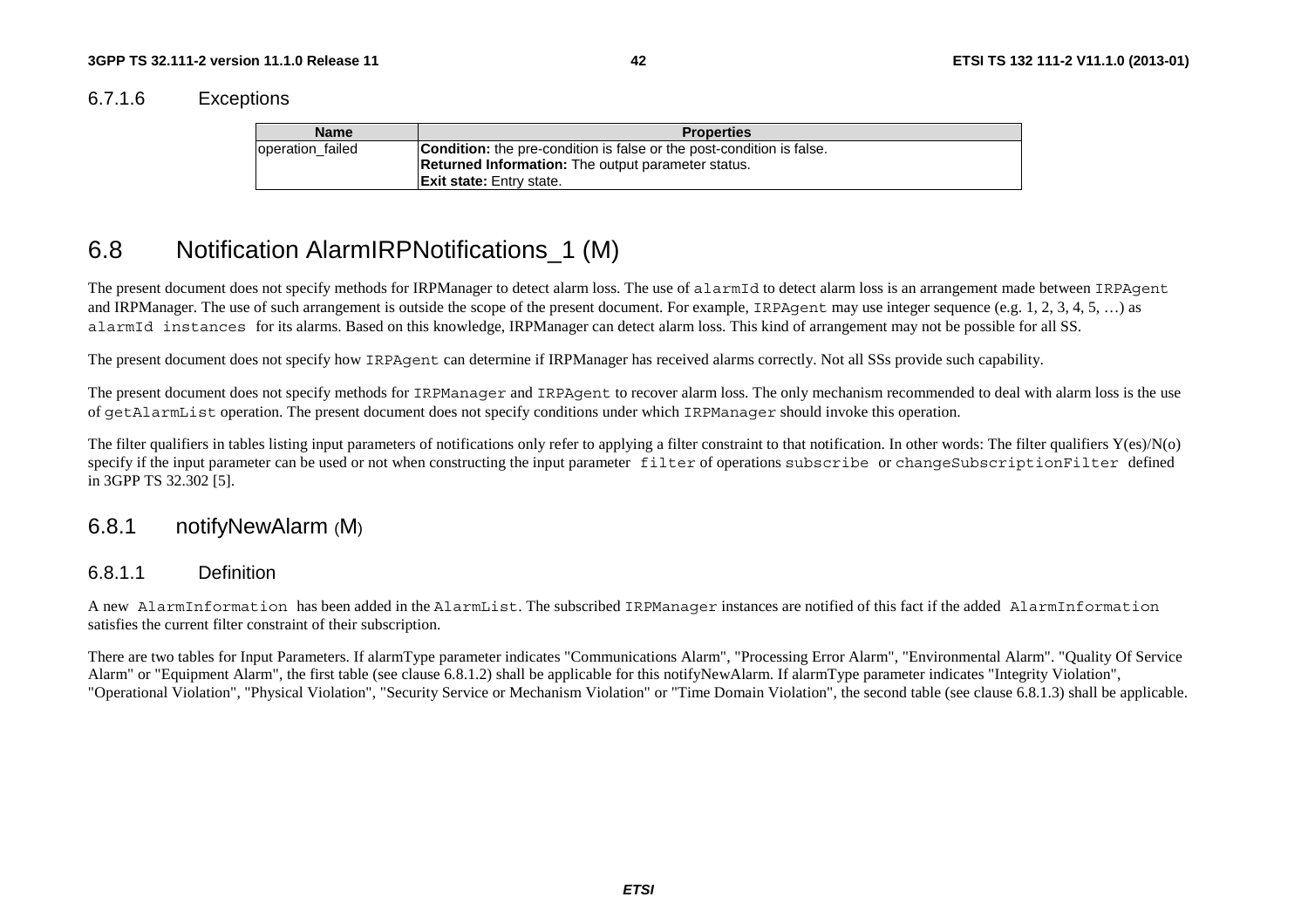6.7.1.6 Exceptions

| <b>Name</b>      | <b>Properties</b>                                                                                                                         |
|------------------|-------------------------------------------------------------------------------------------------------------------------------------------|
| operation failed | <b>Condition:</b> the pre-condition is false or the post-condition is false.<br><b>Returned Information:</b> The output parameter status. |
|                  | <b>Exit state:</b> Entry state.                                                                                                           |

# 6.8 Notification AlarmIRPNotifications\_1 (M)

The present document does not specify methods for IRPManager to detect alarm loss. The use of alarmId to detect alarm loss is an arrangement made between IRPAgent and IRPManager. The use of such arrangement is outside the scope of the present document. For example, IRPAgent may use integer sequence (e.g. 1, 2, 3, 4, 5, ...) as alarmId instances for its alarms. Based on this knowledge, IRPManager can detect alarm loss. This kind of arrangement may not be possible for all SS.

The present document does not specify how IRPAgent can determine if IRPManager has received alarms correctly. Not all SSs provide such capability.

The present document does not specify methods for IRPManager and IRPAgent to recover alarm loss. The only mechanism recommended to deal with alarm loss is the use of getAlarmList operation. The present document does not specify conditions under which IRPManager should invoke this operation.

The filter qualifiers in tables listing input parameters of notifications only refer to applying a filter constraint to that notification. In other words: The filter qualifiers  $Y(\epsilon s)/N(o)$ specify if the input parameter can be used or not when constructing the input parameter filter of operations subscribe or changeSubscriptionFilter defined in 3GPP TS 32.302 [5].

# 6.8.1 notifyNewAlarm (M)

### 6.8.1.1 Definition

A new AlarmInformation has been added in the AlarmList. The subscribed IRPManager instances are notified of this fact if the added AlarmInformation satisfies the current filter constraint of their subscription.

There are two tables for Input Parameters. If alarmType parameter indicates "Communications Alarm", "Processing Error Alarm", "Environmental Alarm". "Quality Of Service Alarm" or "Equipment Alarm", the first table (see clause 6.8.1.2) shall be applicable for this notifyNewAlarm. If alarmType parameter indicates "Integrity Violation", "Operational Violation", "Physical Violation", "Security Service or Mechanism Violation" or "Time Domain Violation", the second table (see clause 6.8.1.3) shall be applicable.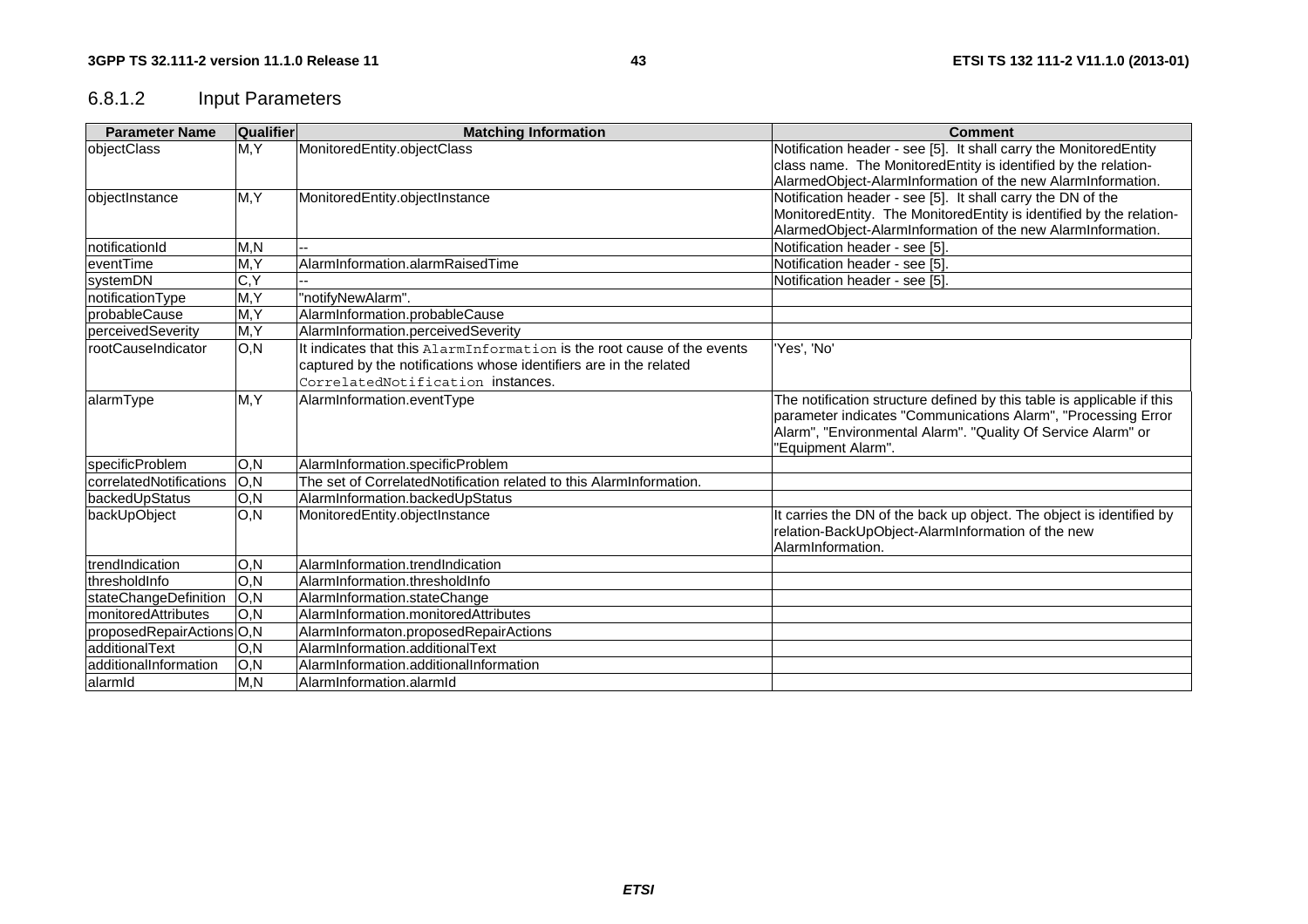# 6.8.1.2 Input Parameters

| <b>Parameter Name</b>     | <b>Qualifier</b> | <b>Matching Information</b>                                             | <b>Comment</b>                                                                                                                                                                                                                |
|---------------------------|------------------|-------------------------------------------------------------------------|-------------------------------------------------------------------------------------------------------------------------------------------------------------------------------------------------------------------------------|
| objectClass               | M, Y             | MonitoredEntity.objectClass                                             | Notification header - see [5]. It shall carry the MonitoredEntity                                                                                                                                                             |
|                           |                  |                                                                         | class name. The MonitoredEntity is identified by the relation-                                                                                                                                                                |
|                           |                  |                                                                         | AlarmedObject-AlarmInformation of the new AlarmInformation.                                                                                                                                                                   |
| objectInstance            | M, Y             | MonitoredEntity.objectInstance                                          | Notification header - see [5]. It shall carry the DN of the                                                                                                                                                                   |
|                           |                  |                                                                         | MonitoredEntity. The MonitoredEntity is identified by the relation-                                                                                                                                                           |
|                           |                  |                                                                         | AlarmedObject-AlarmInformation of the new AlarmInformation.                                                                                                                                                                   |
| InotificationId           | M, N             |                                                                         | Notification header - see [5]                                                                                                                                                                                                 |
| leventTime                | M, Y             | AlarmInformation.alarmRaisedTime                                        | Notification header - see [5].                                                                                                                                                                                                |
| systemDN                  | C, Y             |                                                                         | Notification header - see [5]                                                                                                                                                                                                 |
| notificationType          | M, Y             | "notifyNewAlarm".                                                       |                                                                                                                                                                                                                               |
| IprobableCause            | M, Y             | AlarmInformation.probableCause                                          |                                                                                                                                                                                                                               |
| perceivedSeverity         | M, Y             | AlarmInformation.perceivedSeverity                                      |                                                                                                                                                                                                                               |
| rootCauseIndicator        | O, N             | It indicates that this AlarmInformation is the root cause of the events | 'Yes', 'No'                                                                                                                                                                                                                   |
|                           |                  | captured by the notifications whose identifiers are in the related      |                                                                                                                                                                                                                               |
|                           |                  | CorrelatedNotification instances.                                       |                                                                                                                                                                                                                               |
| alarmType                 | M, Y             | AlarmInformation.eventType                                              | The notification structure defined by this table is applicable if this<br>parameter indicates "Communications Alarm", "Processing Error<br>Alarm", "Environmental Alarm". "Quality Of Service Alarm" or<br>'Equipment Alarm". |
| specificProblem           | O, N             | AlarmInformation.specificProblem                                        |                                                                                                                                                                                                                               |
| correlatedNotifications   | O, N             | The set of CorrelatedNotification related to this AlarmInformation.     |                                                                                                                                                                                                                               |
| backedUpStatus            | O, N             | AlarmInformation.backedUpStatus                                         |                                                                                                                                                                                                                               |
| backUpObject              | O, N             | MonitoredEntity.objectInstance                                          | It carries the DN of the back up object. The object is identified by<br>relation-BackUpObject-AlarmInformation of the new<br>AlarmInformation.                                                                                |
| trendIndication           | O, N             | AlarmInformation.trendIndication                                        |                                                                                                                                                                                                                               |
| thresholdInfo             | O, N             | AlarmInformation.thresholdInfo                                          |                                                                                                                                                                                                                               |
| stateChangeDefinition     | O, N             | AlarmInformation.stateChange                                            |                                                                                                                                                                                                                               |
| monitoredAttributes       | O, N             | AlarmInformation.monitoredAttributes                                    |                                                                                                                                                                                                                               |
| proposedRepairActions O,N |                  | AlarmInformaton.proposedRepairActions                                   |                                                                                                                                                                                                                               |
| ladditionalText           | O, N             | AlarmInformation.additionalText                                         |                                                                                                                                                                                                                               |
| additionalInformation     | O, N             | AlarmInformation.additionalInformation                                  |                                                                                                                                                                                                                               |
| alarmid                   | M.N              | AlarmInformation.alarmId                                                |                                                                                                                                                                                                                               |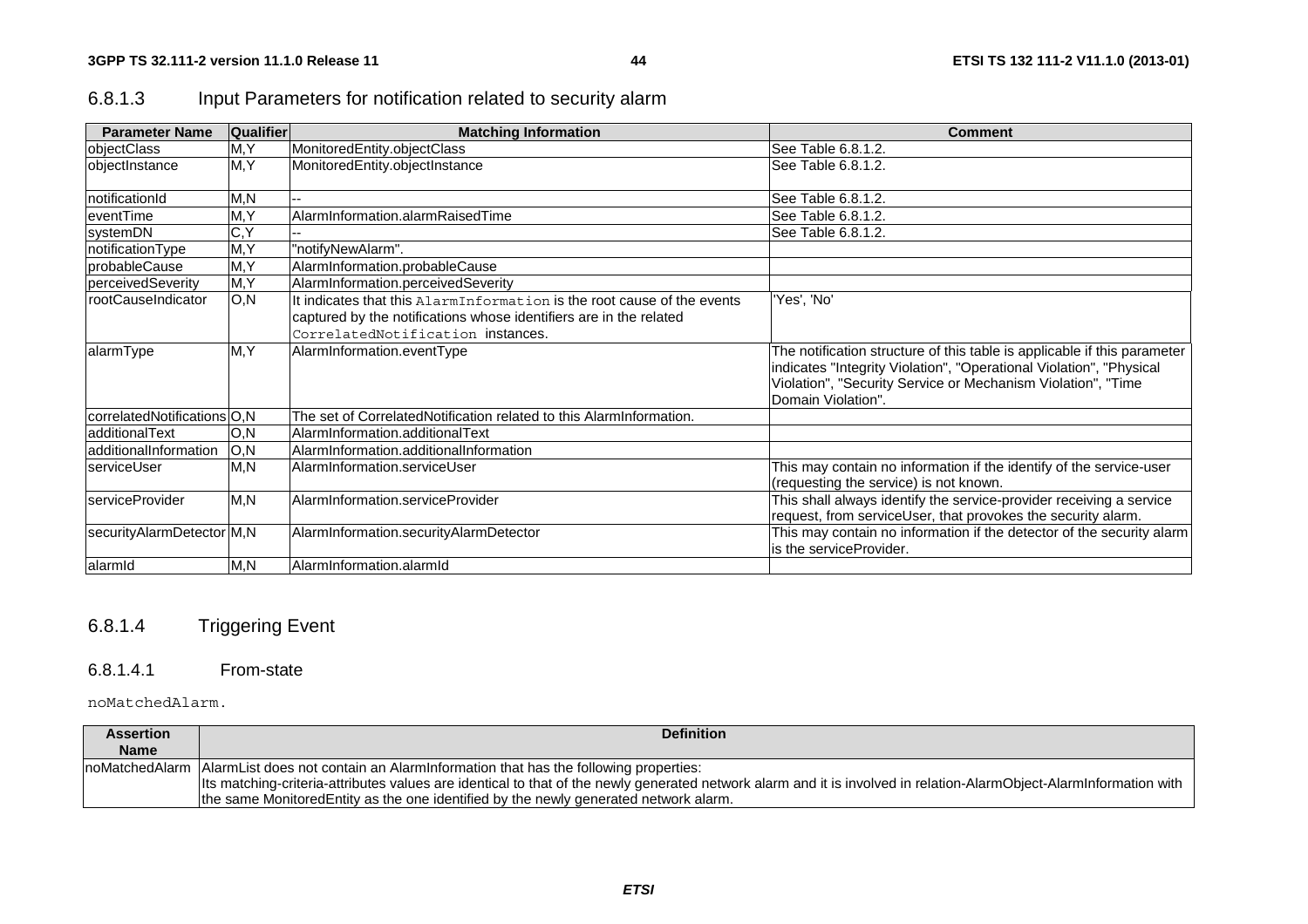# 6.8.1.3 Input Parameters for notification related to security alarm

| <b>Parameter Name</b>       | <b>Qualifier</b>   | <b>Matching Information</b>                                                                                                                                                        | <b>Comment</b>                                                                                                                                                                                                                       |
|-----------------------------|--------------------|------------------------------------------------------------------------------------------------------------------------------------------------------------------------------------|--------------------------------------------------------------------------------------------------------------------------------------------------------------------------------------------------------------------------------------|
| <b>objectClass</b>          | M, Y               | MonitoredEntity.objectClass                                                                                                                                                        | See Table 6.8.1.2.                                                                                                                                                                                                                   |
| objectInstance              | M, Y               | MonitoredEntity.objectInstance                                                                                                                                                     | lSee Table 6.8.1.2.                                                                                                                                                                                                                  |
| notificationId              | M, N               | --                                                                                                                                                                                 | See Table 6.8.1.2.                                                                                                                                                                                                                   |
| eventTime                   | M, Y               | AlarmInformation.alarmRaisedTime                                                                                                                                                   | See Table 6.8.1.2.                                                                                                                                                                                                                   |
| systemDN                    | $\overline{C}$ , Y |                                                                                                                                                                                    | See Table 6.8.1.2.                                                                                                                                                                                                                   |
| notificationType            | $\overline{M}$ , Y | "notifyNewAlarm".                                                                                                                                                                  |                                                                                                                                                                                                                                      |
| IprobableCause              | M, Y               | AlarmInformation.probableCause                                                                                                                                                     |                                                                                                                                                                                                                                      |
| perceivedSeverity           | M, Y               | AlarmInformation.perceivedSeverity                                                                                                                                                 |                                                                                                                                                                                                                                      |
| <b>rootCauseIndicator</b>   | O,N                | It indicates that this AlarmInformation is the root cause of the events<br>captured by the notifications whose identifiers are in the related<br>CorrelatedNotification instances. | 'Yes', 'No'                                                                                                                                                                                                                          |
| alarmType                   | M, Y               | AlarmInformation.eventType                                                                                                                                                         | The notification structure of this table is applicable if this parameter<br>indicates "Integrity Violation", "Operational Violation", "Physical<br>Violation", "Security Service or Mechanism Violation", "Time<br>Domain Violation" |
| correlatedNotifications O,N |                    | The set of CorrelatedNotification related to this AlarmInformation.                                                                                                                |                                                                                                                                                                                                                                      |
| ladditionalText             | IO,N               | AlarmInformation.additionalText                                                                                                                                                    |                                                                                                                                                                                                                                      |
| ladditionalInformation      | O,N                | AlarmInformation.additionalInformation                                                                                                                                             |                                                                                                                                                                                                                                      |
| <b>IserviceUser</b>         | M,N                | AlarmInformation.serviceUser                                                                                                                                                       | This may contain no information if the identify of the service-user<br>(requesting the service) is not known.                                                                                                                        |
| IserviceProvider            | M, N               | AlarmInformation.serviceProvider                                                                                                                                                   | This shall always identify the service-provider receiving a service<br>request, from serviceUser, that provokes the security alarm.                                                                                                  |
| securityAlarmDetector M,N   |                    | AlarmInformation.securityAlarmDetector                                                                                                                                             | This may contain no information if the detector of the security alarm<br>is the serviceProvider.                                                                                                                                     |
| alarmid                     | M, N               | AlarmInformation.alarmId                                                                                                                                                           |                                                                                                                                                                                                                                      |

# 6.8.1.4 Triggering Event

#### 6.8.1.4.1 From-state

#### noMatchedAlarm.

| <b>Assertion</b> | <b>Definition</b>                                                                                                                                                   |
|------------------|---------------------------------------------------------------------------------------------------------------------------------------------------------------------|
| <b>Name</b>      |                                                                                                                                                                     |
|                  | noMatchedAlarm   AlarmList does not contain an AlarmInformation that has the following properties:                                                                  |
|                  | Its matching-criteria-attributes values are identical to that of the newly generated network alarm and it is involved in relation-AlarmObject-AlarmInformation with |
|                  | the same Monitored Entity as the one identified by the newly generated network alarm.                                                                               |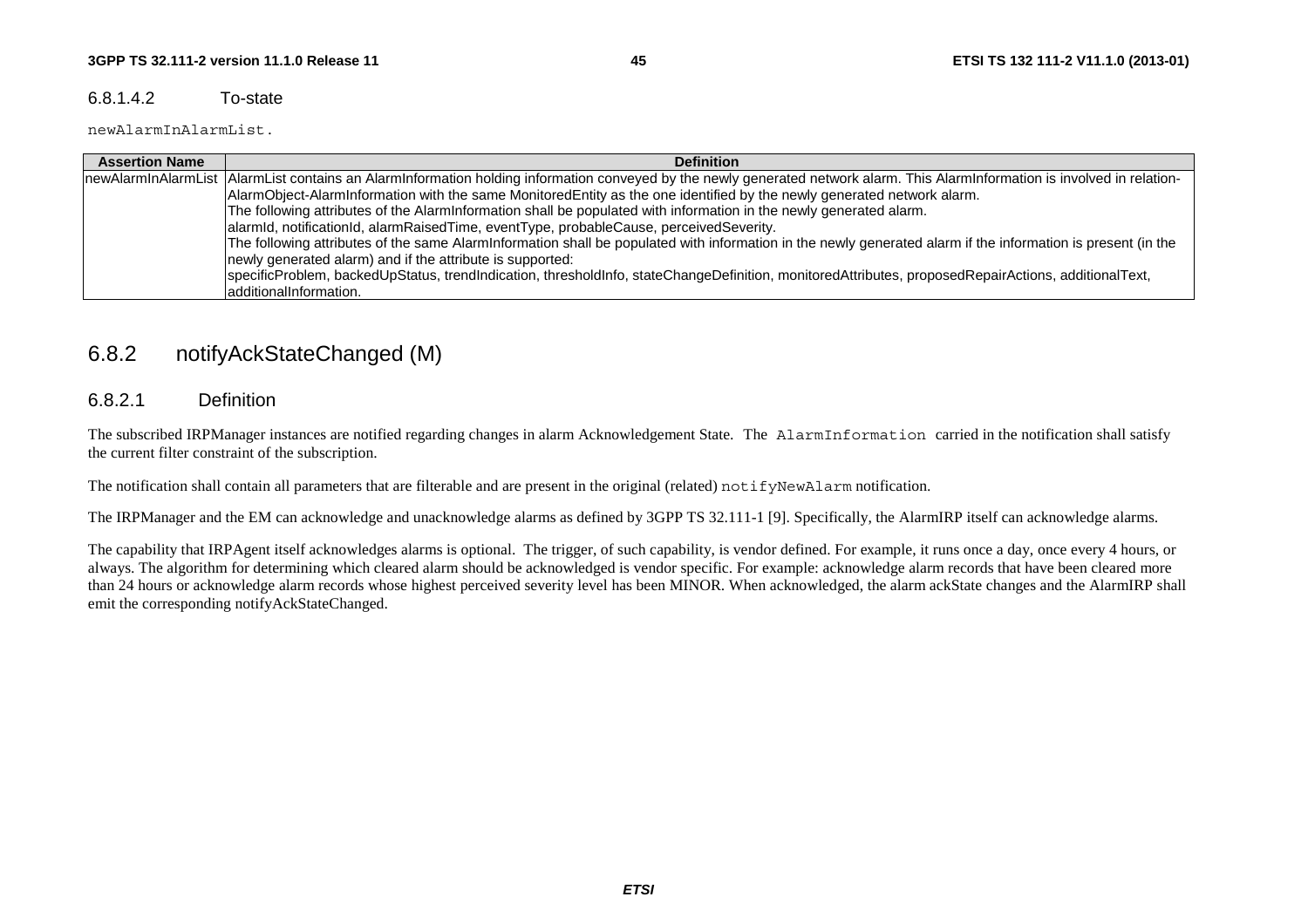### 6.8.1.4.2 To-state

newAlarmInAlarmList.

| <b>Assertion Name</b> | <b>Definition</b>                                                                                                                                                             |
|-----------------------|-------------------------------------------------------------------------------------------------------------------------------------------------------------------------------|
|                       | newAlarmInAlarmList  AlarmList contains an AlarmInformation holding information conveyed by the newly generated network alarm. This AlarmInformation is involved in relation- |
|                       | AlarmObject-AlarmInformation with the same MonitoredEntity as the one identified by the newly generated network alarm.                                                        |
|                       | The following attributes of the AlarmInformation shall be populated with information in the newly generated alarm.                                                            |
|                       | alarmid, notificationid, alarmRaisedTime, eventType, probableCause, perceivedSeverity.                                                                                        |
|                       | The following attributes of the same AlarmInformation shall be populated with information in the newly generated alarm if the information is present (in the                  |
|                       | newly generated alarm) and if the attribute is supported:                                                                                                                     |
|                       | specificProblem, backedUpStatus, trendIndication, thresholdInfo, stateChangeDefinition, monitoredAttributes, proposedRepairActions, additionalText,                           |
|                       | ladditionalInformation.                                                                                                                                                       |

# 6.8.2 notifyAckStateChanged (M)

## 6.8.2.1 Definition

The subscribed IRPManager instances are notified regarding changes in alarm Acknowledgement State. The AlarmInformation carried in the notification shall satisfy the current filter constraint of the subscription.

The notification shall contain all parameters that are filterable and are present in the original (related) notifyNewAlarm notification.

The IRPManager and the EM can acknowledge and unacknowledge alarms as defined by 3GPP TS 32.111-1 [9]. Specifically, the AlarmIRP itself can acknowledge alarms.

The capability that IRPAgent itself acknowledges alarms is optional. The trigger, of such capability, is vendor defined. For example, it runs once a day, once every 4 hours, or always. The algorithm for determining which cleared alarm should be acknowledged is vendor specific. For example: acknowledge alarm records that have been cleared more than 24 hours or acknowledge alarm records whose highest perceived severity level has been MINOR. When acknowledged, the alarm ackState changes and the AlarmIRP shall emit the corresponding notifyAckStateChanged.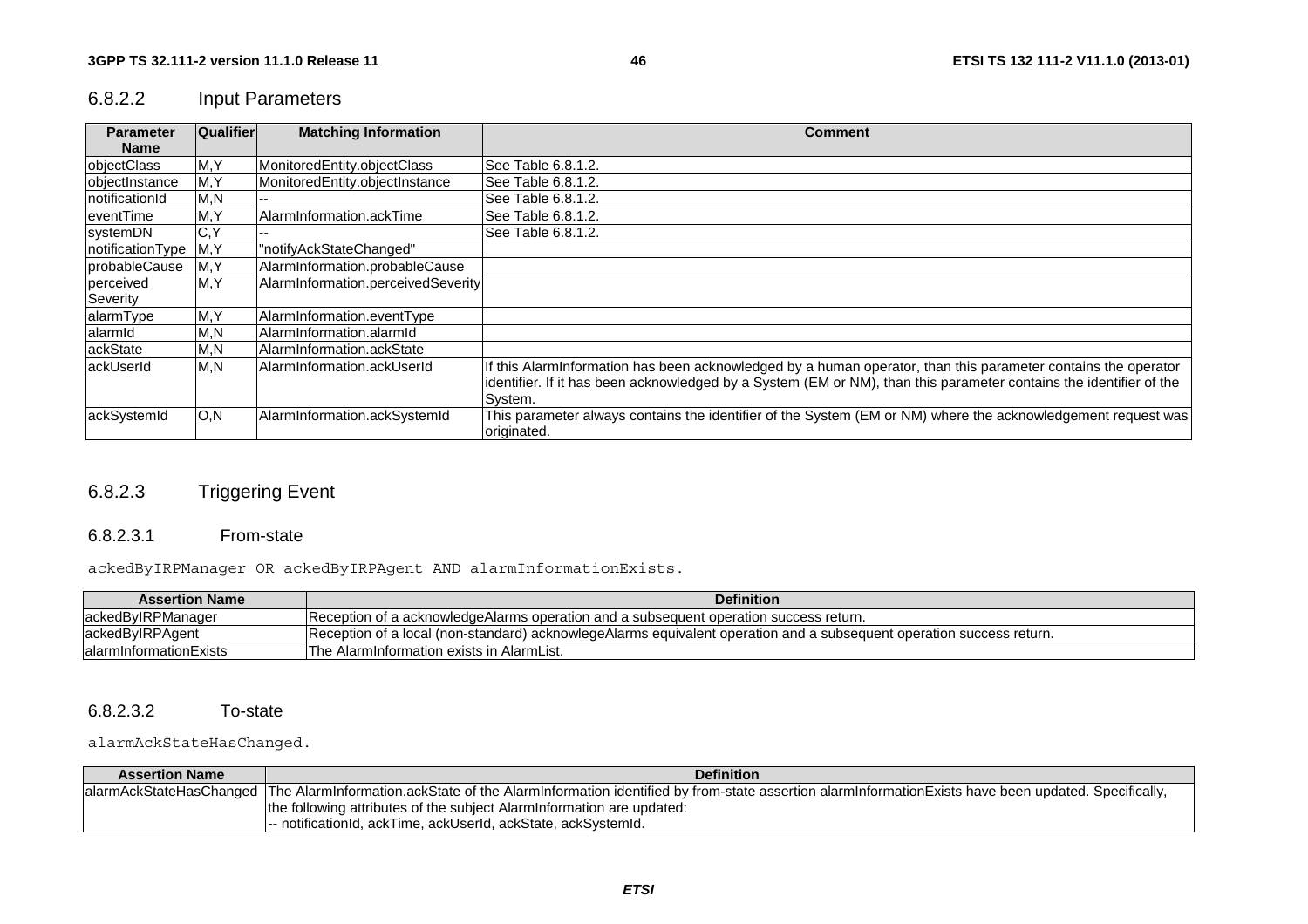# 6.8.2.2 Input Parameters

| <b>Parameter</b> | Qualifier | <b>Matching Information</b>        | <b>Comment</b>                                                                                                     |
|------------------|-----------|------------------------------------|--------------------------------------------------------------------------------------------------------------------|
| <b>Name</b>      |           |                                    |                                                                                                                    |
| objectClass      | M, Y      | MonitoredEntity.objectClass        | See Table 6.8.1.2.                                                                                                 |
| objectInstance   | M, Y      | MonitoredEntity.objectInstance     | See Table 6.8.1.2.                                                                                                 |
| InotificationId  | M, N      |                                    | See Table 6.8.1.2.                                                                                                 |
| eventTime        | M, Y      | AlarmInformation.ackTime           | See Table 6.8.1.2.                                                                                                 |
| systemDN         | C, Y      |                                    | See Table 6.8.1.2.                                                                                                 |
| notificationType | M.Y       | "notifyAckStateChanged"            |                                                                                                                    |
| probableCause    | M, Y      | AlarmInformation.probableCause     |                                                                                                                    |
| perceived        | M, Y      | AlarmInformation.perceivedSeverity |                                                                                                                    |
| Severity         |           |                                    |                                                                                                                    |
| alarmType        | M, Y      | AlarmInformation.eventType         |                                                                                                                    |
| alarmid          | M, N      | AlarmInformation.alarmId           |                                                                                                                    |
| ackState         | M,N       | AlarmInformation.ackState          |                                                                                                                    |
| ackUserId        | M, N      | AlarmInformation.ackUserId         | If this AlarmInformation has been acknowledged by a human operator, than this parameter contains the operator      |
|                  |           |                                    | identifier. If it has been acknowledged by a System (EM or NM), than this parameter contains the identifier of the |
|                  |           |                                    | System.                                                                                                            |
| ackSystemId      | O, N      | AlarmInformation.ackSystemId       | This parameter always contains the identifier of the System (EM or NM) where the acknowledgement request was       |
|                  |           |                                    | originated.                                                                                                        |

# 6.8.2.3 Triggering Event

#### 6.8.2.3.1 From-state

ackedByIRPManager OR ackedByIRPAgent AND alarmInformationExists.

| <b>Assertion Name</b>  | <b>Definition</b>                                                                                                    |
|------------------------|----------------------------------------------------------------------------------------------------------------------|
| ackedByIRPManager      | - Reception of a acknowledge Alarms operation and a subsequent operation success return.                             |
| ackedByIRPAgent        | Reception of a local (non-standard) acknowlegeAlarms equivalent operation and a subsequent operation success return. |
| alarmInformationExists | The AlarmInformation exists in AlarmList.                                                                            |

#### $6.8.2.3.2$ To-state

#### alarmAckStateHasChanged.

| <b>Assertion Name</b> | <b>Definition</b>                                                                                                                                                         |
|-----------------------|---------------------------------------------------------------------------------------------------------------------------------------------------------------------------|
|                       | alarmAckStateHasChanged  The AlarmInformation.ackState of the AlarmInformation identified by from-state assertion alarmInformationExists have been updated. Specifically, |
|                       | the following attributes of the subject Alarminformation are updated:                                                                                                     |
|                       | - notificationId. ackTime. ackUserId. ackState. ackSvstemId.                                                                                                              |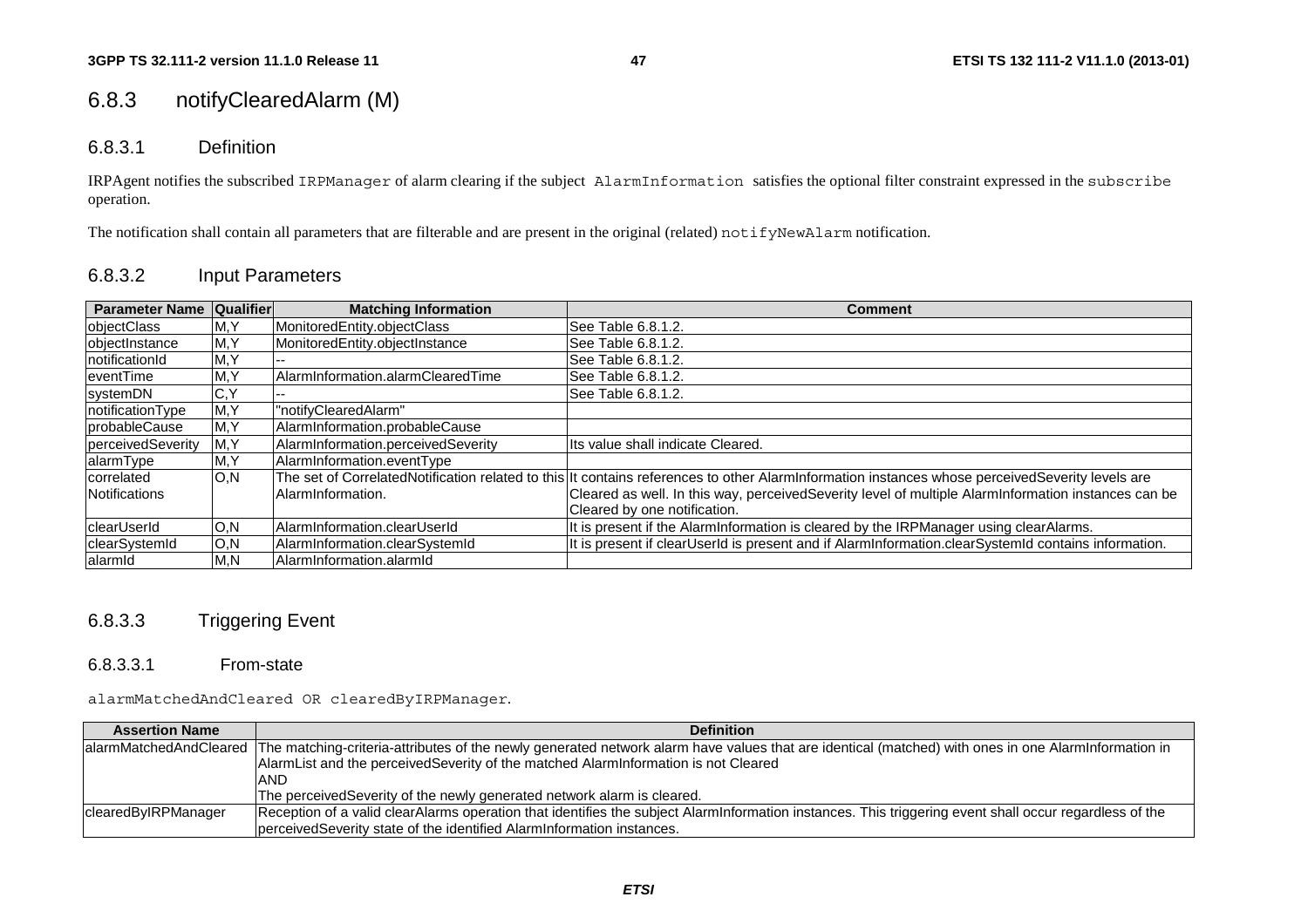# 6.8.3 notifyClearedAlarm (M)

#### 6.8.3.1 Definition

IRPAgent notifies the subscribed IRPManager of alarm clearing if the subject AlarmInformation satisfies the optional filter constraint expressed in the subscribe operation.

The notification shall contain all parameters that are filterable and are present in the original (related) notifyNewAlarm notification.

### 6.8.3.2 Input Parameters

| <b>Parameter Name</b> | <b>Qualifier</b> | <b>Matching Information</b>        | <b>Comment</b>                                                                                                                                  |
|-----------------------|------------------|------------------------------------|-------------------------------------------------------------------------------------------------------------------------------------------------|
| objectClass           | M, Y             | MonitoredEntity.objectClass        | See Table 6.8.1.2.                                                                                                                              |
| objectInstance        | M, Y             | MonitoredEntity.objectInstance     | See Table 6.8.1.2.                                                                                                                              |
| notificationId        | M, Y             |                                    | See Table 6.8.1.2.                                                                                                                              |
| eventTime             | M, Y             | AlarmInformation.alarmClearedTime  | See Table 6.8.1.2.                                                                                                                              |
| systemDN              | C,Y              |                                    | See Table 6.8.1.2.                                                                                                                              |
| notificationType      | M, Y             | "notifyClearedAlarm"               |                                                                                                                                                 |
| probableCause         | M, Y             | AlarmInformation.probableCause     |                                                                                                                                                 |
| perceivedSeverity     | M, Y             | AlarmInformation.perceivedSeverity | Its value shall indicate Cleared.                                                                                                               |
| alarmType             | M, Y             | AlarmInformation.eventType         |                                                                                                                                                 |
| correlated            | O, N             |                                    | The set of CorrelatedNotification related to this It contains references to other AlarmInformation instances whose perceivedSeverity levels are |
| <b>Notifications</b>  |                  | AlarmInformation.                  | Cleared as well. In this way, perceivedSeverity level of multiple AlarmInformation instances can be                                             |
|                       |                  |                                    | Cleared by one notification.                                                                                                                    |
| <b>IclearUserId</b>   | O, N             | AlarmInformation.clearUserId       | It is present if the AlarmInformation is cleared by the IRPManager using clearAlarms.                                                           |
| <b>clearSystemId</b>  | O, N             | AlarmInformation.clearSystemId     | It is present if clearUserId is present and if AlarmInformation.clearSystemId contains information.                                             |
| alarmid               | M.N              | AlarmInformation.alarmId           |                                                                                                                                                 |

## 6.8.3.3 Triggering Event

#### 6.8.3.3.1 From-state

alarmMatchedAndCleared OR clearedByIRPManager.

| <b>Assertion Name</b> | <b>Definition</b>                                                                                                                                                           |
|-----------------------|-----------------------------------------------------------------------------------------------------------------------------------------------------------------------------|
|                       | alarmMatchedAndCleared  The matching-criteria-attributes of the newly generated network alarm have values that are identical (matched) with ones in one AlarmInformation in |
|                       | AlarmList and the perceived Severity of the matched AlarmInformation is not Cleared                                                                                         |
|                       | <b>AND</b>                                                                                                                                                                  |
|                       | The perceivedSeverity of the newly generated network alarm is cleared.                                                                                                      |
| clearedByIRPManager   | Reception of a valid clearAlarms operation that identifies the subject AlarmInformation instances. This triggering event shall occur regardless of the                      |
|                       | perceived Severity state of the identified Alarm Information instances.                                                                                                     |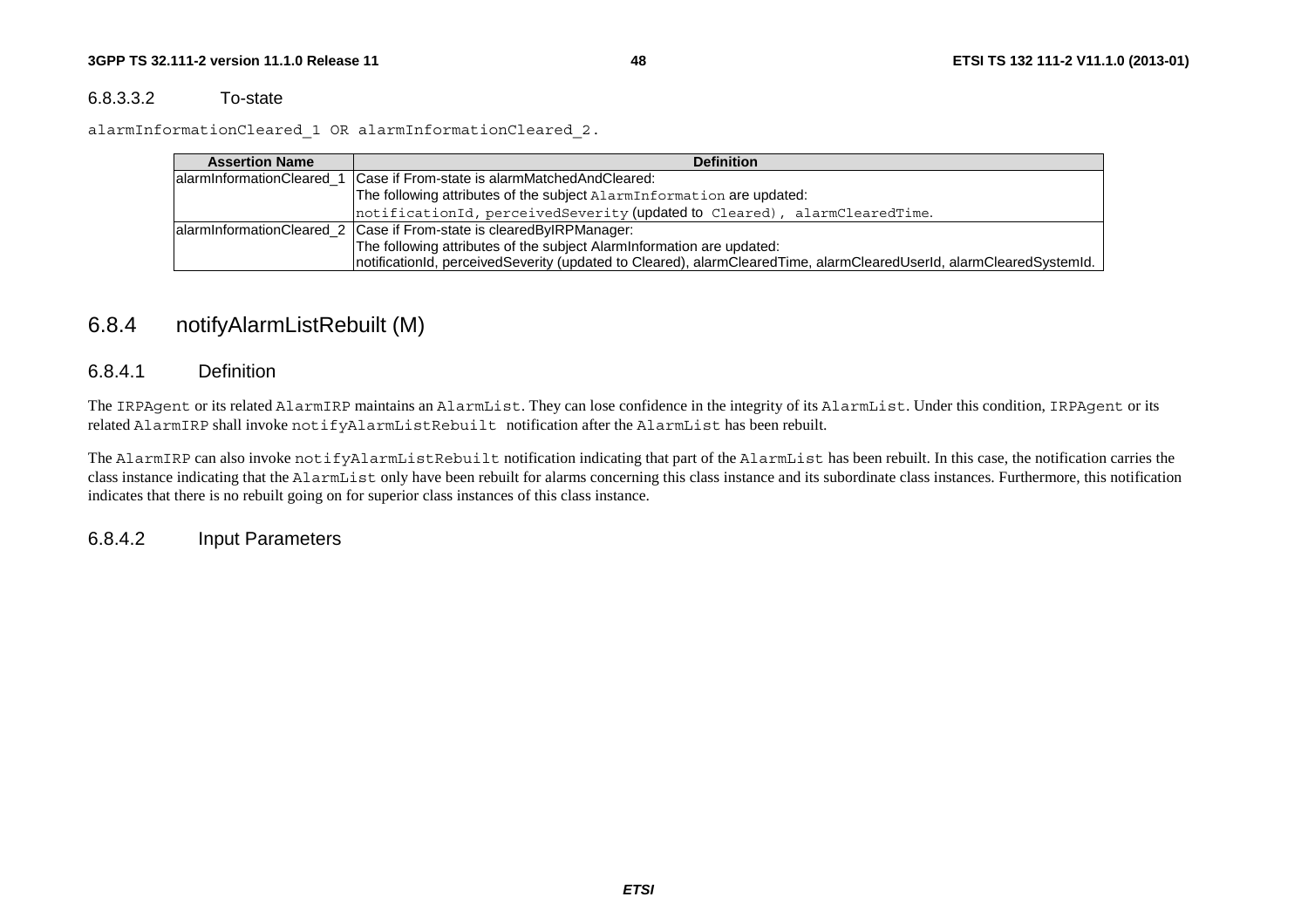#### 6.8.3.3.2 To-state

alarmInformationCleared\_1 OR alarmInformationCleared\_2.

| <b>Assertion Name</b> | <b>Definition</b>                                                                                                   |
|-----------------------|---------------------------------------------------------------------------------------------------------------------|
|                       | alarminformationCleared 1 Case if From-state is alarmMatchedAndCleared:                                             |
|                       | The following attributes of the subject AlarmInformation are updated:                                               |
|                       | notificationId, perceivedSeverity (updated to Cleared), alarmClearedTime.                                           |
|                       | alarmInformationCleared_2 Case if From-state is clearedByIRPManager:                                                |
|                       | The following attributes of the subject Alarminformation are updated:                                               |
|                       | notificationId, perceivedSeverity (updated to Cleared), alarmClearedTime, alarmClearedUserId, alarmClearedSystemId. |

# 6.8.4 notifyAlarmListRebuilt (M)

### 6.8.4.1 Definition

The IRPAgent or its related AlarmIRP maintains an AlarmList. They can lose confidence in the integrity of its AlarmList. Under this condition, IRPAgent or its related AlarmIRP shall invoke notifyAlarmListRebuilt notification after the AlarmList has been rebuilt.

The AlarmIRP can also invoke notifyAlarmListRebuilt notification indicating that part of the AlarmList has been rebuilt. In this case, the notification carries the class instance indicating that the AlarmList only have been rebuilt for alarms concerning this class instance and its subordinate class instances. Furthermore, this notification indicates that there is no rebuilt going on for superior class instances of this class instance.

6.8.4.2 Input Parameters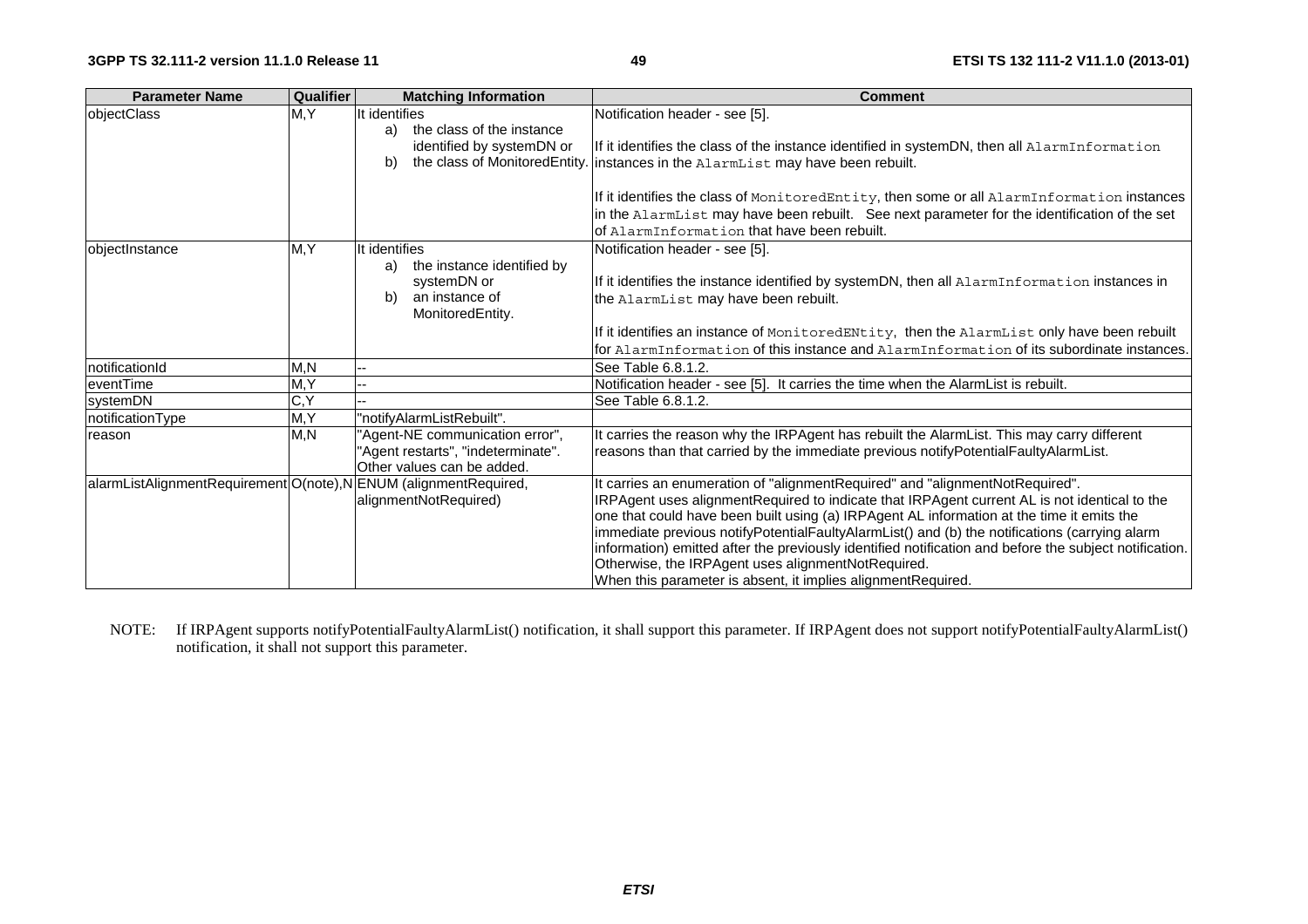| <b>Parameter Name</b>                   | Qualifier | <b>Matching Information</b>         | <b>Comment</b>                                                                                         |
|-----------------------------------------|-----------|-------------------------------------|--------------------------------------------------------------------------------------------------------|
| objectClass                             | M, Y      | It identifies                       | Notification header - see [5].                                                                         |
|                                         |           | the class of the instance<br>a)     |                                                                                                        |
|                                         |           | identified by systemDN or           | If it identifies the class of the instance identified in systemDN, then all AlarmInformation           |
|                                         |           | the class of MonitoredEntity.<br>b) | instances in the AlarmList may have been rebuilt.                                                      |
|                                         |           |                                     |                                                                                                        |
|                                         |           |                                     | If it identifies the class of MonitoredEntity, then some or all AlarmInformation instances             |
|                                         |           |                                     | in the AlarmList may have been rebuilt. See next parameter for the identification of the set           |
|                                         |           |                                     | of AlarmInformation that have been rebuilt.                                                            |
| objectInstance                          | M, Y      | It identifies                       | Notification header - see [5].                                                                         |
|                                         |           | the instance identified by<br>a)    |                                                                                                        |
|                                         |           | systemDN or                         | If it identifies the instance identified by systemDN, then all AlarmInformation instances in           |
|                                         |           | an instance of<br>b)                | the AlarmList may have been rebuilt.                                                                   |
|                                         |           | MonitoredEntity.                    |                                                                                                        |
|                                         |           |                                     | If it identifies an instance of MonitoredENtity, then the AlarmList only have been rebuilt             |
|                                         |           |                                     | for AlarmInformation of this instance and AlarmInformation of its subordinate instances.               |
| notificationId                          | M,N       |                                     | See Table 6.8.1.2.                                                                                     |
| eventTime                               | M, Y      |                                     | Notification header - see [5]. It carries the time when the AlarmList is rebuilt.                      |
| systemDN                                | C, Y      |                                     | See Table 6.8.1.2.                                                                                     |
| notificationType                        | M, Y      | "notifyAlarmListRebuilt".           |                                                                                                        |
| reason                                  | M.N       | "Agent-NE communication error",     | It carries the reason why the IRPAgent has rebuilt the AlarmList. This may carry different             |
|                                         |           | 'Agent restarts", "indeterminate".  | reasons than that carried by the immediate previous notifyPotentialFaultyAlarmList.                    |
|                                         |           | Other values can be added.          |                                                                                                        |
| alarmListAlignmentRequirement O(note),N |           | ENUM (alignmentRequired,            | It carries an enumeration of "alignmentRequired" and "alignmentNotRequired".                           |
|                                         |           | alignmentNotRequired)               | IRPAgent uses alignmentRequired to indicate that IRPAgent current AL is not identical to the           |
|                                         |           |                                     | one that could have been built using (a) IRPAgent AL information at the time it emits the              |
|                                         |           |                                     | immediate previous notifyPotentialFaultyAlarmList() and (b) the notifications (carrying alarm          |
|                                         |           |                                     | information) emitted after the previously identified notification and before the subject notification. |
|                                         |           |                                     | Otherwise, the IRPAgent uses alignmentNotRequired.                                                     |
|                                         |           |                                     | When this parameter is absent, it implies alignmentRequired.                                           |

NOTE: If IRPAgent supports notifyPotentialFaultyAlarmList() notification, it shall support this parameter. If IRPAgent does not support notifyPotentialFaultyAlarmList() notification, it shall not support this parameter.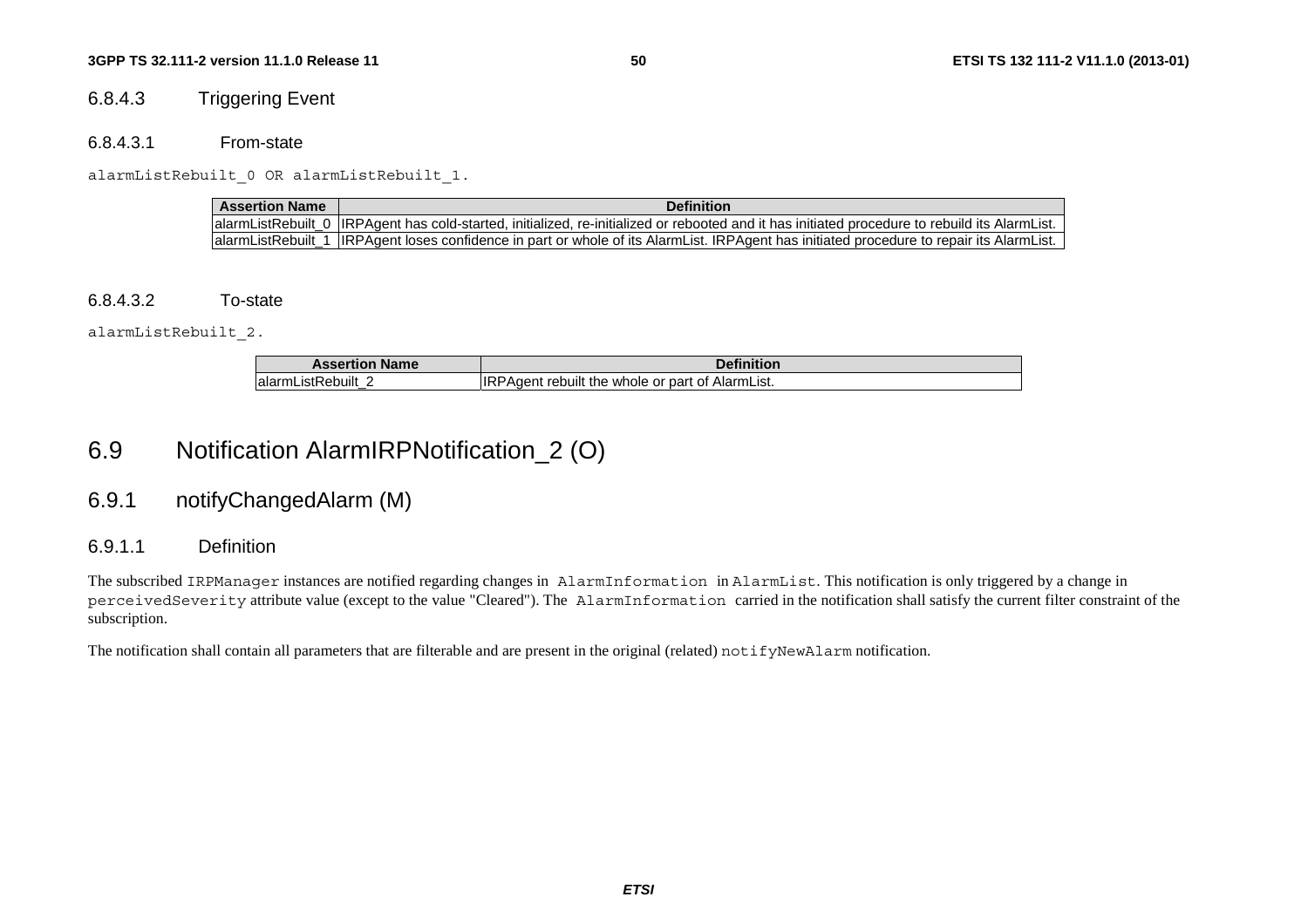## 6.8.4.3 Triggering Event

#### 6.8.4.3.1 From-state

alarmListRebuilt 0 OR alarmListRebuilt 1.

| <b>Assertion Name</b> | <b>Definition</b>                                                                                                                              |
|-----------------------|------------------------------------------------------------------------------------------------------------------------------------------------|
|                       | alarmListRebuilt 0 IRPAgent has cold-started, initialized, re-initialized or rebooted and it has initiated procedure to rebuild its AlarmList. |
|                       | alarmListRebuilt_1  IRPAgent loses confidence in part or whole of its AlarmList. IRPAgent has initiated procedure to repair its AlarmList.     |

#### 6.8.4.3.2 To-state

alarmListRebuilt\_2.

| <b>Name</b><br><b>Assertion</b>                 | <b>Definition</b>                                           |
|-------------------------------------------------|-------------------------------------------------------------|
| :Rebuilt<br>lalarm <sup>-</sup><br>_iSt⊬<br>$-$ | ∶of AlarmList.<br>PAdent<br>whole or part<br>rebullt<br>the |

# 6.9 Notification AlarmIRPNotification\_2 (O)

# 6.9.1 notifyChangedAlarm (M)

### 6.9.1.1 Definition

The subscribed IRPManager instances are notified regarding changes in AlarmInformation in AlarmList. This notification is only triggered by a change in perceivedSeverity attribute value (except to the value "Cleared"). The AlarmInformation carried in the notification shall satisfy the current filter constraint of the subscription.

The notification shall contain all parameters that are filterable and are present in the original (related) notifyNewAlarm notification.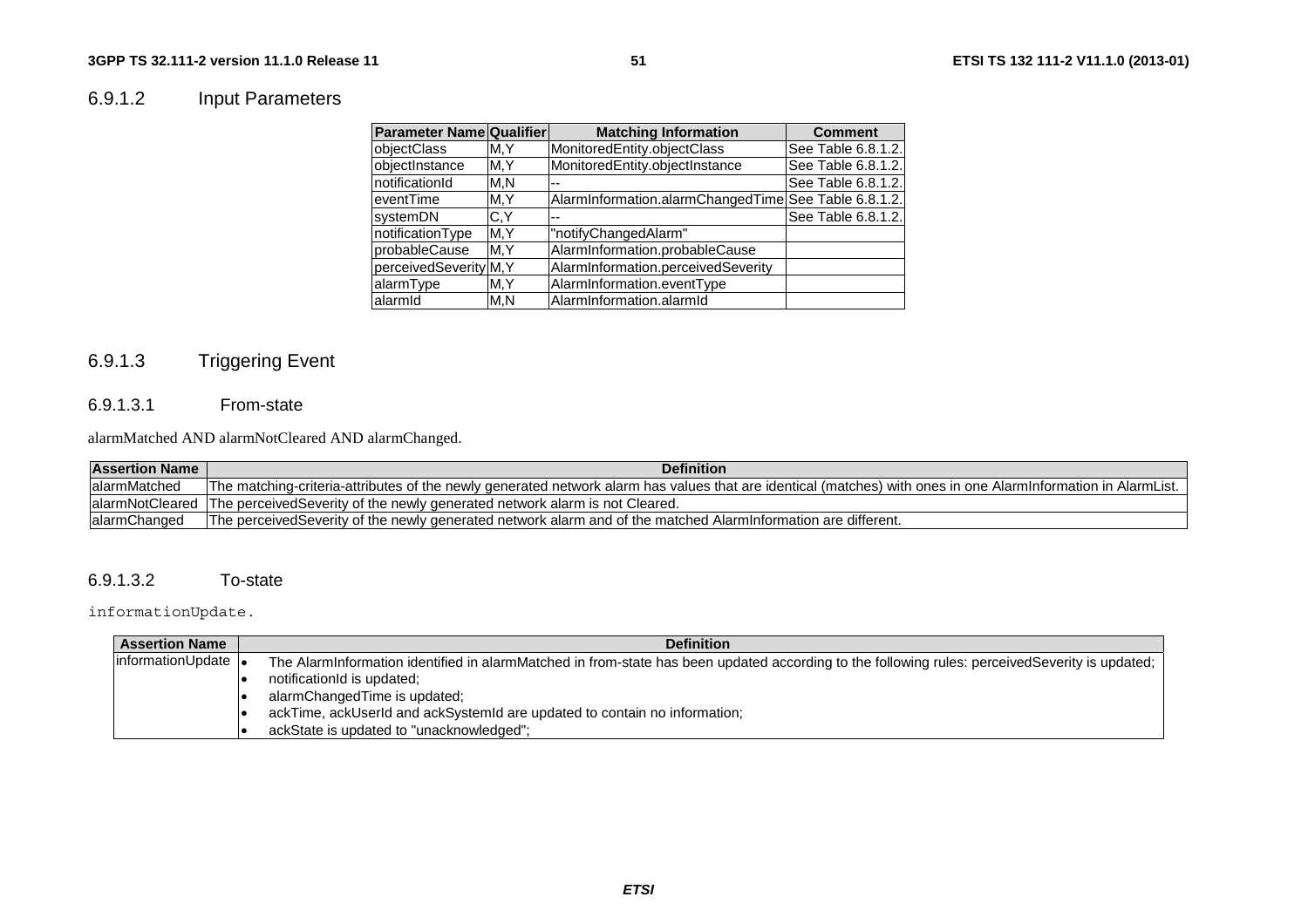# 6.9.1.2 Input Parameters

| <b>Parameter Name Qualifier</b> |      | <b>Matching Information</b>                          | <b>Comment</b>     |
|---------------------------------|------|------------------------------------------------------|--------------------|
| objectClass                     | M.Y  | MonitoredEntity.objectClass                          | See Table 6.8.1.2. |
| objectInstance                  | M, Y | MonitoredEntity.objectInstance                       | See Table 6.8.1.2. |
| notificationId                  | M.N  |                                                      | See Table 6.8.1.2. |
| leventTime                      | M, Y | AlarmInformation.alarmChangedTime See Table 6.8.1.2. |                    |
| systemDN                        | C.Y  | --                                                   | See Table 6.8.1.2. |
| notificationType                | M,Y  | "notifyChangedAlarm"                                 |                    |
| probableCause                   | M, Y | AlarmInformation.probableCause                       |                    |
| perceivedSeverity M, Y          |      | AlarmInformation.perceivedSeverity                   |                    |
| alarmType                       | M, Y | AlarmInformation.eventType                           |                    |
| alarmid                         | M.N  | AlarmInformation.alarmId                             |                    |

# 6.9.1.3 Triggering Event

# 6.9.1.3.1 From-state

alarmMatched AND alarmNotCleared AND alarmChanged.

| <b>Assertion Name</b> | <b>Definition</b>                                                                                                                                             |
|-----------------------|---------------------------------------------------------------------------------------------------------------------------------------------------------------|
| lalarmMatched         | The matching-criteria-attributes of the newly generated network alarm has values that are identical (matches) with ones in one AlarmInformation in AlarmList. |
|                       | alarmNotCleared The perceivedSeverity of the newly generated network alarm is not Cleared.                                                                    |
| lalarmChanged         | The perceivedSeverity of the newly generated network alarm and of the matched Alarminformation are different.                                                 |

### 6.9.1.3.2 To-state

informationUpdate.

| <b>Assertion Name</b> | <b>Definition</b>                                                                                                                              |
|-----------------------|------------------------------------------------------------------------------------------------------------------------------------------------|
| informationUpdate  •  | The AlarmInformation identified in alarmMatched in from-state has been updated according to the following rules: perceivedSeverity is updated; |
|                       | notificationId is updated;                                                                                                                     |
|                       | alarmChangedTime is updated;                                                                                                                   |
|                       | ackTime, ackUserId and ackSystemId are updated to contain no information;                                                                      |
|                       | ackState is updated to "unacknowledged";                                                                                                       |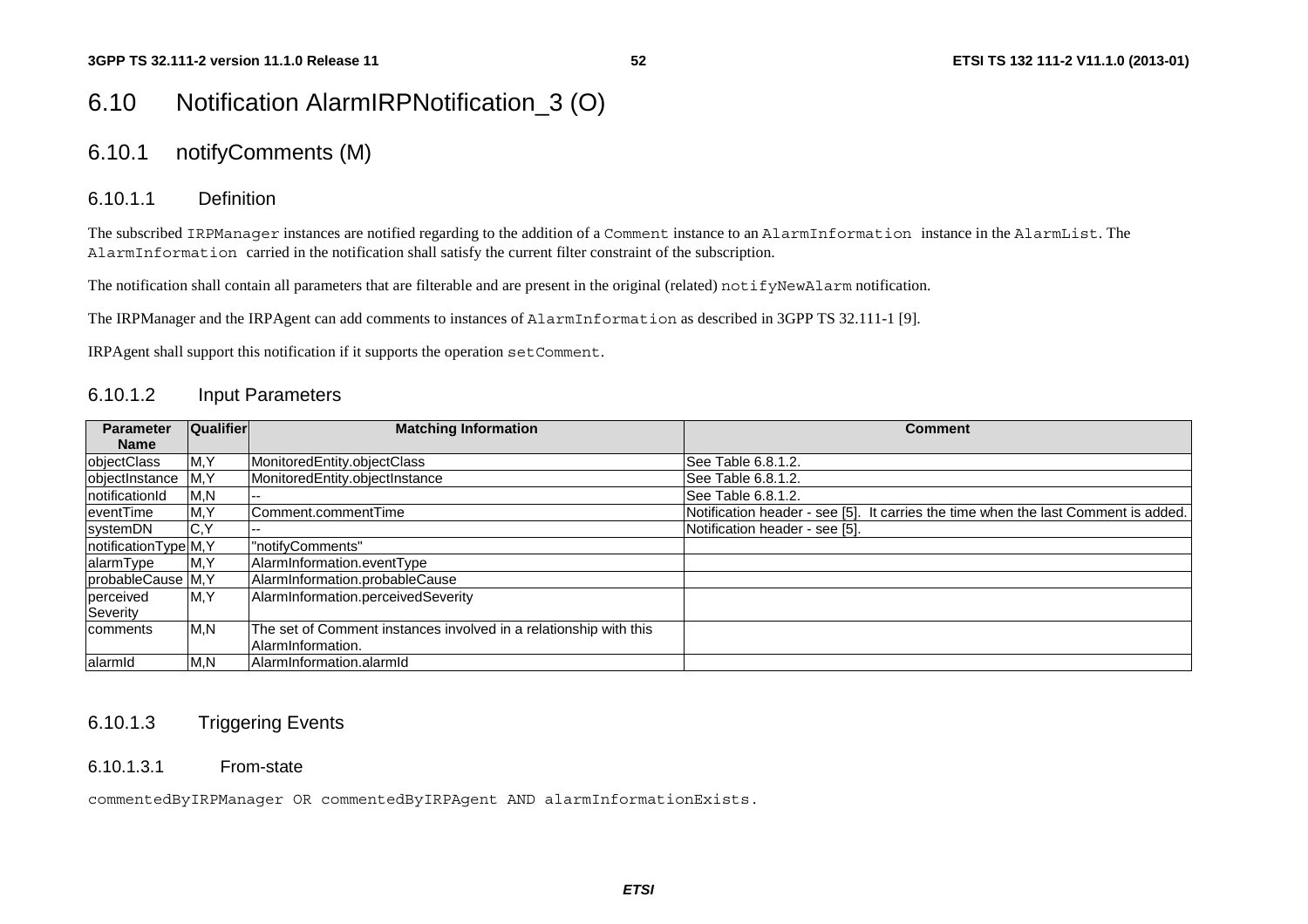# 6.10 Notification AlarmIRPNotification\_3 (O)

# 6.10.1 notifyComments (M)

### 6.10.1.1 Definition

The subscribed IRPManager instances are notified regarding to the addition of a Comment instance to an AlarmInformation instance in the AlarmList. The AlarmInformation carried in the notification shall satisfy the current filter constraint of the subscription.

The notification shall contain all parameters that are filterable and are present in the original (related) notifyNewAlarm notification.

The IRPManager and the IRPAgent can add comments to instances of AlarmInformation as described in 3GPP TS 32.111-1 [9].

IRPAgent shall support this notification if it supports the operation setComment.

### 6.10.1.2 Input Parameters

| <b>Parameter</b>      | <b>Qualifier</b> | <b>Matching Information</b>                                       | <b>Comment</b>                                                                     |
|-----------------------|------------------|-------------------------------------------------------------------|------------------------------------------------------------------------------------|
| <b>Name</b>           |                  |                                                                   |                                                                                    |
| objectClass           | M,Y              | MonitoredEntity.objectClass                                       | See Table 6.8.1.2.                                                                 |
| objectInstance        | M, Y             | MonitoredEntity.objectInstance                                    | ISee Table 6.8.1.2.                                                                |
| notificationId        | M,N              |                                                                   | See Table 6.8.1.2.                                                                 |
| eventTime             | M, Y             | Comment.commentTime                                               | Notification header - see [5]. It carries the time when the last Comment is added. |
| systemDN              | IC, Y            |                                                                   | Notification header - see [5].                                                     |
| notificationType M, Y |                  | "notifyComments"                                                  |                                                                                    |
| alarmType             | M,Y              | AlarmInformation.eventType                                        |                                                                                    |
| probableCause M, Y    |                  | AlarmInformation.probableCause                                    |                                                                                    |
| perceived             | M, Y             | AlarmInformation.perceivedSeverity                                |                                                                                    |
| Severity              |                  |                                                                   |                                                                                    |
| <b>Icomments</b>      | M, N             | The set of Comment instances involved in a relationship with this |                                                                                    |
|                       |                  | AlarmInformation.                                                 |                                                                                    |
| alarmid               | M, N             | lAlarmInformation.alarmId                                         |                                                                                    |

## 6.10.1.3 Triggering Events

6.10.1.3.1 From-state

commentedByIRPManager OR commentedByIRPAgent AND alarmInformationExists.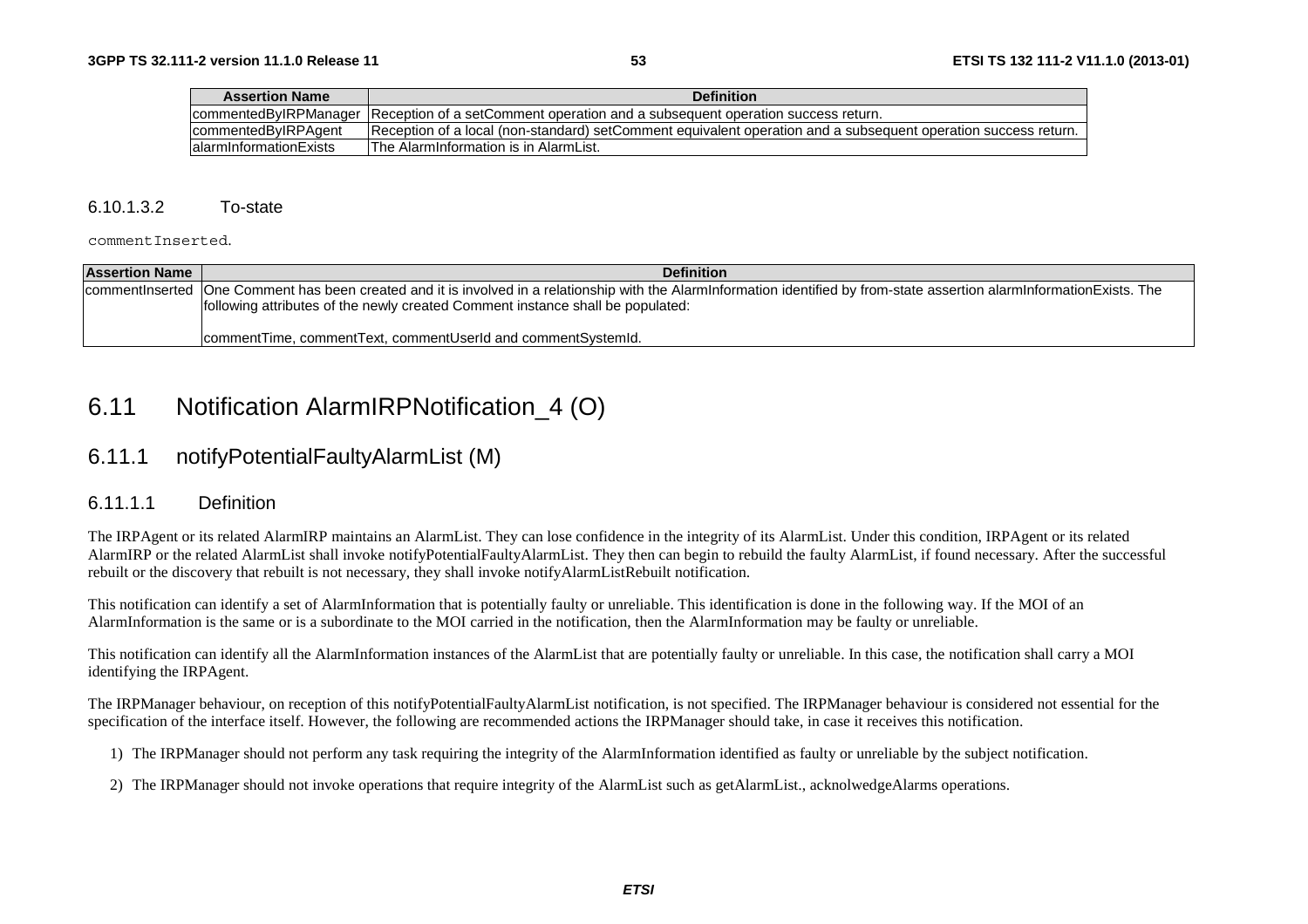| <b>Assertion Name</b>   | <b>Definition</b>                                                                                              |
|-------------------------|----------------------------------------------------------------------------------------------------------------|
|                         | commentedByIRPManager Reception of a setComment operation and a subsequent operation success return.           |
| commentedByIRPAgent     | Reception of a local (non-standard) setComment equivalent operation and a subsequent operation success return. |
| lalarmInformationExists | <b>The AlarmInformation is in AlarmList.</b>                                                                   |

#### 6.10.1.3.2 To-state

commentInserted.

| <b>Assertion Name</b> | <b>Definition</b>                                                                                                                                                          |
|-----------------------|----------------------------------------------------------------------------------------------------------------------------------------------------------------------------|
|                       | commentInserted One Comment has been created and it is involved in a relationship with the AlarmInformation identified by from-state assertion alarmInformationExists. The |
|                       | following attributes of the newly created Comment instance shall be populated:                                                                                             |
|                       | comment Time, comment Text, comment Userld and comment System Id.                                                                                                          |

# 6.11 Notification AlarmIRPNotification\_4 (O)

# 6.11.1 notifyPotentialFaultyAlarmList (M)

### 6.11.1.1 Definition

The IRPAgent or its related AlarmIRP maintains an AlarmList. They can lose confidence in the integrity of its AlarmList. Under this condition, IRPAgent or its related AlarmIRP or the related AlarmList shall invoke notifyPotentialFaultyAlarmList. They then can begin to rebuild the faulty AlarmList, if found necessary. After the successful rebuilt or the discovery that rebuilt is not necessary, they shall invoke notifyAlarmListRebuilt notification.

This notification can identify a set of AlarmInformation that is potentially faulty or unreliable. This identification is done in the following way. If the MOI of an AlarmInformation is the same or is a subordinate to the MOI carried in the notification, then the AlarmInformation may be faulty or unreliable.

This notification can identify all the AlarmInformation instances of the AlarmList that are potentially faulty or unreliable. In this case, the notification shall carry a MOI identifying the IRPAgent.

The IRPManager behaviour, on reception of this notifyPotentialFaultyAlarmList notification, is not specified. The IRPManager behaviour is considered not essential for the specification of the interface itself. However, the following are recommended actions the IRPManager should take, in case it receives this notification.

- 1) The IRPManager should not perform any task requiring the integrity of the AlarmInformation identified as faulty or unreliable by the subject notification.
- 2) The IRPManager should not invoke operations that require integrity of the AlarmList such as getAlarmList., acknolwedgeAlarms operations.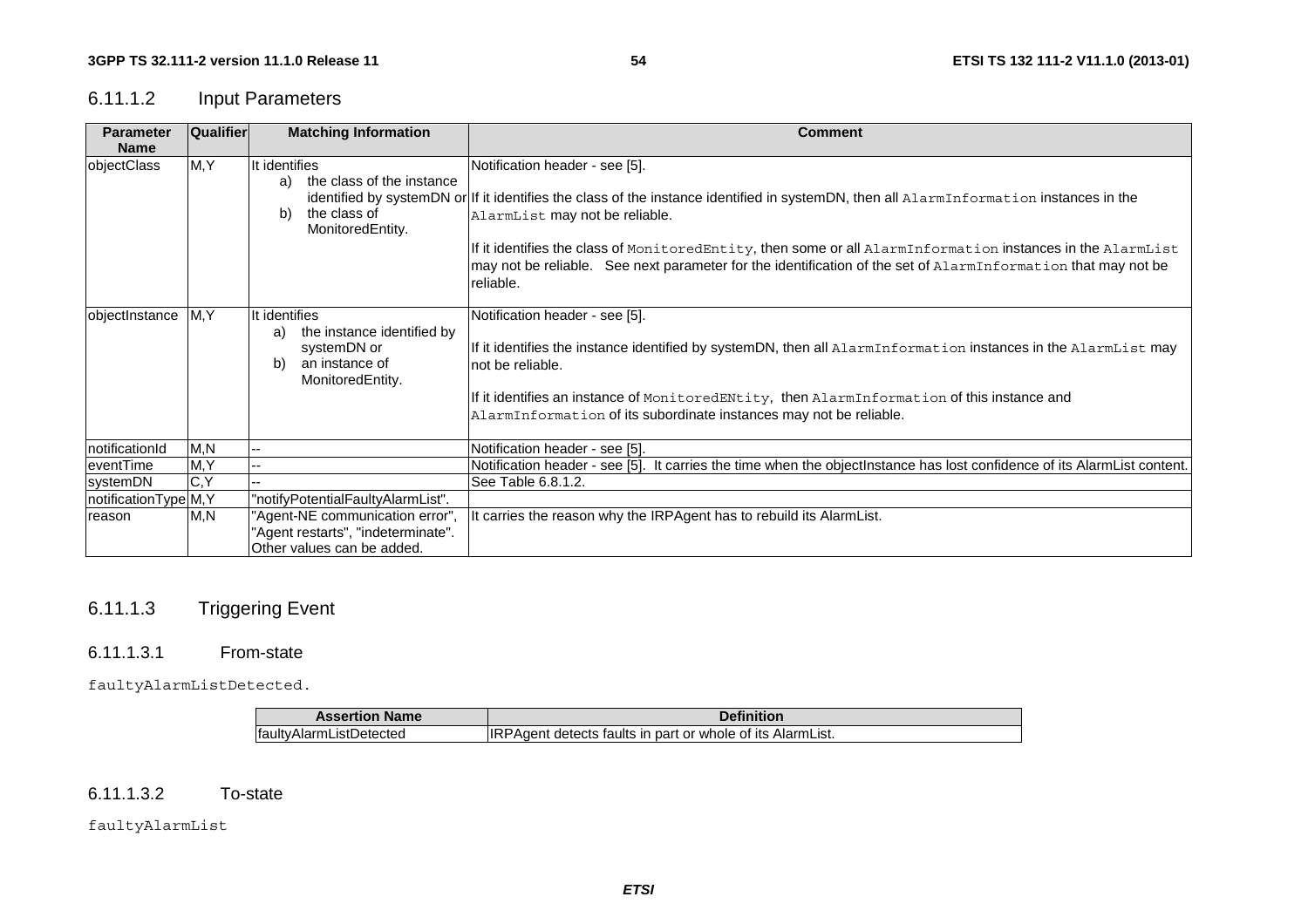# 6.11.1.2 Input Parameters

| <b>Parameter</b>      | <b>Qualifier</b> | <b>Matching Information</b>                                                                                  | <b>Comment</b>                                                                                                                                                                                                                                                                                                                                                                                                                                           |
|-----------------------|------------------|--------------------------------------------------------------------------------------------------------------|----------------------------------------------------------------------------------------------------------------------------------------------------------------------------------------------------------------------------------------------------------------------------------------------------------------------------------------------------------------------------------------------------------------------------------------------------------|
| <b>Name</b>           |                  |                                                                                                              |                                                                                                                                                                                                                                                                                                                                                                                                                                                          |
| objectClass           | M, Y             | It identifies<br>the class of the instance<br>a)<br>the class of<br>b)<br>MonitoredEntity.                   | Notification header - see [5].<br>identified by systemDN or If it identifies the class of the instance identified in systemDN, then all AlarmInformation instances in the<br>AlarmList may not be reliable.<br>If it identifies the class of MonitoredEntity, then some or all AlarmInformation instances in the AlarmList<br>may not be reliable. See next parameter for the identification of the set of AlarmInformation that may not be<br>reliable. |
| objectInstance        | M, Y             | It identifies<br>the instance identified by<br>a)<br>systemDN or<br>an instance of<br>b)<br>MonitoredEntity. | Notification header - see [5].<br>If it identifies the instance identified by systemDN, then all AlarmInformation instances in the AlarmList may<br>Inot be reliable.<br>If it identifies an instance of MonitoredENtity, then AlarmInformation of this instance and<br>AlarmInformation of its subordinate instances may not be reliable.                                                                                                               |
| notificationId        | M, N             | --                                                                                                           | Notification header - see [5].                                                                                                                                                                                                                                                                                                                                                                                                                           |
| eventTime             | M, Y             |                                                                                                              | Notification header - see [5]. It carries the time when the objectinstance has lost confidence of its AlarmList content.                                                                                                                                                                                                                                                                                                                                 |
| systemDN              | $\overline{C,Y}$ |                                                                                                              | See Table 6.8.1.2.                                                                                                                                                                                                                                                                                                                                                                                                                                       |
| notificationType M, Y |                  | "notifyPotentialFaultyAlarmList".                                                                            |                                                                                                                                                                                                                                                                                                                                                                                                                                                          |
| reason                | M, N             | 'Agent-NE communication error",<br>'Agent restarts", "indeterminate".<br>Other values can be added.          | It carries the reason why the IRPAgent has to rebuild its AlarmList.                                                                                                                                                                                                                                                                                                                                                                                     |

# 6.11.1.3 Triggering Event

#### 6.11.1.3.1 From-state

faultyAlarmListDetected.

| <b>Assertion Name</b>   | Definition                                                        |
|-------------------------|-------------------------------------------------------------------|
| faultyAlarmListDetected | <b>IRPAgent detects faults in part or whole of its AlarmList.</b> |

#### $6.11.1.3.2$ To-state

faultyAlarmList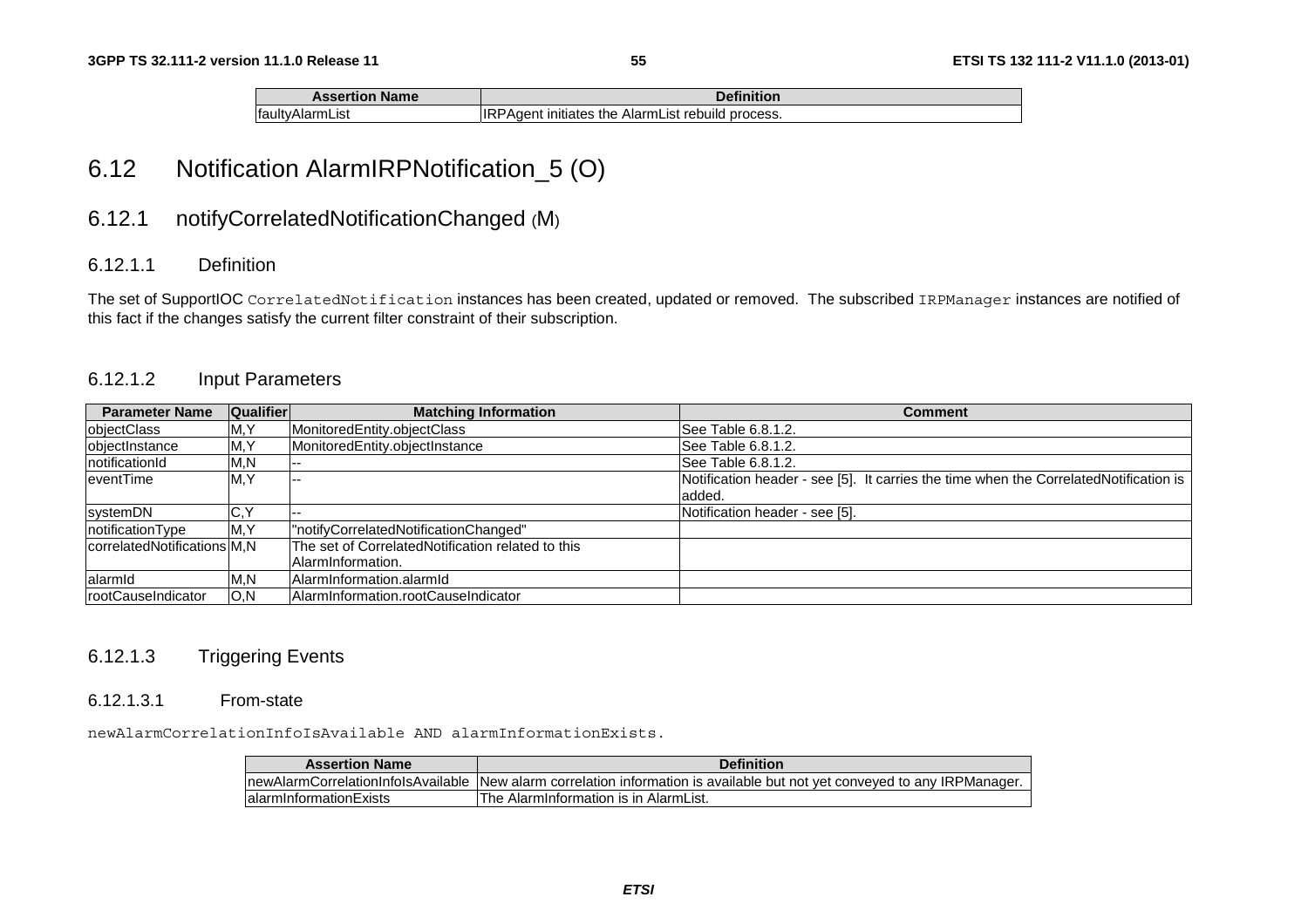| <b>Assertion Name</b> | <b>Definition</b>                                        |
|-----------------------|----------------------------------------------------------|
| faultyAlarmList       | <b>IRPAgent initiates the AlarmList rebuild process.</b> |

# 6.12 Notification AlarmIRPNotification\_5 (O)

# 6.12.1 notifyCorrelatedNotificationChanged (M)

## 6.12.1.1 Definition

The set of SupportIOC CorrelatedNotification instances has been created, updated or removed. The subscribed IRPManager instances are notified of this fact if the changes satisfy the current filter constraint of their subscription.

### 6.12.1.2 Input Parameters

| <b>Parameter Name</b>        | <b>Qualifier</b> | <b>Matching Information</b>                       | <b>Comment</b>                                                                        |
|------------------------------|------------------|---------------------------------------------------|---------------------------------------------------------------------------------------|
| objectClass                  | M, Y             | MonitoredEntity.objectClass                       | See Table 6.8.1.2.                                                                    |
| objectInstance               | M, Y             | MonitoredEntity.objectInstance                    | See Table 6.8.1.2.                                                                    |
| notificationId               | M,N              |                                                   | See Table 6.8.1.2.                                                                    |
| leventTime                   | M, Y             | --                                                | Notification header - see [5]. It carries the time when the CorrelatedNotification is |
|                              |                  |                                                   | added.                                                                                |
| systemDN                     | C,Y              |                                                   | Notification header - see [5].                                                        |
| notificationType             | M, Y             | "notifyCorrelatedNotificationChanged"             |                                                                                       |
| correlatedNotifications M, N |                  | The set of CorrelatedNotification related to this |                                                                                       |
|                              |                  | AlarmInformation.                                 |                                                                                       |
| lalarmid                     | M,N              | AlarmInformation.alarmId                          |                                                                                       |
| rootCauseIndicator           | IO,N             | AlarmInformation.rootCauseIndicator               |                                                                                       |

## 6.12.1.3 Triggering Events

#### 6.12.1.3.1 From-state

newAlarmCorrelationInfoIsAvailable AND alarmInformationExists.

| <b>Assertion Name</b>               | <b>Definition</b>                                                                       |
|-------------------------------------|-----------------------------------------------------------------------------------------|
| InewAlarmCorrelationInfolsAvailable | Thew alarm correlation information is available but not vet conveved to any IRPManager. |
| lalarminformationExists             | The AlarmInformation is in AlarmList.                                                   |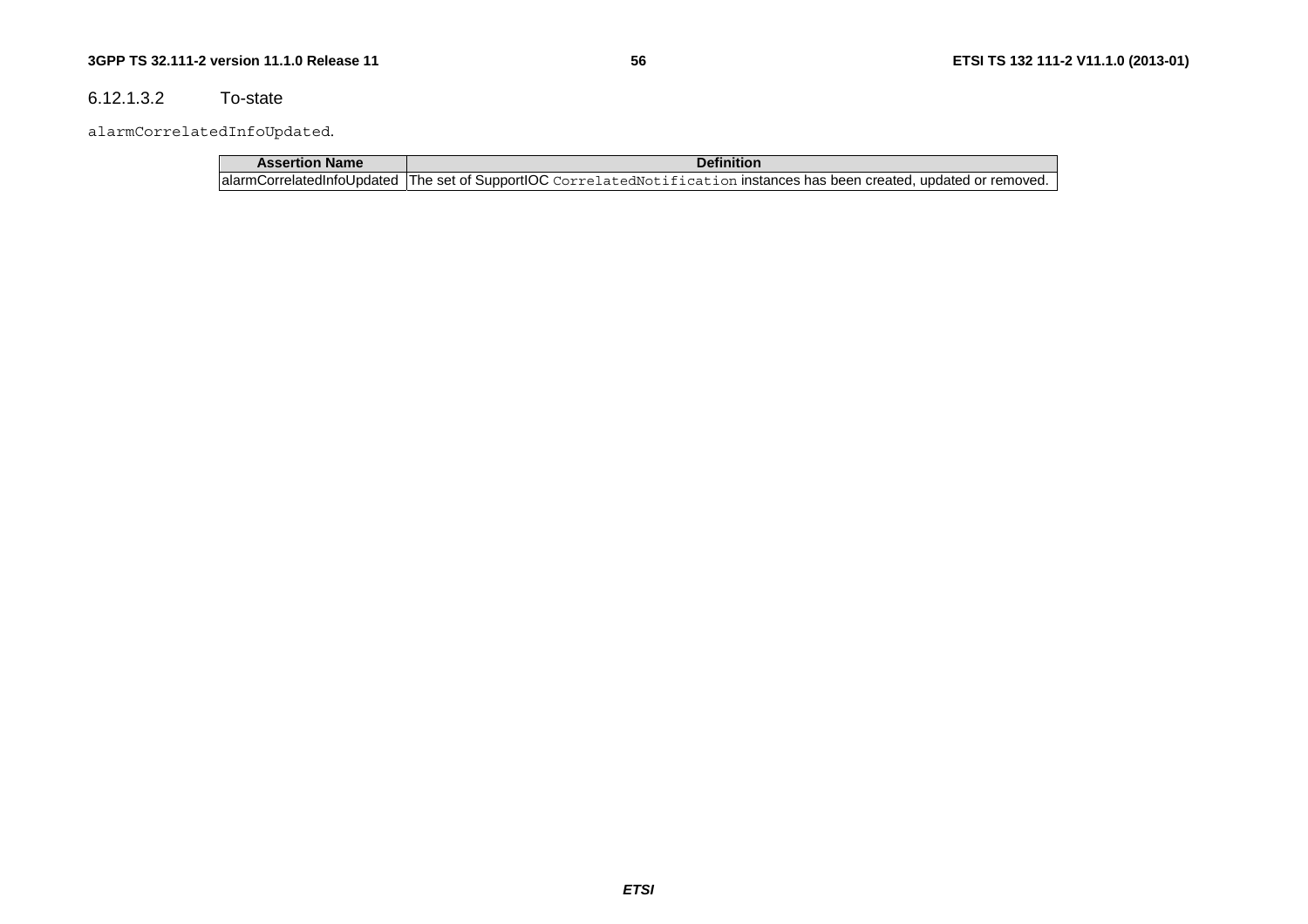#### $6.12.1.3.2$ To-state

alarmCorrelatedInfoUpdated.

| <b>Assertion Name</b> | <b>Definition</b>                                                                                                          |
|-----------------------|----------------------------------------------------------------------------------------------------------------------------|
|                       | alarmCorrelatedInfoUpdated  The set of SupportIOC CorrelatedNotification instances has been created, updated or removed. ' |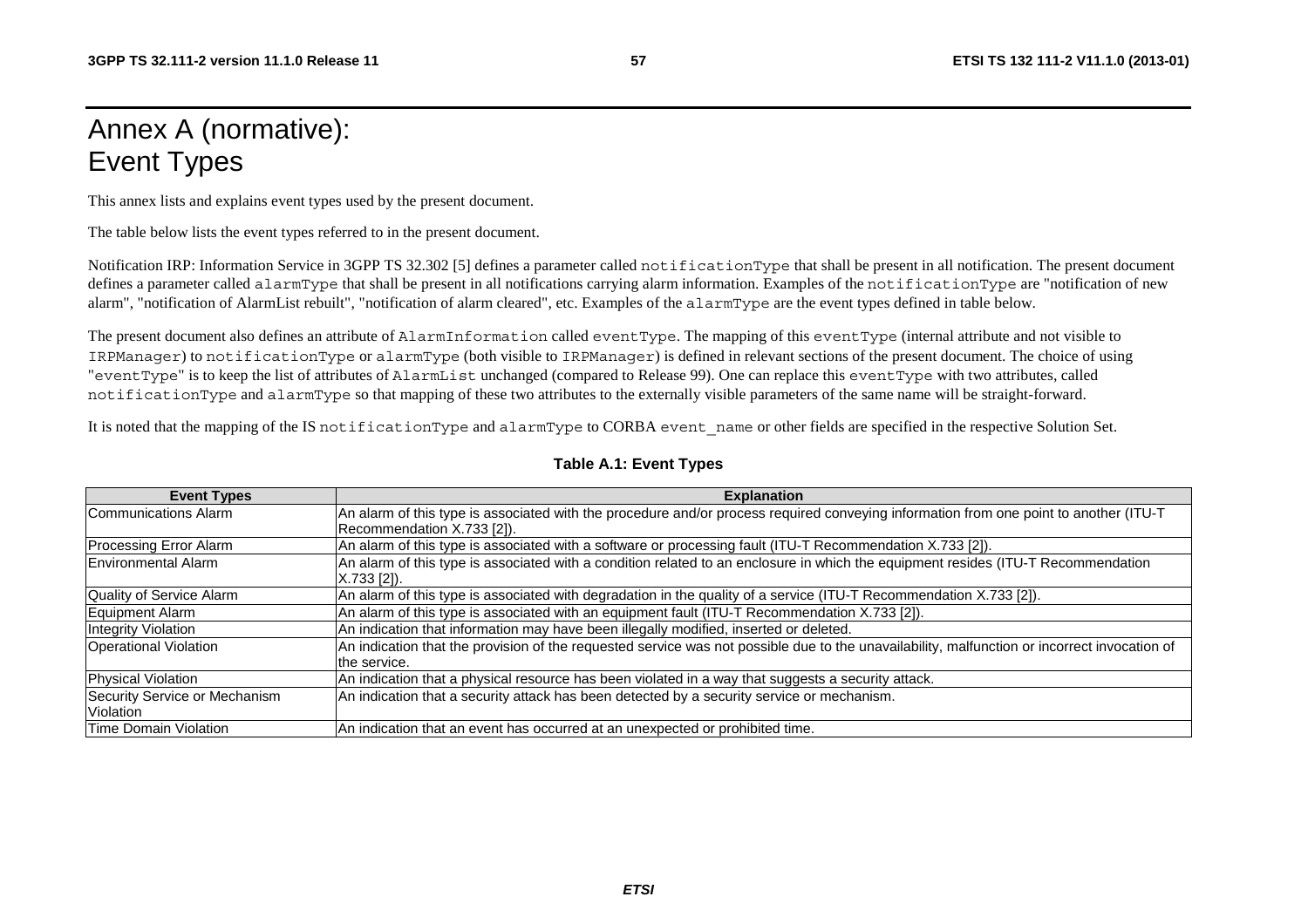# Annex A (normative): Event Types

This annex lists and explains event types used by the present document.

The table below lists the event types referred to in the present document.

Notification IRP: Information Service in 3GPP TS 32.302 [5] defines a parameter called notificationType that shall be present in all notification. The present document defines a parameter called alarmType that shall be present in all notifications carrying alarm information. Examples of the notificationType are "notification of new alarm", "notification of AlarmList rebuilt", "notification of alarm cleared", etc. Examples of the alarmType are the event types defined in table below.

The present document also defines an attribute of AlarmInformation called eventType. The mapping of this eventType (internal attribute and not visible to IRPManager) to notificationType or alarmType (both visible to IRPManager) is defined in relevant sections of the present document. The choice of using "eventType" is to keep the list of attributes of AlarmList unchanged (compared to Release 99). One can replace this eventType with two attributes, called notificationType and alarmType so that mapping of these two attributes to the externally visible parameters of the same name will be straight-forward.

It is noted that the mapping of the IS notificationType and alarmType to CORBA event name or other fields are specified in the respective Solution Set.

| <b>Event Types</b>            | <b>Explanation</b>                                                                                                                                           |
|-------------------------------|--------------------------------------------------------------------------------------------------------------------------------------------------------------|
| Communications Alarm          | An alarm of this type is associated with the procedure and/or process required conveying information from one point to another (ITU-T                        |
|                               | Recommendation X.733 [2]).                                                                                                                                   |
| <b>Processing Error Alarm</b> | An alarm of this type is associated with a software or processing fault (ITU-T Recommendation X.733 [2]).                                                    |
| <b>Environmental Alarm</b>    | An alarm of this type is associated with a condition related to an enclosure in which the equipment resides (ITU-T Recommendation<br>X.733 [2]).             |
| Quality of Service Alarm      | An alarm of this type is associated with degradation in the quality of a service (ITU-T Recommendation X.733 [2]).                                           |
| Equipment Alarm               | An alarm of this type is associated with an equipment fault (ITU-T Recommendation X.733 [2]).                                                                |
| <b>Integrity Violation</b>    | An indication that information may have been illegally modified, inserted or deleted.                                                                        |
| <b>Operational Violation</b>  | An indication that the provision of the requested service was not possible due to the unavailability, malfunction or incorrect invocation of<br>the service. |
| Physical Violation            | An indication that a physical resource has been violated in a way that suggests a security attack.                                                           |
| Security Service or Mechanism | An indication that a security attack has been detected by a security service or mechanism.                                                                   |
| Violation                     |                                                                                                                                                              |
| <b>Time Domain Violation</b>  | An indication that an event has occurred at an unexpected or prohibited time.                                                                                |

#### **Table A.1: Event Types**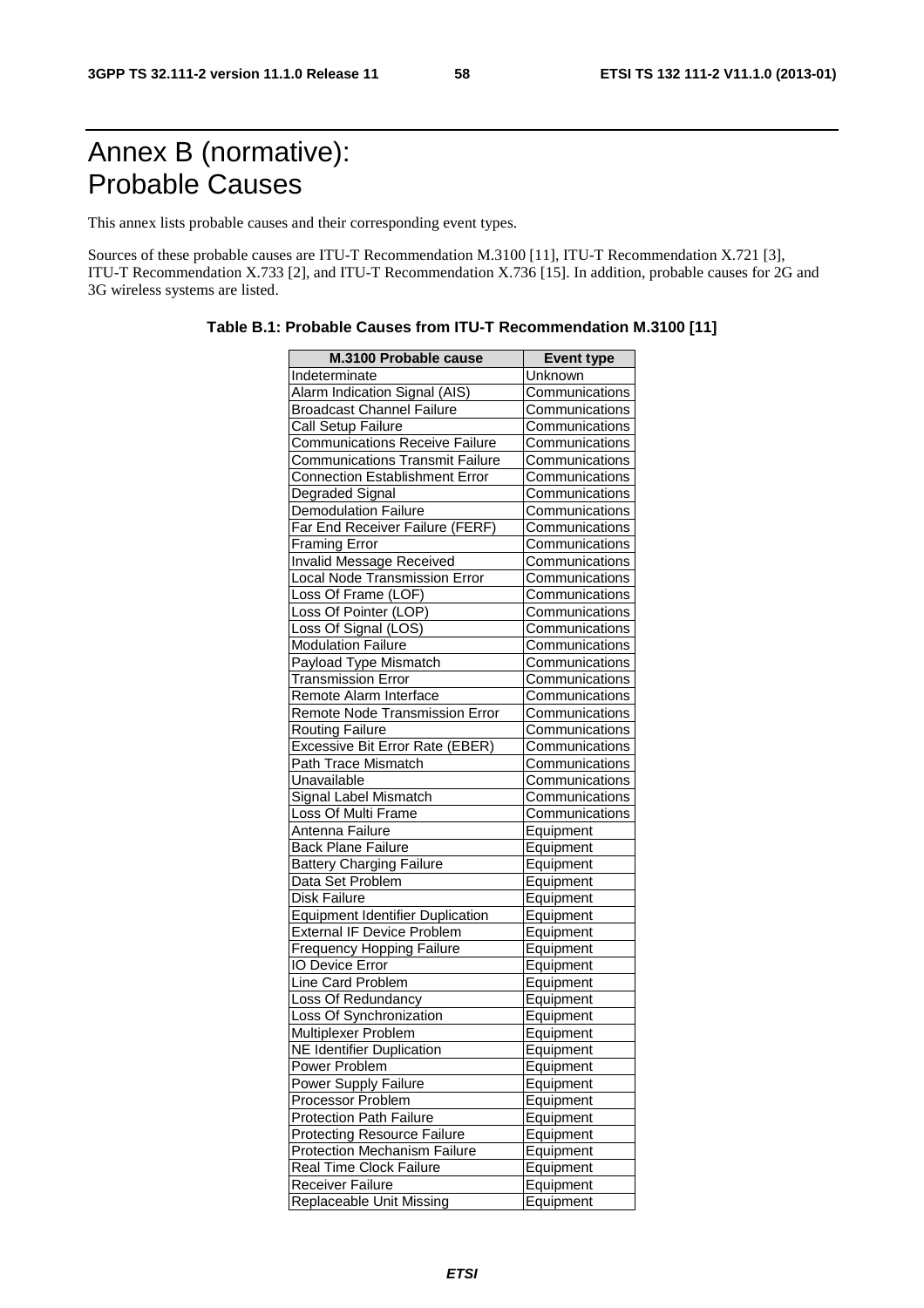# Annex B (normative): Probable Causes

This annex lists probable causes and their corresponding event types.

Sources of these probable causes are ITU-T Recommendation M.3100 [11], ITU-T Recommendation X.721 [3], ITU-T Recommendation X.733 [2], and ITU-T Recommendation X.736 [15]. In addition, probable causes for 2G and 3G wireless systems are listed.

| M.3100 Probable cause                   | <b>Event type</b> |
|-----------------------------------------|-------------------|
| Indeterminate                           | Unknown           |
| Alarm Indication Signal (AIS)           | Communications    |
| <b>Broadcast Channel Failure</b>        | Communications    |
| Call Setup Failure                      | Communications    |
| <b>Communications Receive Failure</b>   | Communications    |
| <b>Communications Transmit Failure</b>  | Communications    |
| <b>Connection Establishment Error</b>   | Communications    |
| Degraded Signal                         | Communications    |
| <b>Demodulation Failure</b>             | Communications    |
| Far End Receiver Failure (FERF)         | Communications    |
| Framing Error                           | Communications    |
| Invalid Message Received                | Communications    |
| Local Node Transmission Error           | Communications    |
| Loss Of Frame (LOF)                     | Communications    |
| Loss Of Pointer (LOP)                   | Communications    |
| Loss Of Signal (LOS)                    | Communications    |
| <b>Modulation Failure</b>               | Communications    |
| <b>Payload Type Mismatch</b>            | Communications    |
| <b>Transmission Error</b>               | Communications    |
| Remote Alarm Interface                  | Communications    |
| Remote Node Transmission Error          | Communications    |
| <b>Routing Failure</b>                  | Communications    |
| Excessive Bit Error Rate (EBER)         | Communications    |
| Path Trace Mismatch                     | Communications    |
| Unavailable                             | Communications    |
| Signal Label Mismatch                   | Communications    |
| Loss Of Multi Frame                     | Communications    |
| Antenna Failure                         | Equipment         |
| <b>Back Plane Failure</b>               | Equipment         |
| <b>Battery Charging Failure</b>         | Equipment         |
| Data Set Problem                        | Equipment         |
| Disk Failure                            | Equipment         |
| <b>Equipment Identifier Duplication</b> | Equipment         |
| <b>External IF Device Problem</b>       | Equipment         |
| <b>Frequency Hopping Failure</b>        | Equipment         |
| <b>IO Device Error</b>                  | Equipment         |
| <b>Line Card Problem</b>                | Equipment         |
| Loss Of Redundancy                      | Equipment         |
| Loss Of Synchronization                 | Equipment         |
| Multiplexer Problem                     | Equipment         |
| <b>NE Identifier Duplication</b>        | Equipment         |
| Power Problem                           | Equipment         |
| Power Supply Failure                    | Equipment         |
| Processor Problem                       | Equipment         |
| <b>Protection Path Failure</b>          | Equipment         |
| <b>Protecting Resource Failure</b>      | Equipment         |
| <b>Protection Mechanism Failure</b>     | Equipment         |
| Real Time Clock Failure                 | Equipment         |
| Receiver Failure                        | Equipment         |
| Replaceable Unit Missing                | Equipment         |

**Table B.1: Probable Causes from ITU-T Recommendation M.3100 [11]**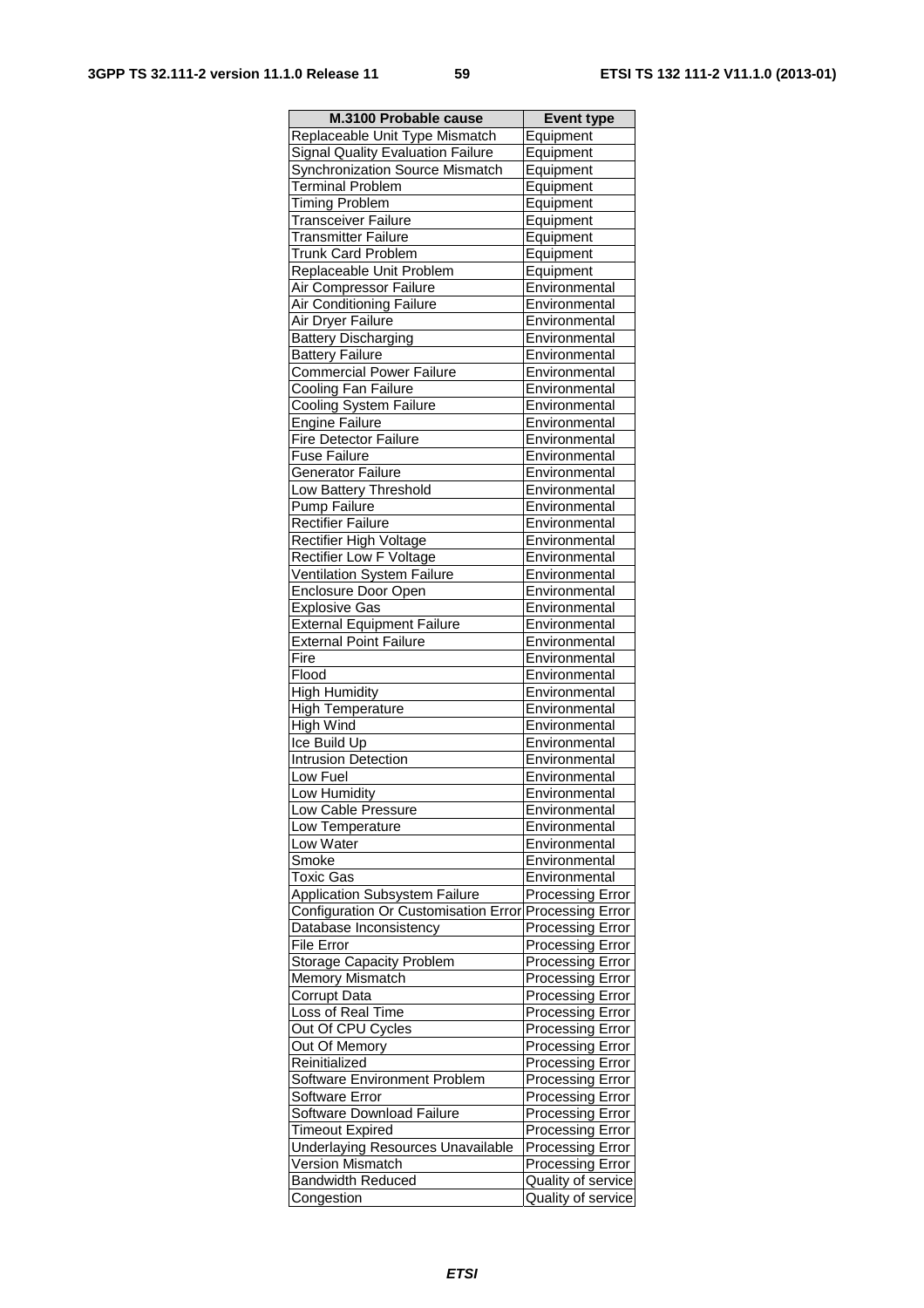| M.3100 Probable cause                                 | <b>Event type</b>                                  |
|-------------------------------------------------------|----------------------------------------------------|
| Replaceable Unit Type Mismatch                        | Equipment                                          |
| <b>Signal Quality Evaluation Failure</b>              | Equipment                                          |
| Synchronization Source Mismatch                       | Equipment                                          |
| <b>Terminal Problem</b>                               | Equipment                                          |
| <b>Timing Problem</b>                                 | Equipment                                          |
| <b>Transceiver Failure</b>                            | Equipment                                          |
| <b>Transmitter Failure</b>                            | Equipment                                          |
| <b>Trunk Card Problem</b>                             | Equipment                                          |
| Replaceable Unit Problem                              | Equipment                                          |
| Air Compressor Failure                                | Environmental                                      |
| Air Conditioning Failure                              | Environmental                                      |
| Air Dryer Failure                                     | Environmental                                      |
| <b>Battery Discharging</b>                            | Environmental                                      |
| <b>Battery Failure</b>                                | Environmental                                      |
| <b>Commercial Power Failure</b>                       | Environmental                                      |
| Cooling Fan Failure                                   | Environmental                                      |
| Cooling System Failure<br>Engine Failure              | Environmental<br>Environmental                     |
| Fire Detector Failure                                 |                                                    |
| <b>Fuse Failure</b>                                   | Environmental<br>Environmental                     |
| <b>Generator Failure</b>                              | Environmental                                      |
| <b>Low Battery Threshold</b>                          | Environmental                                      |
| Pump Failure                                          | Environmental                                      |
| <b>Rectifier Failure</b>                              | Environmental                                      |
| <b>Rectifier High Voltage</b>                         | Environmental                                      |
| <b>Rectifier Low F Voltage</b>                        | Environmental                                      |
| Ventilation System Failure                            | Environmental                                      |
| Enclosure Door Open                                   | Environmental                                      |
| <b>Explosive Gas</b>                                  | Environmental                                      |
| <b>External Equipment Failure</b>                     | Environmental                                      |
| <b>External Point Failure</b>                         | Environmental                                      |
| Fire                                                  | Environmental                                      |
| Flood                                                 | Environmental                                      |
| <b>High Humidity</b>                                  | Environmental                                      |
| <b>High Temperature</b>                               | Environmental                                      |
| <b>High Wind</b>                                      | Environmental                                      |
| Ice Build Up                                          | Environmental                                      |
| Intrusion Detection                                   | Environmental                                      |
| Low Fuel                                              | Environmental                                      |
| Low Humidity                                          | Environmental                                      |
| Low Cable Pressure                                    | Environmental                                      |
| Low Temperature                                       | Environmental                                      |
| Low Water                                             | Environmental                                      |
| Smoke                                                 | Environmental                                      |
| Toxic Gas                                             | Environmental                                      |
| <b>Application Subsystem Failure</b>                  | <b>Processing Error</b>                            |
| Configuration Or Customisation Error Processing Error |                                                    |
| Database Inconsistency                                | <b>Processing Error</b>                            |
| File Error<br><b>Storage Capacity Problem</b>         | Processing Error                                   |
| Memory Mismatch                                       | <b>Processing Error</b><br><b>Processing Error</b> |
| Corrupt Data                                          | <b>Processing Error</b>                            |
| Loss of Real Time                                     | <b>Processing Error</b>                            |
| Out Of CPU Cycles                                     | Processing Error                                   |
| Out Of Memory                                         | <b>Processing Error</b>                            |
| Reinitialized                                         | Processing Error                                   |
| Software Environment Problem                          | Processing Error                                   |
| Software Error                                        | Processing Error                                   |
| Software Download Failure                             | Processing Error                                   |
| <b>Timeout Expired</b>                                | <b>Processing Error</b>                            |
| <b>Underlaying Resources Unavailable</b>              | <b>Processing Error</b>                            |
| <b>Version Mismatch</b>                               | <b>Processing Error</b>                            |
| <b>Bandwidth Reduced</b>                              | Quality of service                                 |
| Congestion                                            | Quality of service                                 |
|                                                       |                                                    |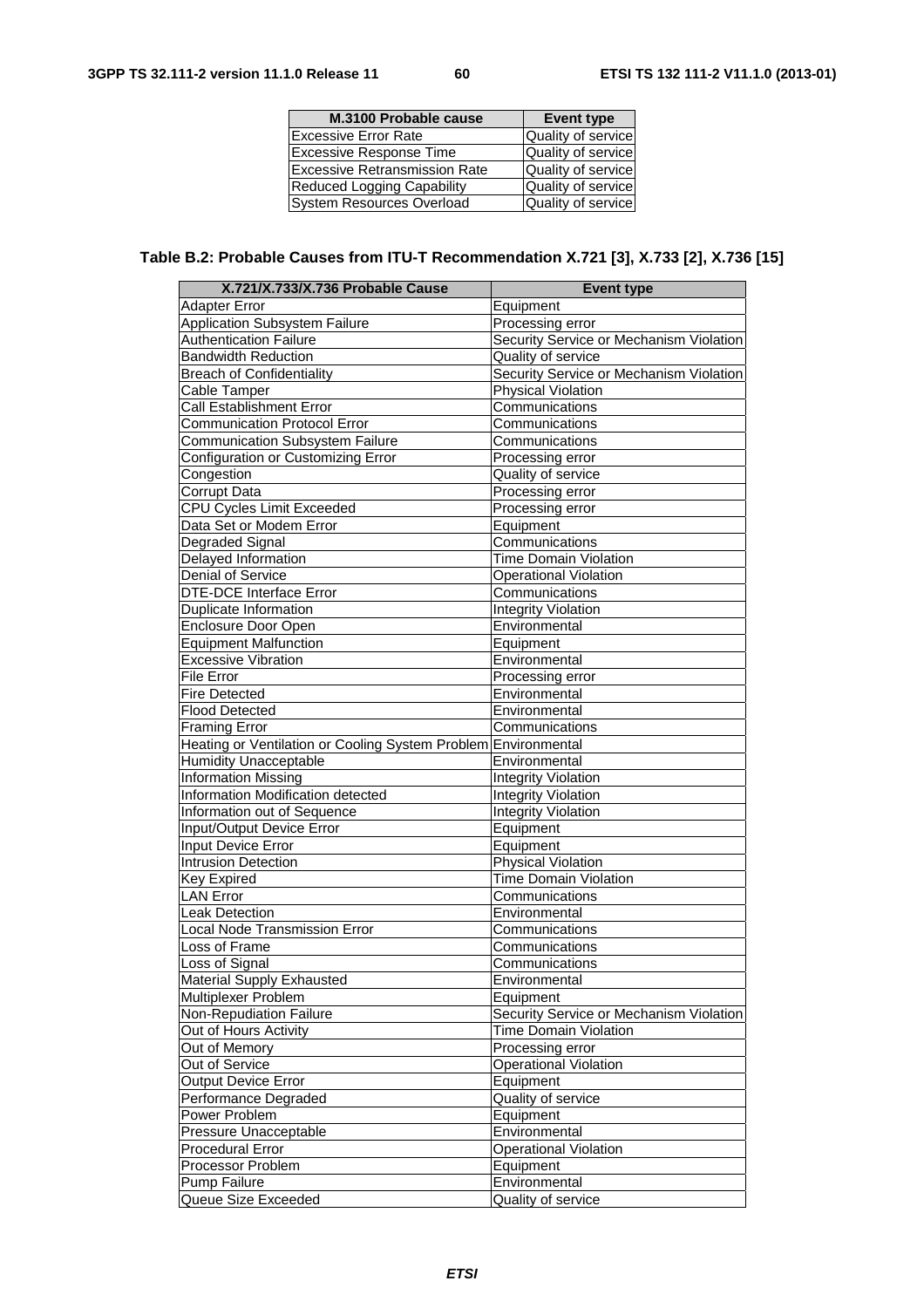| M.3100 Probable cause                | <b>Event type</b>  |
|--------------------------------------|--------------------|
| <b>Excessive Error Rate</b>          | Quality of service |
| Excessive Response Time              | Quality of service |
| <b>Excessive Retransmission Rate</b> | Quality of service |
| <b>Reduced Logging Capability</b>    | Quality of service |
| <b>System Resources Overload</b>     | Quality of service |

# **Table B.2: Probable Causes from ITU-T Recommendation X.721 [3], X.733 [2], X.736 [15]**

| X.721/X.733/X.736 Probable Cause                               | <b>Event type</b>                       |
|----------------------------------------------------------------|-----------------------------------------|
| Adapter Error                                                  | Equipment                               |
| <b>Application Subsystem Failure</b>                           | Processing error                        |
| <b>Authentication Failure</b>                                  | Security Service or Mechanism Violation |
| <b>Bandwidth Reduction</b>                                     | Quality of service                      |
| <b>Breach of Confidentiality</b>                               | Security Service or Mechanism Violation |
| Cable Tamper                                                   | <b>Physical Violation</b>               |
| Call Establishment Error                                       | Communications                          |
| <b>Communication Protocol Error</b>                            | Communications                          |
| <b>Communication Subsystem Failure</b>                         | Communications                          |
| Configuration or Customizing Error                             | Processing error                        |
| Congestion                                                     | Quality of service                      |
| Corrupt Data                                                   | Processing error                        |
| <b>CPU Cycles Limit Exceeded</b>                               | Processing error                        |
| Data Set or Modem Error                                        | Equipment                               |
| Degraded Signal                                                | Communications                          |
| Delayed Information                                            | <b>Time Domain Violation</b>            |
| Denial of Service                                              | <b>Operational Violation</b>            |
| <b>DTE-DCE Interface Error</b>                                 | Communications                          |
| Duplicate Information                                          | <b>Integrity Violation</b>              |
| Enclosure Door Open                                            | Environmental                           |
| <b>Equipment Malfunction</b>                                   | Equipment                               |
| <b>Excessive Vibration</b>                                     | Environmental                           |
| <b>File Error</b>                                              | Processing error                        |
| <b>Fire Detected</b>                                           | Environmental                           |
| <b>Flood Detected</b>                                          | Environmental                           |
| <b>Framing Error</b>                                           | Communications                          |
| Heating or Ventilation or Cooling System Problem Environmental |                                         |
| <b>Humidity Unacceptable</b>                                   | Environmental                           |
| <b>Information Missing</b>                                     | <b>Integrity Violation</b>              |
| Information Modification detected                              | <b>Integrity Violation</b>              |
| Information out of Sequence                                    | <b>Integrity Violation</b>              |
| Input/Output Device Error                                      | Equipment                               |
| Input Device Error                                             | Equipment                               |
| <b>Intrusion Detection</b>                                     | Physical Violation                      |
| Key Expired                                                    | <b>Time Domain Violation</b>            |
| <b>LAN Error</b>                                               | Communications                          |
| Leak Detection                                                 | Environmental                           |
| Local Node Transmission Error                                  | Communications                          |
| Loss of Frame                                                  | Communications                          |
| Loss of Signal                                                 | Communications                          |
| <b>Material Supply Exhausted</b>                               | Environmental                           |
| Multiplexer Problem                                            | Equipment                               |
| Non-Repudiation Failure                                        | Security Service or Mechanism Violation |
| Out of Hours Activity                                          | <b>Time Domain Violation</b>            |
| Out of Memory                                                  | Processing error                        |
| Out of Service                                                 | <b>Operational Violation</b>            |
| <b>Output Device Error</b>                                     | Equipment                               |
| Performance Degraded                                           | Quality of service                      |
| Power Problem                                                  | Equipment                               |
| Pressure Unacceptable                                          | Environmental                           |
| Procedural Error                                               | <b>Operational Violation</b>            |
| Processor Problem                                              | Equipment                               |
| Pump Failure                                                   | Environmental                           |
| Queue Size Exceeded                                            | Quality of service                      |
|                                                                |                                         |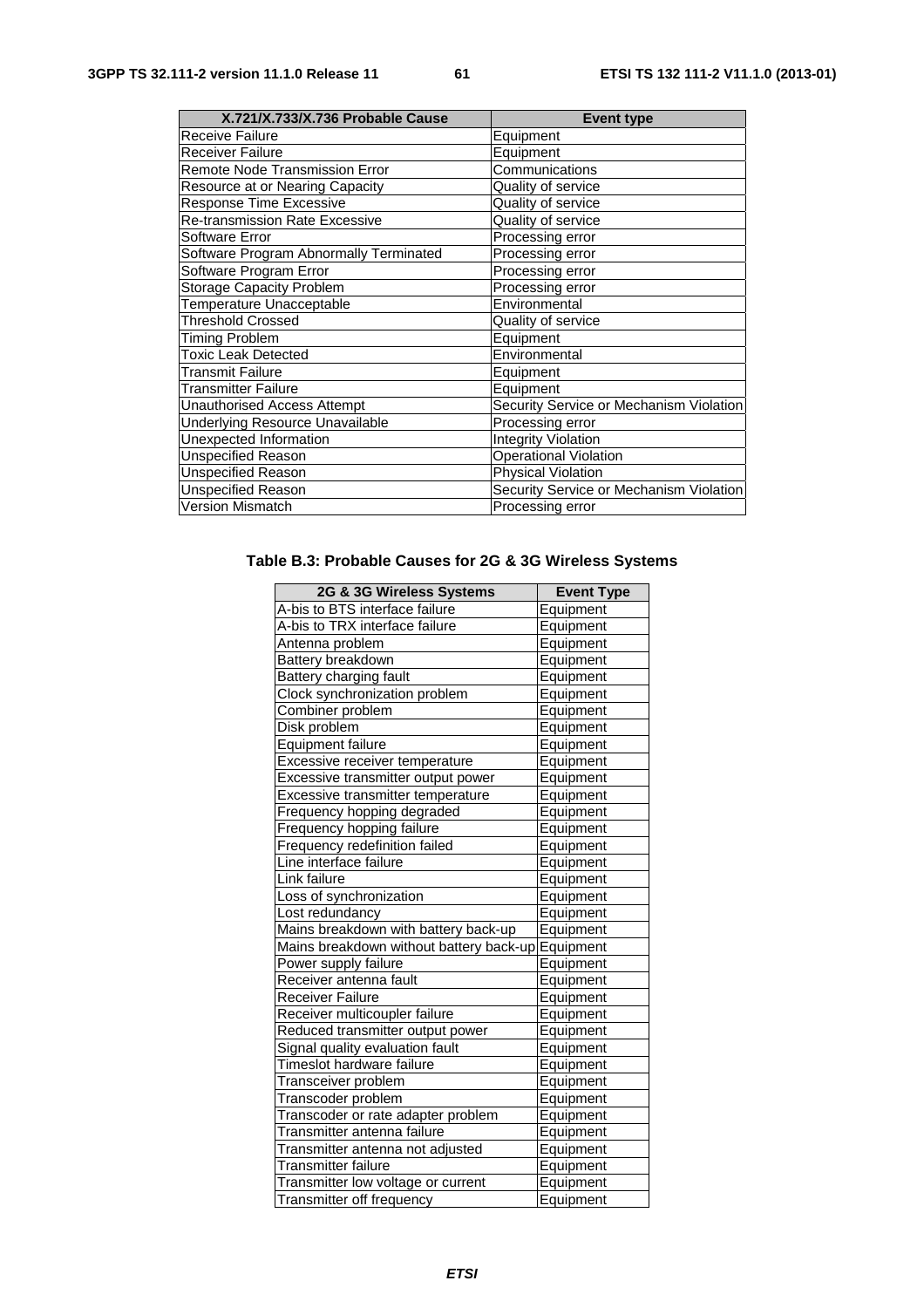| X.721/X.733/X.736 Probable Cause       | <b>Event type</b>                       |
|----------------------------------------|-----------------------------------------|
| <b>Receive Failure</b>                 | Equipment                               |
| <b>Receiver Failure</b>                | Equipment                               |
| Remote Node Transmission Error         | Communications                          |
| Resource at or Nearing Capacity        | Quality of service                      |
| Response Time Excessive                | Quality of service                      |
| <b>Re-transmission Rate Excessive</b>  | Quality of service                      |
| Software Error                         | Processing error                        |
| Software Program Abnormally Terminated | Processing error                        |
| Software Program Error                 | Processing error                        |
| <b>Storage Capacity Problem</b>        | Processing error                        |
| Temperature Unacceptable               | Environmental                           |
| <b>Threshold Crossed</b>               | Quality of service                      |
| Timing Problem                         | Equipment                               |
| <b>Toxic Leak Detected</b>             | Environmental                           |
| <b>Transmit Failure</b>                | Equipment                               |
| <b>Transmitter Failure</b>             | Equipment                               |
| <b>Unauthorised Access Attempt</b>     | Security Service or Mechanism Violation |
| Underlying Resource Unavailable        | Processing error                        |
| Unexpected Information                 | <b>Integrity Violation</b>              |
| <b>Unspecified Reason</b>              | <b>Operational Violation</b>            |
| <b>Unspecified Reason</b>              | <b>Physical Violation</b>               |
| <b>Unspecified Reason</b>              | Security Service or Mechanism Violation |
| <b>Version Mismatch</b>                | Processing error                        |

### **Table B.3: Probable Causes for 2G & 3G Wireless Systems**

| 2G & 3G Wireless Systems                | <b>Event Type</b> |
|-----------------------------------------|-------------------|
| A-bis to BTS interface failure          | Equipment         |
| A-bis to TRX interface failure          | Equipment         |
| Antenna problem                         | Equipment         |
| Battery breakdown                       | Equipment         |
| Battery charging fault                  | Equipment         |
| Clock synchronization problem           | Equipment         |
| Combiner problem                        | Equipment         |
| Disk problem                            | Equipment         |
| <b>Equipment failure</b>                | Equipment         |
| Excessive receiver temperature          | Equipment         |
| Excessive transmitter output power      | <b>Equipment</b>  |
| Excessive transmitter temperature       | Equipment         |
| Frequency hopping degraded              | Equipment         |
| Frequency hopping failure               | Equipment         |
| Frequency redefinition failed           | Equipment         |
| Line interface failure                  | Equipment         |
| Link failure                            | Equipment         |
| Loss of synchronization                 | Equipment         |
| Lost redundancy                         | Equipment         |
| Mains breakdown with battery back-up    | Equipment         |
| Mains breakdown without battery back-up | Equipment         |
| Power supply failure                    | Equipment         |
| Receiver antenna fault                  | Equipment         |
| <b>Receiver Failure</b>                 | Equipment         |
| Receiver multicoupler failure           | Equipment         |
| Reduced transmitter output power        | Equipment         |
| Signal quality evaluation fault         | Equipment         |
| Timeslot hardware failure               | Equipment         |
| Transceiver problem                     | Equipment         |
| Transcoder problem                      | Equipment         |
| Transcoder or rate adapter problem      | Equipment         |
| Transmitter antenna failure             | Equipment         |
| Transmitter antenna not adjusted        | Equipment         |
| <b>Transmitter failure</b>              | Equipment         |
| Transmitter low voltage or current      | Equipment         |
| Transmitter off frequency               | Equipment         |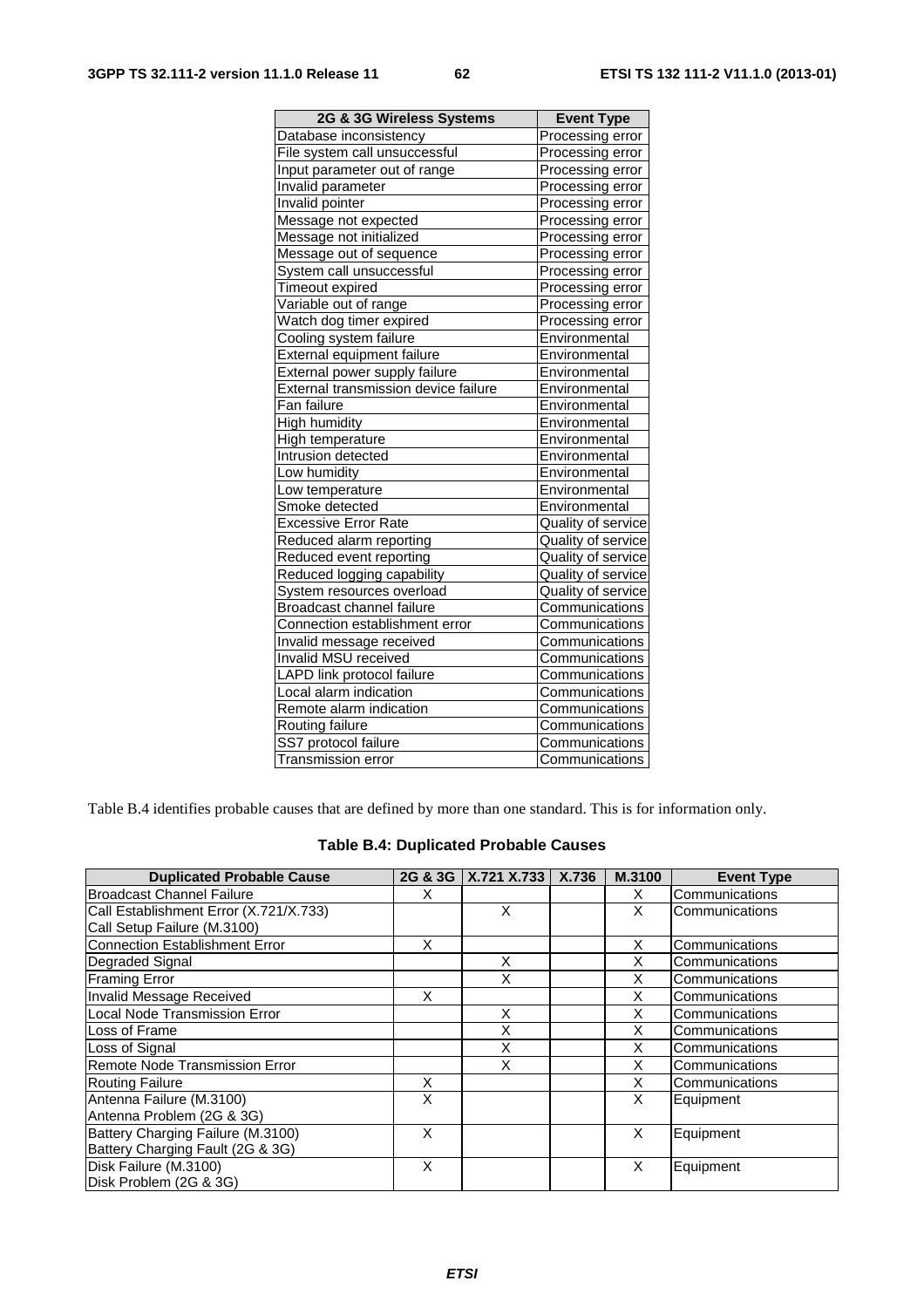| 2G & 3G Wireless Systems             | <b>Event Type</b>  |
|--------------------------------------|--------------------|
| Database inconsistency               | Processing error   |
| File system call unsuccessful        | Processing error   |
| Input parameter out of range         | Processing error   |
| Invalid parameter                    | Processing error   |
| Invalid pointer                      | Processing error   |
| Message not expected                 | Processing error   |
| Message not initialized              | Processing error   |
| Message out of sequence              | Processing error   |
| System call unsuccessful             | Processing error   |
| Timeout expired                      | Processing error   |
| Variable out of range                | Processing error   |
| Watch dog timer expired              | Processing error   |
| Cooling system failure               | Environmental      |
| External equipment failure           | Environmental      |
| External power supply failure        | Environmental      |
| External transmission device failure | Environmental      |
| Fan failure                          | Environmental      |
| High humidity                        | Environmental      |
| High temperature                     | Environmental      |
| Intrusion detected                   | Environmental      |
| Low humidity                         | Environmental      |
| Low temperature                      | Environmental      |
| Smoke detected                       | Environmental      |
| <b>Excessive Error Rate</b>          | Quality of service |
| Reduced alarm reporting              | Quality of service |
| Reduced event reporting              | Quality of service |
| Reduced logging capability           | Quality of service |
| System resources overload            | Quality of service |
| Broadcast channel failure            | Communications     |
| Connection establishment error       | Communications     |
| Invalid message received             | Communications     |
| Invalid MSU received                 | Communications     |
| LAPD link protocol failure           | Communications     |
| Local alarm indication               | Communications     |
| Remote alarm indication              | Communications     |
| Routing failure                      | Communications     |
| SS7 protocol failure                 | Communications     |
| <b>Transmission error</b>            | Communications     |

Table B.4 identifies probable causes that are defined by more than one standard. This is for information only.

|  |  | Table B.4: Duplicated Probable Causes |
|--|--|---------------------------------------|
|--|--|---------------------------------------|

| <b>Duplicated Probable Cause</b>       |   | 2G & 3G   X.721 X.733 | X.736 | M.3100 | <b>Event Type</b> |
|----------------------------------------|---|-----------------------|-------|--------|-------------------|
| <b>Broadcast Channel Failure</b>       | x |                       |       | x      | Communications    |
| Call Establishment Error (X.721/X.733) |   | X                     |       | X      | Communications    |
| Call Setup Failure (M.3100)            |   |                       |       |        |                   |
| <b>Connection Establishment Error</b>  | X |                       |       | X      | Communications    |
| Degraded Signal                        |   | X                     |       | X      | Communications    |
| <b>Framing Error</b>                   |   | X                     |       | X      | Communications    |
| <b>Invalid Message Received</b>        | X |                       |       | X      | Communications    |
| Local Node Transmission Error          |   | X                     |       | X      | Communications    |
| Loss of Frame                          |   | X                     |       | X      | Communications    |
| Loss of Signal                         |   | X                     |       | х      | Communications    |
| <b>Remote Node Transmission Error</b>  |   | X                     |       | Χ      | Communications    |
| <b>Routing Failure</b>                 | X |                       |       | X      | Communications    |
| Antenna Failure (M.3100)               | X |                       |       | X      | Equipment         |
| Antenna Problem (2G & 3G)              |   |                       |       |        |                   |
| Battery Charging Failure (M.3100)      | X |                       |       | X      | Equipment         |
| Battery Charging Fault (2G & 3G)       |   |                       |       |        |                   |
| Disk Failure (M.3100)                  | X |                       |       | X      | Equipment         |
| Disk Problem (2G & 3G)                 |   |                       |       |        |                   |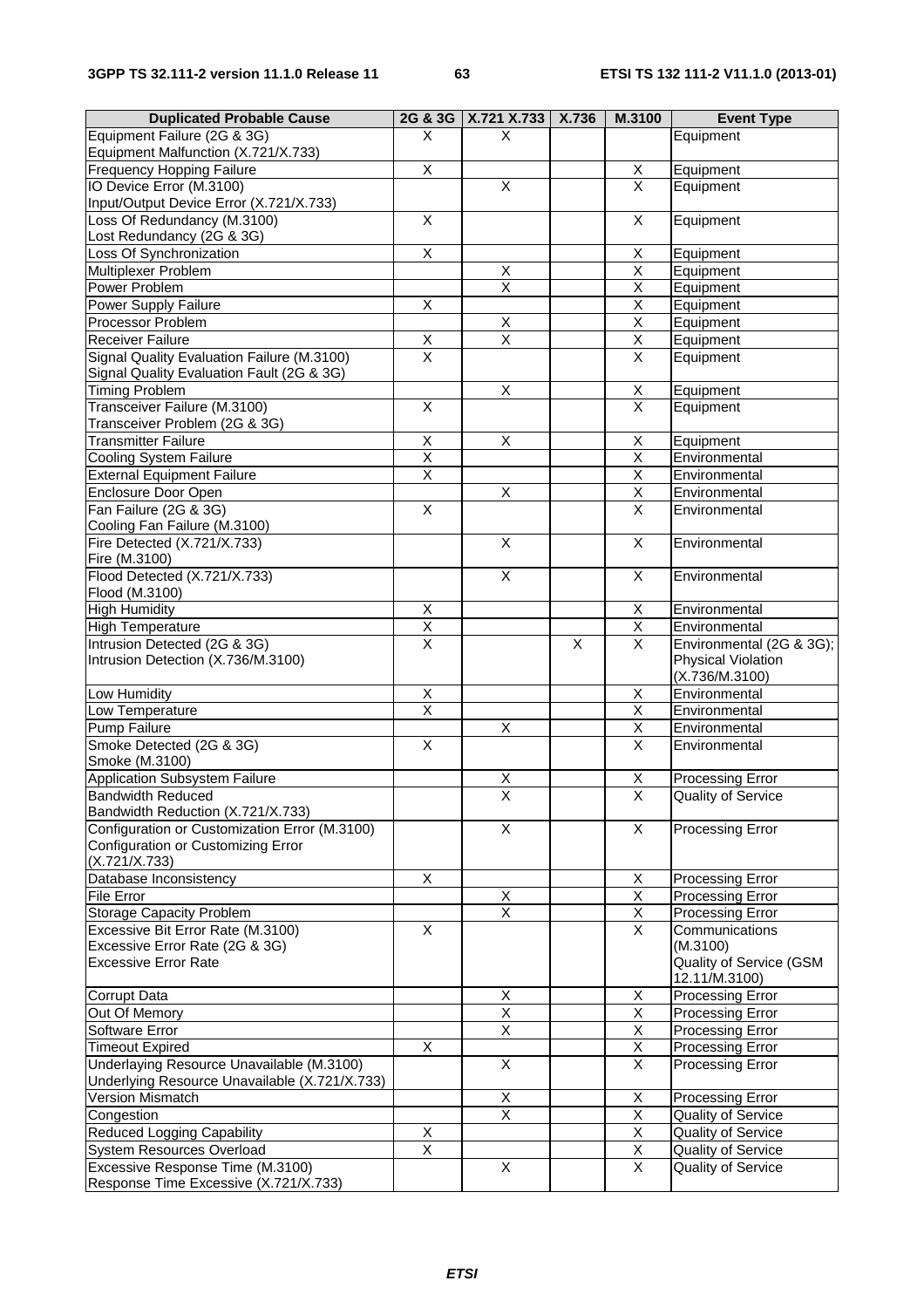| <b>Duplicated Probable Cause</b>              | 2G & 3G                   | X.721 X.733   X.736     |                | M.3100                  | <b>Event Type</b>         |
|-----------------------------------------------|---------------------------|-------------------------|----------------|-------------------------|---------------------------|
| Equipment Failure (2G & 3G)                   | X                         | X                       |                |                         | Equipment                 |
| Equipment Malfunction (X.721/X.733)           |                           |                         |                |                         |                           |
| Frequency Hopping Failure                     | $\mathsf X$               |                         |                | X                       | Equipment                 |
| IO Device Error (M.3100)                      |                           | $\overline{\mathsf{x}}$ |                | $\overline{\mathsf{x}}$ | Equipment                 |
| Input/Output Device Error (X.721/X.733)       |                           |                         |                |                         |                           |
| Loss Of Redundancy (M.3100)                   | $\overline{\mathsf{X}}$   |                         |                | X                       | Equipment                 |
| Lost Redundancy (2G & 3G)                     |                           |                         |                |                         |                           |
| Loss Of Synchronization                       | $\overline{X}$            |                         |                | Χ                       | Equipment                 |
| Multiplexer Problem                           |                           | X                       |                | $\overline{\mathsf{X}}$ | Equipment                 |
| Power Problem                                 |                           | $\overline{\mathsf{x}}$ |                | X                       | Equipment                 |
| Power Supply Failure                          | X                         |                         |                | Χ                       | Equipment                 |
| Processor Problem                             |                           | $\overline{X}$          |                | $\overline{\mathsf{x}}$ | Equipment                 |
| <b>Receiver Failure</b>                       | $\frac{x}{x}$             | $\overline{\mathsf{x}}$ |                | $\overline{X}$          | Equipment                 |
| Signal Quality Evaluation Failure (M.3100)    |                           |                         |                | X                       | Equipment                 |
| Signal Quality Evaluation Fault (2G & 3G)     |                           |                         |                |                         |                           |
| <b>Timing Problem</b>                         |                           | $\overline{\mathsf{x}}$ |                | X                       | Equipment                 |
| Transceiver Failure (M.3100)                  | $\overline{\mathsf{x}}$   |                         |                | $\overline{\mathsf{x}}$ | Equipment                 |
| Transceiver Problem (2G & 3G)                 |                           |                         |                |                         |                           |
| <b>Transmitter Failure</b>                    | $\overline{\mathsf{x}}$   | X                       |                | X                       | Equipment                 |
| <b>Cooling System Failure</b>                 | $\overline{\mathsf{X}}$   |                         |                | $\overline{\mathsf{x}}$ | Environmental             |
| <b>External Equipment Failure</b>             | X                         |                         |                | X                       | Environmental             |
| Enclosure Door Open                           |                           | $\overline{X}$          |                | X                       | Environmental             |
| Fan Failure (2G & 3G)                         | $\boldsymbol{\mathsf{X}}$ |                         |                | X                       | Environmental             |
| Cooling Fan Failure (M.3100)                  |                           |                         |                |                         |                           |
| Fire Detected (X.721/X.733)                   |                           | $\overline{X}$          |                | $\overline{X}$          | Environmental             |
| Fire (M.3100)                                 |                           |                         |                |                         |                           |
| Flood Detected (X.721/X.733)                  |                           | $\overline{\mathsf{X}}$ |                | X                       | Environmental             |
| Flood (M.3100)                                |                           |                         |                |                         |                           |
| <b>High Humidity</b>                          | $\overline{X}$            |                         |                | X                       | Environmental             |
| <b>High Temperature</b>                       | $\overline{X}$            |                         |                | X                       | Environmental             |
| Intrusion Detected (2G & 3G)                  | $\overline{\mathsf{x}}$   |                         | $\overline{X}$ | $\overline{\mathsf{x}}$ | Environmental (2G & 3G);  |
| Intrusion Detection (X.736/M.3100)            |                           |                         |                |                         | Physical Violation        |
|                                               |                           |                         |                |                         | (X.736/M.3100)            |
| Low Humidity                                  | $\overline{X}$            |                         |                | Χ                       | Environmental             |
| Low Temperature                               | $\overline{\mathsf{x}}$   |                         |                | $\overline{\mathsf{x}}$ | Environmental             |
| Pump Failure                                  |                           | $\mathsf X$             |                | X                       | Environmental             |
| Smoke Detected (2G & 3G)                      | $\overline{X}$            |                         |                | $\overline{\mathsf{x}}$ | Environmental             |
| Smoke (M.3100)                                |                           |                         |                |                         |                           |
| <b>Application Subsystem Failure</b>          |                           |                         |                | X                       | Processing Error          |
| <b>Bandwidth Reduced</b>                      |                           | $\frac{x}{x}$           |                | $\overline{\mathsf{X}}$ | <b>Quality of Service</b> |
| Bandwidth Reduction (X.721/X.733)             |                           |                         |                |                         |                           |
| Configuration or Customization Error (M.3100) |                           | X                       |                | X                       | <b>Processing Error</b>   |
| Configuration or Customizing Error            |                           |                         |                |                         |                           |
| (X.721/X.733)                                 |                           |                         |                |                         |                           |
| Database Inconsistency                        | X                         |                         |                | X                       | Processing Error          |
| <b>File Error</b>                             |                           | $\mathsf X$             |                | $\overline{X}$          | Processing Error          |
| <b>Storage Capacity Problem</b>               |                           | $\overline{\mathsf{x}}$ |                | X                       | Processing Error          |
| Excessive Bit Error Rate (M.3100)             | X                         |                         |                | X.                      | Communications            |
| Excessive Error Rate (2G & 3G)                |                           |                         |                |                         | (M.3100)                  |
| <b>Excessive Error Rate</b>                   |                           |                         |                |                         | Quality of Service (GSM   |
|                                               |                           |                         |                |                         | 12.11/M.3100)             |
| Corrupt Data                                  |                           | X                       |                | X                       | Processing Error          |
| Out Of Memory                                 |                           | X                       |                | Χ                       | Processing Error          |
| Software Error                                |                           | $\overline{X}$          |                | Χ                       | Processing Error          |
| <b>Timeout Expired</b>                        | $\overline{X}$            |                         |                | $\overline{\mathsf{x}}$ | Processing Error          |
| Underlaying Resource Unavailable (M.3100)     |                           | $\overline{X}$          |                | $\overline{X}$          | Processing Error          |
| Underlying Resource Unavailable (X.721/X.733) |                           |                         |                |                         |                           |
| Version Mismatch                              |                           | $\overline{X}$          |                | Х                       | Processing Error          |
| Congestion                                    |                           | $\overline{\mathsf{x}}$ |                | X                       | Quality of Service        |
| <b>Reduced Logging Capability</b>             | X                         |                         |                | $\overline{\mathsf{X}}$ | Quality of Service        |
| System Resources Overload                     | $\overline{\mathsf{x}}$   |                         |                | X                       | Quality of Service        |
| Excessive Response Time (M.3100)              |                           | $\pmb{\times}$          |                | $\overline{X}$          | Quality of Service        |
| Response Time Excessive (X.721/X.733)         |                           |                         |                |                         |                           |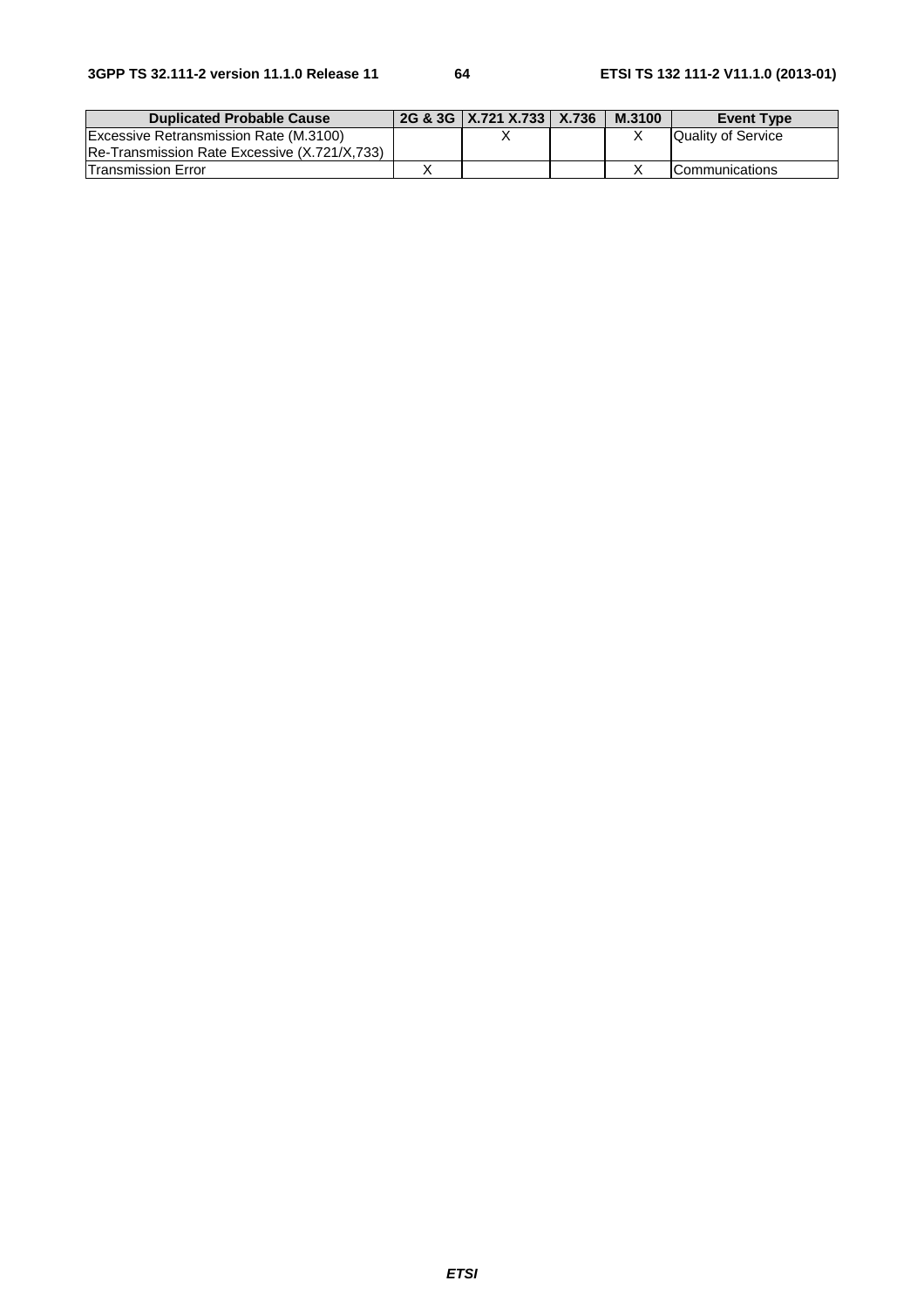| <b>Duplicated Probable Cause</b>             | 2G & 3G   X.721 X.733   X.736 | M.3100 | <b>Event Type</b>         |
|----------------------------------------------|-------------------------------|--------|---------------------------|
| Excessive Retransmission Rate (M.3100)       |                               |        | <b>Quality of Service</b> |
| Re-Transmission Rate Excessive (X.721/X,733) |                               |        |                           |
| <b>Transmission Error</b>                    |                               |        | <b>ICommunications</b>    |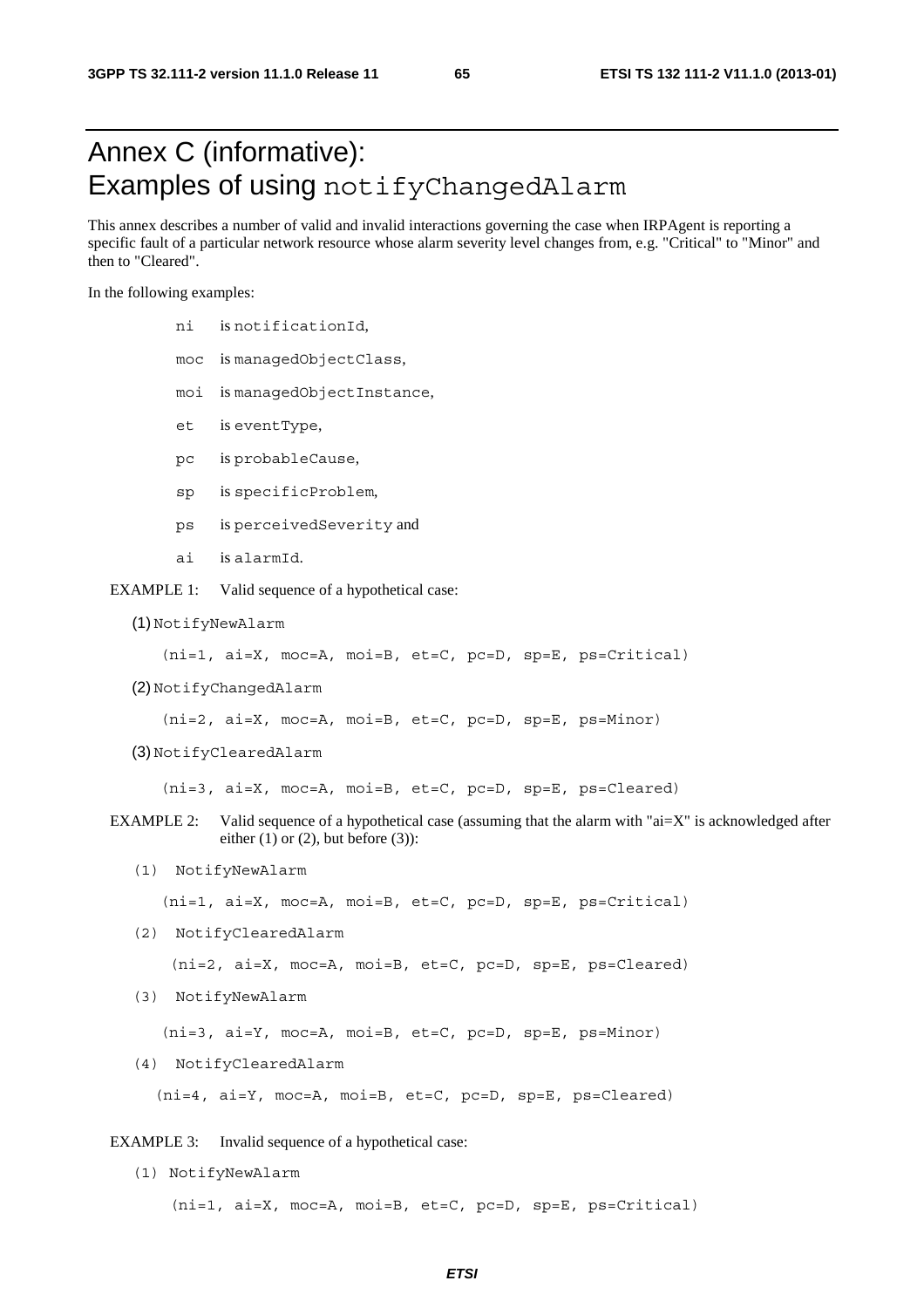# Annex C (informative): Examples of using notifyChangedAlarm

This annex describes a number of valid and invalid interactions governing the case when IRPAgent is reporting a specific fault of a particular network resource whose alarm severity level changes from, e.g. "Critical" to "Minor" and then to "Cleared".

In the following examples:

- ni is notificationId,
- moc is managedObjectClass,
- moi is managedObjectInstance,
- et is eventType,
- pc is probableCause,
- sp is specificProblem,
- ps is perceivedSeverity and
- ai is alarmId.
- EXAMPLE 1: Valid sequence of a hypothetical case:
	- (1) NotifyNewAlarm

(ni=1, ai=X, moc=A, moi=B, et=C, pc=D, sp=E, ps=Critical)

(2) NotifyChangedAlarm

(ni=2, ai=X, moc=A, moi=B, et=C, pc=D, sp=E, ps=Minor)

(3) NotifyClearedAlarm

(ni=3, ai=X, moc=A, moi=B, et=C, pc=D, sp=E, ps=Cleared)

- EXAMPLE 2: Valid sequence of a hypothetical case (assuming that the alarm with "ai=X" is acknowledged after either  $(1)$  or  $(2)$ , but before  $(3)$ :
	- (1) NotifyNewAlarm

(ni=1, ai=X, moc=A, moi=B, et=C, pc=D, sp=E, ps=Critical)

(2) NotifyClearedAlarm

(ni=2, ai=X, moc=A, moi=B, et=C, pc=D, sp=E, ps=Cleared)

(3) NotifyNewAlarm

(ni=3, ai=Y, moc=A, moi=B, et=C, pc=D, sp=E, ps=Minor)

(4) NotifyClearedAlarm

(ni=4, ai=Y, moc=A, moi=B, et=C, pc=D, sp=E, ps=Cleared)

EXAMPLE 3: Invalid sequence of a hypothetical case:

(1) NotifyNewAlarm

(ni=1, ai=X, moc=A, moi=B, et=C, pc=D, sp=E, ps=Critical)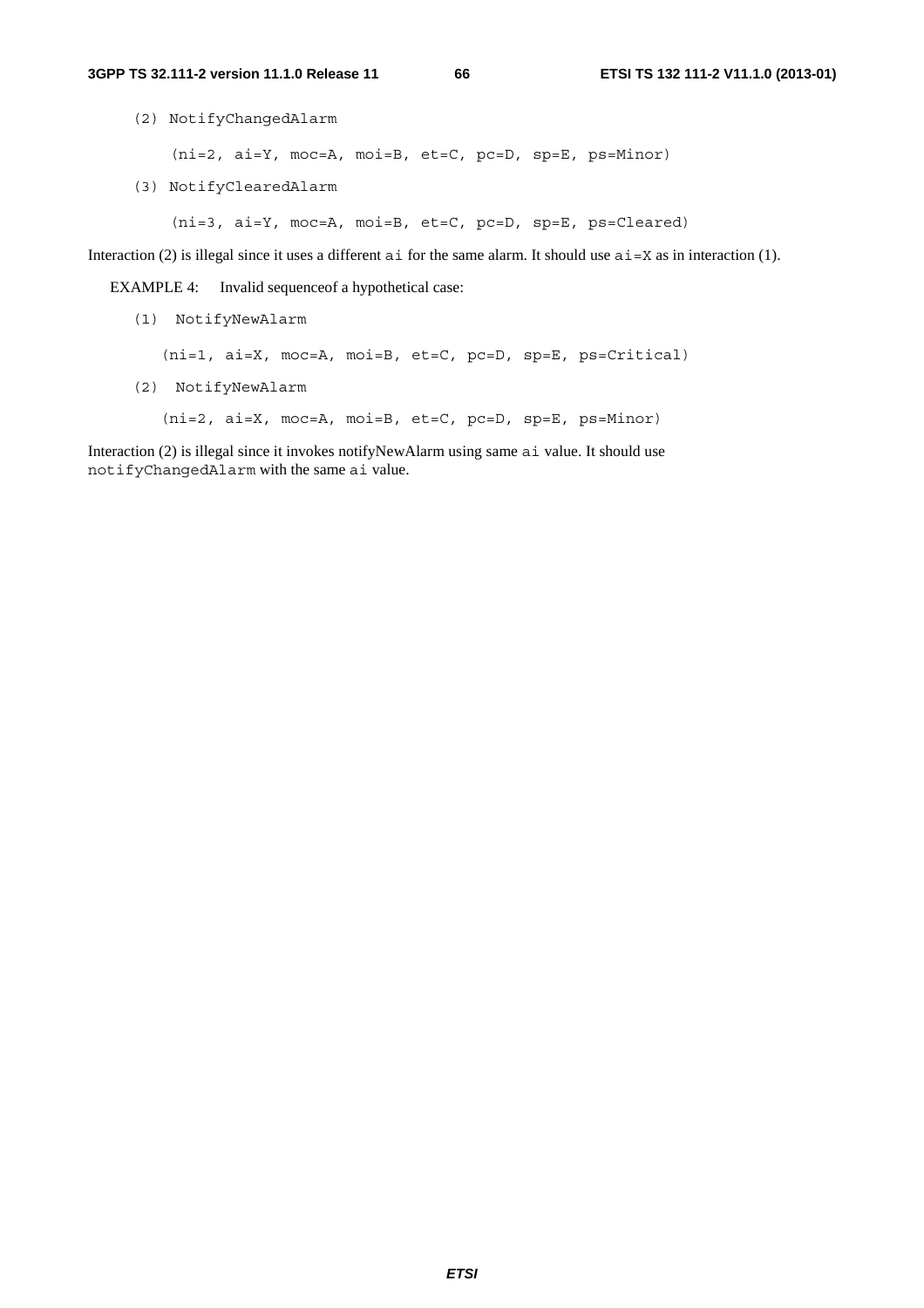(2) NotifyChangedAlarm

(ni=2, ai=Y, moc=A, moi=B, et=C, pc=D, sp=E, ps=Minor)

(3) NotifyClearedAlarm

(ni=3, ai=Y, moc=A, moi=B, et=C, pc=D, sp=E, ps=Cleared)

Interaction (2) is illegal since it uses a different ai for the same alarm. It should use  $a\textbf{i} = X$  as in interaction (1).

EXAMPLE 4: Invalid sequence of a hypothetical case:

(1) NotifyNewAlarm

(ni=1, ai=X, moc=A, moi=B, et=C, pc=D, sp=E, ps=Critical)

(2) NotifyNewAlarm

(ni=2, ai=X, moc=A, moi=B, et=C, pc=D, sp=E, ps=Minor)

Interaction (2) is illegal since it invokes notifyNewAlarm using same ai value. It should use notifyChangedAlarm with the same ai value.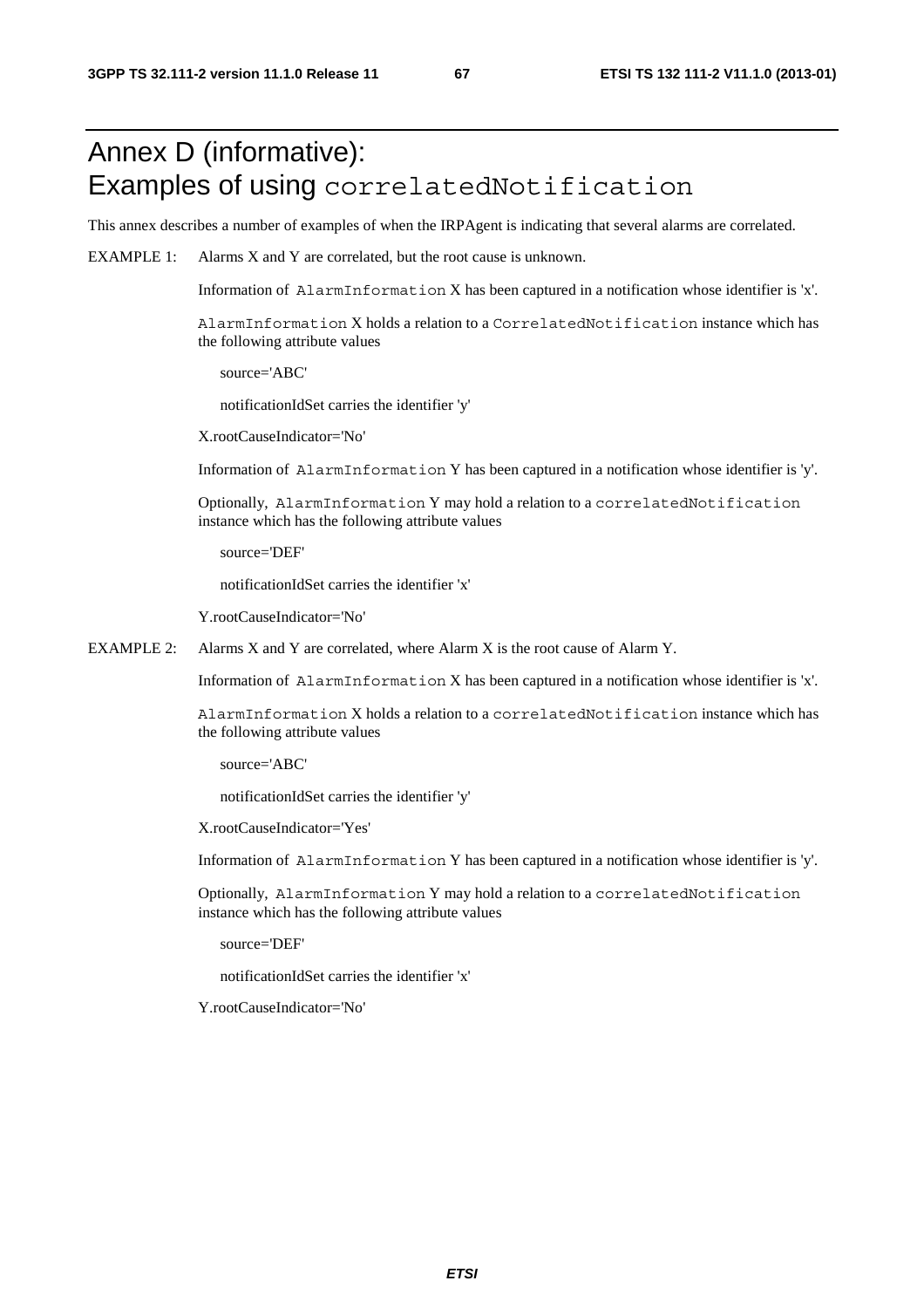# Annex D (informative): Examples of using correlatedNotification

This annex describes a number of examples of when the IRPAgent is indicating that several alarms are correlated.

EXAMPLE 1: Alarms X and Y are correlated, but the root cause is unknown.

Information of AlarmInformation X has been captured in a notification whose identifier is 'x'.

AlarmInformation X holds a relation to a CorrelatedNotification instance which has the following attribute values

source='ABC'

notificationIdSet carries the identifier 'y'

X.rootCauseIndicator='No'

Information of AlarmInformation Y has been captured in a notification whose identifier is 'y'.

Optionally, AlarmInformation Y may hold a relation to a correlatedNotification instance which has the following attribute values

source='DEF'

notificationIdSet carries the identifier 'x'

Y.rootCauseIndicator='No'

EXAMPLE 2: Alarms X and Y are correlated, where Alarm X is the root cause of Alarm Y.

Information of AlarmInformation X has been captured in a notification whose identifier is 'x'.

AlarmInformation X holds a relation to a correlatedNotification instance which has the following attribute values

source='ABC'

notificationIdSet carries the identifier 'y'

X.rootCauseIndicator='Yes'

Information of AlarmInformation Y has been captured in a notification whose identifier is 'y'.

Optionally, AlarmInformation Y may hold a relation to a correlatedNotification instance which has the following attribute values

source='DEF'

notificationIdSet carries the identifier 'x'

Y.rootCauseIndicator='No'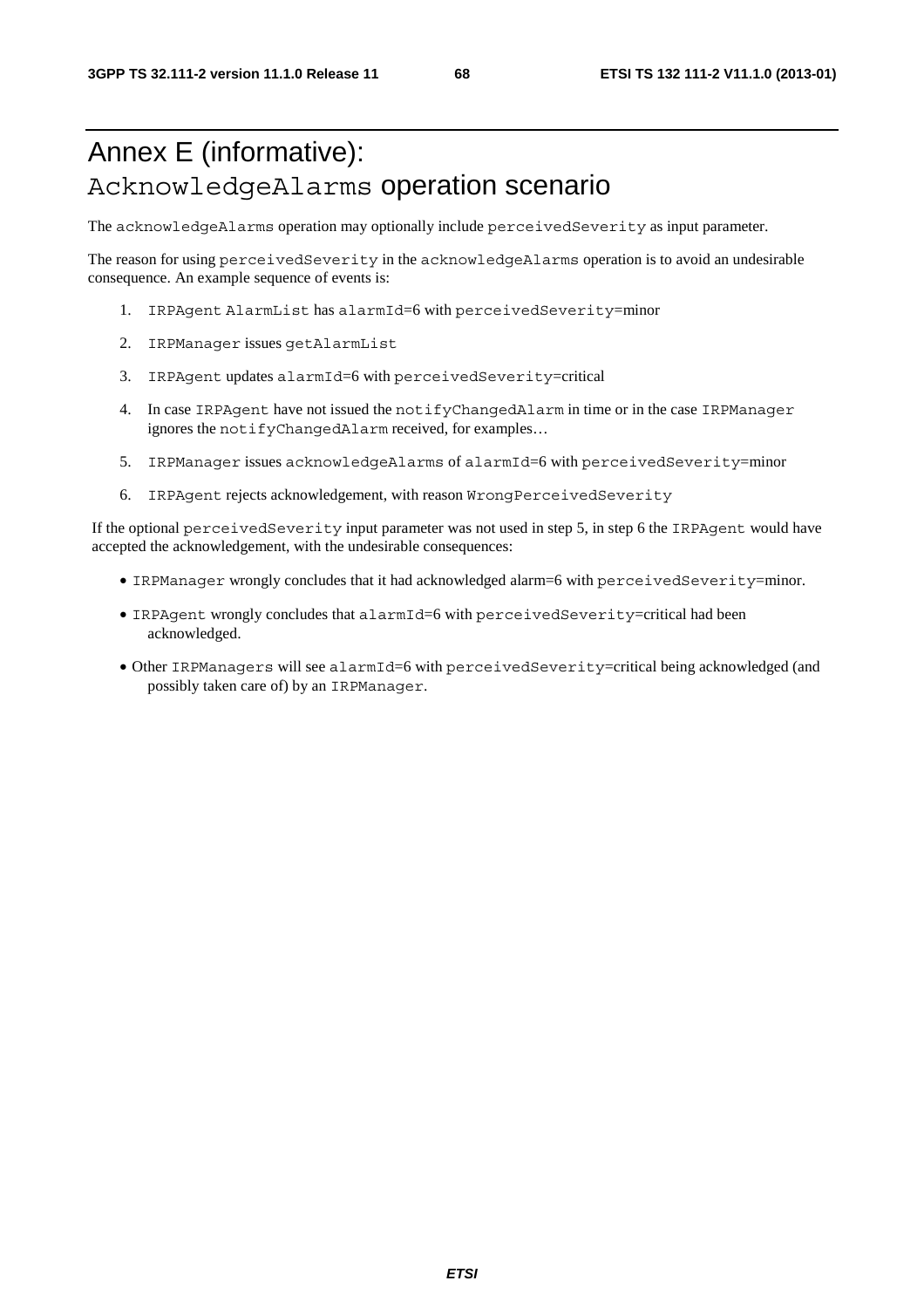# Annex E (informative): AcknowledgeAlarms operation scenario

The acknowledgeAlarms operation may optionally include perceivedSeverity as input parameter.

The reason for using perceivedSeverity in the acknowledgeAlarms operation is to avoid an undesirable consequence. An example sequence of events is:

- 1. IRPAgent AlarmList has alarmId=6 with perceivedSeverity=minor
- 2. IRPManager issues getAlarmList
- 3. IRPAgent updates alarmId=6 with perceivedSeverity=critical
- 4. In case IRPAgent have not issued the notifyChangedAlarm in time or in the case IRPManager ignores the notifyChangedAlarm received, for examples…
- 5. IRPManager issues acknowledgeAlarms of alarmId=6 with perceivedSeverity=minor
- 6. IRPAgent rejects acknowledgement, with reason WrongPerceivedSeverity

If the optional perceivedSeverity input parameter was not used in step 5, in step 6 the IRPAgent would have accepted the acknowledgement, with the undesirable consequences:

- IRPManager wrongly concludes that it had acknowledged alarm=6 with perceivedSeverity=minor.
- IRPAgent wrongly concludes that alarmId=6 with perceivedSeverity=critical had been acknowledged.
- Other IRPManagers will see alarmId=6 with perceivedSeverity=critical being acknowledged (and possibly taken care of) by an IRPManager.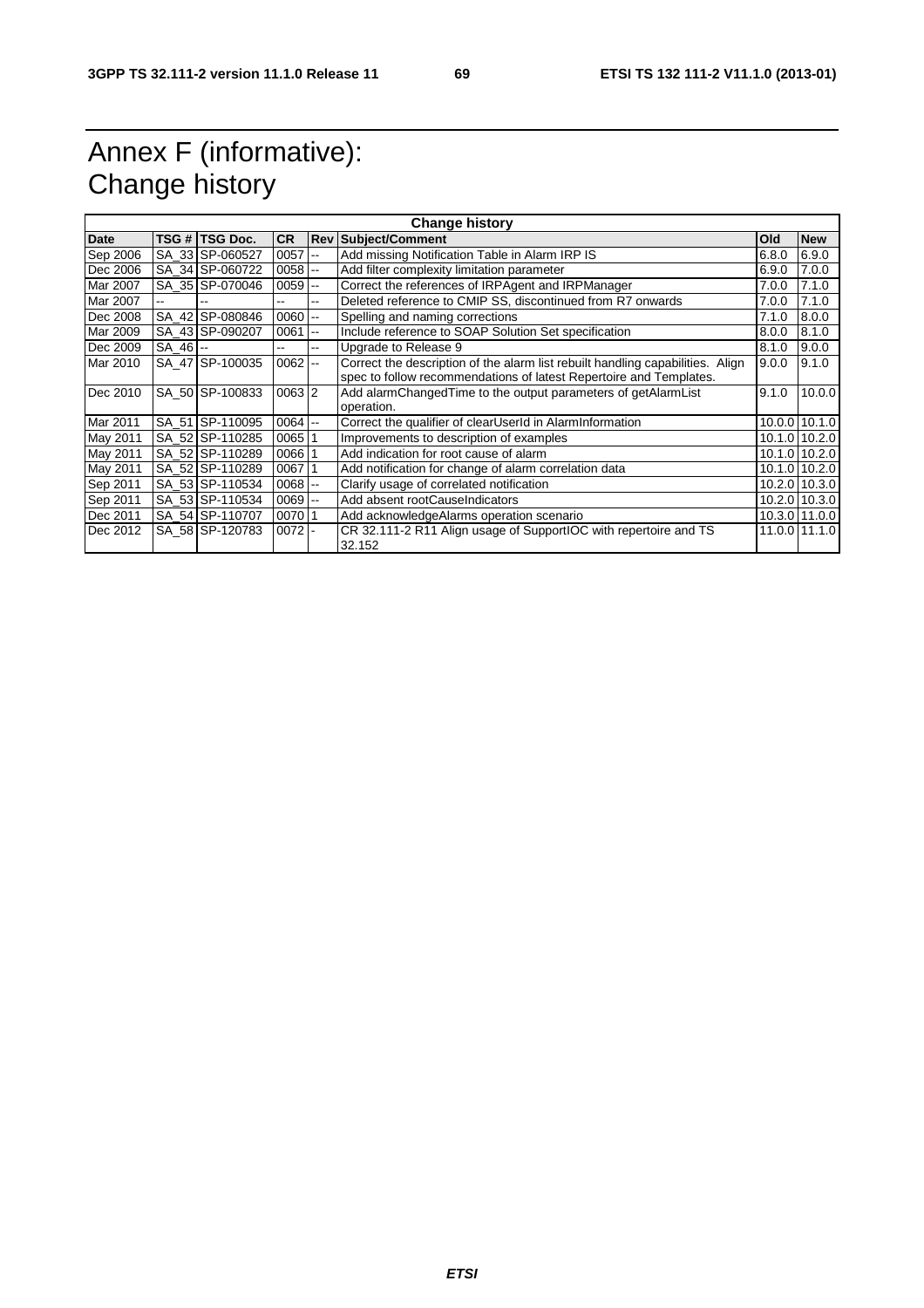# Annex F (informative): Change history

| <b>Change history</b> |            |                 |            |                          |                                                                                |       |               |
|-----------------------|------------|-----------------|------------|--------------------------|--------------------------------------------------------------------------------|-------|---------------|
| Date                  |            | TSG # TSG Doc.  | <b>CR</b>  |                          | <b>Rev Subject/Comment</b>                                                     | Old   | <b>New</b>    |
| Sep 2006              |            | SA 33 SP-060527 | 0057       | --                       | Add missing Notification Table in Alarm IRP IS                                 | 6.8.0 | 6.9.0         |
| Dec 2006              |            | SA 34 SP-060722 | 0058       | $\sim$                   | Add filter complexity limitation parameter                                     | 6.9.0 | 7.0.0         |
| Mar 2007              |            | SA 35 SP-070046 | 0059       | $\overline{\phantom{a}}$ | Correct the references of IRPAgent and IRPManager                              | 7.0.0 | 7.1.0         |
| Mar 2007              |            |                 | --         | --                       | Deleted reference to CMIP SS, discontinued from R7 onwards                     | 7.0.0 | 7.1.0         |
| Dec 2008              |            | SA 42 SP-080846 | 0060       | --                       | Spelling and naming corrections                                                | 7.1.0 | 8.0.0         |
| Mar 2009              |            | SA_43 SP-090207 | 0061       | --                       | Include reference to SOAP Solution Set specification                           | 8.0.0 | 8.1.0         |
| Dec 2009              | $SA_46$ -- |                 | ш,         | --                       | Upgrade to Release 9                                                           | 8.1.0 | 9.0.0         |
| Mar 2010              |            | SA 47 SP-100035 | 0062       | $\overline{\phantom{a}}$ | Correct the description of the alarm list rebuilt handling capabilities. Align | 9.0.0 | 9.1.0         |
|                       |            |                 |            |                          | spec to follow recommendations of latest Repertoire and Templates.             |       |               |
| Dec 2010              |            | SA 50 SP-100833 | $0063$  2  |                          | Add alarmChangedTime to the output parameters of getAlarmList                  | 9.1.0 | 10.0.0        |
|                       |            |                 |            |                          | operation.                                                                     |       |               |
| Mar 2011              |            | SA 51 SP-110095 | $0064$ --  |                          | Correct the qualifier of clearUserId in AlarmInformation                       |       | 10.0.0 10.1.0 |
| May 2011              |            | SA 52 SP-110285 | 0065       | 1                        | Improvements to description of examples                                        |       | 10.1.0 10.2.0 |
| May 2011              |            | SA 52 SP-110289 | 0066       |                          | Add indication for root cause of alarm                                         |       | 10.1.0 10.2.0 |
| May 2011              |            | SA 52 SP-110289 | 0067       |                          | Add notification for change of alarm correlation data                          |       | 10.1.0 10.2.0 |
| Sep 2011              |            | SA 53 SP-110534 | $0068$ -   |                          | Clarify usage of correlated notification                                       |       | 10.2.0 10.3.0 |
| Sep 2011              |            | SA 53 SP-110534 | $0069$ $-$ |                          | Add absent rootCauseIndicators                                                 |       | 10.2.0 10.3.0 |
| Dec 2011              |            | SA 54 SP-110707 | 007011     |                          | Add acknowledgeAlarms operation scenario                                       |       | 10.3.0 11.0.0 |
| Dec 2012              |            | SA 58 SP-120783 | $0072$ -   |                          | CR 32.111-2 R11 Align usage of SupportIOC with repertoire and TS<br>32.152     |       | 11.0.0 11.1.0 |